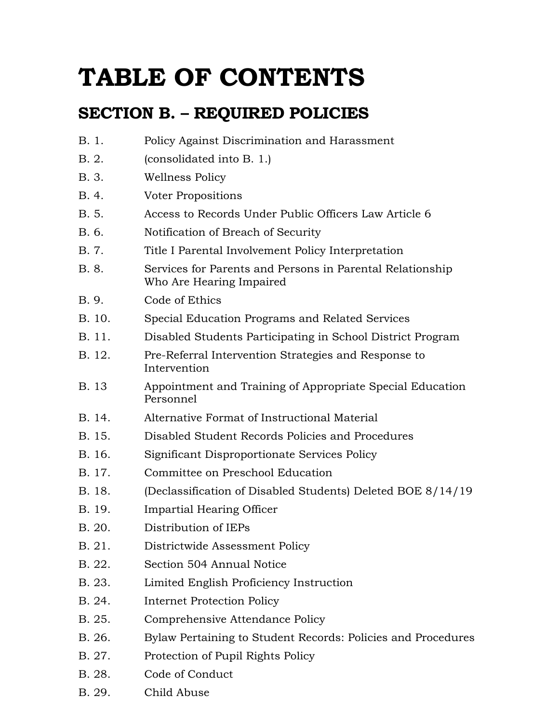# **TABLE OF CONTENTS**

# **SECTION B. – REQUIRED POLICIES**

| B. 1.  | Policy Against Discrimination and Harassment                                          |
|--------|---------------------------------------------------------------------------------------|
| B. 2.  | (consolidated into B. 1.)                                                             |
| B. 3.  | Wellness Policy                                                                       |
| B. 4.  | Voter Propositions                                                                    |
| B. 5.  | Access to Records Under Public Officers Law Article 6                                 |
| B. 6.  | Notification of Breach of Security                                                    |
| B. 7.  | Title I Parental Involvement Policy Interpretation                                    |
| B. 8.  | Services for Parents and Persons in Parental Relationship<br>Who Are Hearing Impaired |
| B. 9.  | Code of Ethics                                                                        |
| B. 10. | Special Education Programs and Related Services                                       |
| B. 11. | Disabled Students Participating in School District Program                            |
| B. 12. | Pre-Referral Intervention Strategies and Response to<br>Intervention                  |
| B. 13  | Appointment and Training of Appropriate Special Education<br>Personnel                |
| B. 14. | Alternative Format of Instructional Material                                          |
| B. 15. | Disabled Student Records Policies and Procedures                                      |
| B. 16. | Significant Disproportionate Services Policy                                          |
| B. 17. | Committee on Preschool Education                                                      |
| B. 18. | (Declassification of Disabled Students) Deleted BOE 8/14/19                           |
| B. 19. | Impartial Hearing Officer                                                             |
| B. 20. | Distribution of IEPs                                                                  |
| B. 21. | Districtwide Assessment Policy                                                        |
| B. 22. | Section 504 Annual Notice                                                             |
| B. 23. | Limited English Proficiency Instruction                                               |
| B. 24. | <b>Internet Protection Policy</b>                                                     |
| B. 25. | Comprehensive Attendance Policy                                                       |
| B. 26. | Bylaw Pertaining to Student Records: Policies and Procedures                          |
| B. 27. | Protection of Pupil Rights Policy                                                     |
| B. 28. | Code of Conduct                                                                       |
| B. 29. | Child Abuse                                                                           |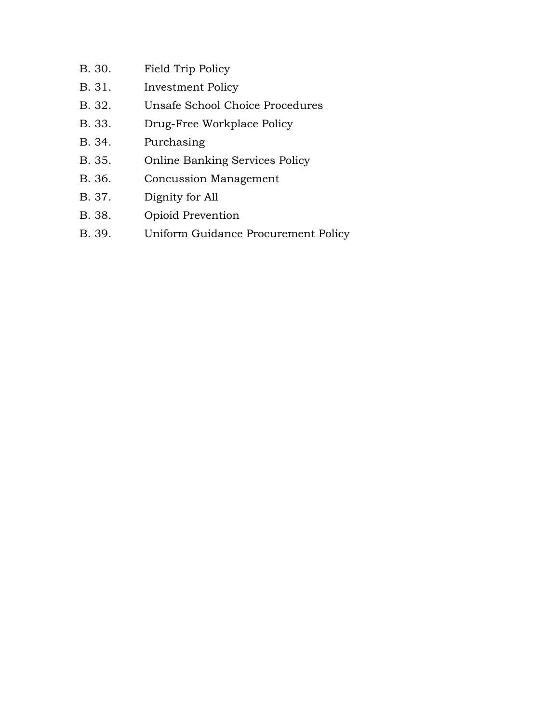- B. 30. Field Trip Policy B. 31. Investment Policy B. 32. Unsafe School Choice Procedures B. 33. Drug-Free Workplace Policy B. 34. Purchasing B. 35. Online Banking Services Policy B. 36. Concussion Management
- B. 37. Dignity for All
- B. 38. Opioid Prevention
- B. 39. Uniform Guidance Procurement Policy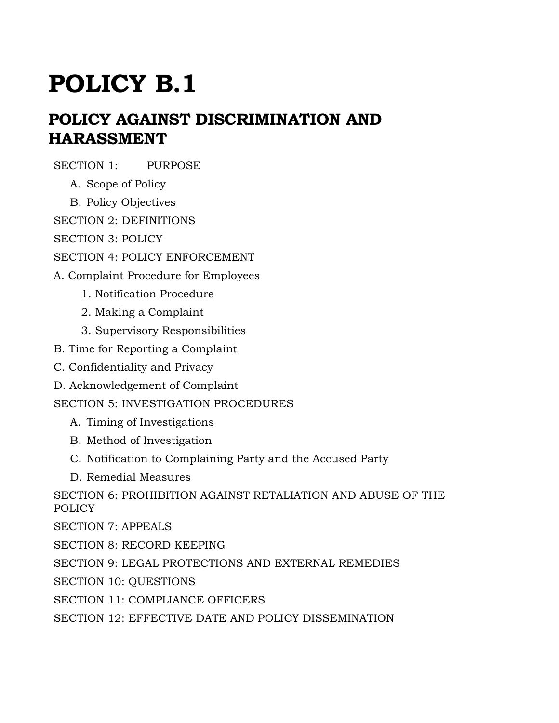# **POLICY AGAINST DISCRIMINATION AND HARASSMENT**

SECTION 1: PURPOSE

- A. Scope of Policy
- B. Policy Objectives

SECTION 2: DEFINITIONS

SECTION 3: POLICY

SECTION 4: POLICY ENFORCEMENT

A. Complaint Procedure for Employees

- 1. Notification Procedure
- 2. Making a Complaint
- 3. Supervisory Responsibilities
- B. Time for Reporting a Complaint
- C. Confidentiality and Privacy
- D. Acknowledgement of Complaint

SECTION 5: INVESTIGATION PROCEDURES

- A. Timing of Investigations
- B. Method of Investigation
- C. Notification to Complaining Party and the Accused Party
- D. Remedial Measures

SECTION 6: PROHIBITION AGAINST RETALIATION AND ABUSE OF THE POLICY

SECTION 7: APPEALS

SECTION 8: RECORD KEEPING

SECTION 9: LEGAL PROTECTIONS AND EXTERNAL REMEDIES

SECTION 10: QUESTIONS

SECTION 11: COMPLIANCE OFFICERS

SECTION 12: EFFECTIVE DATE AND POLICY DISSEMINATION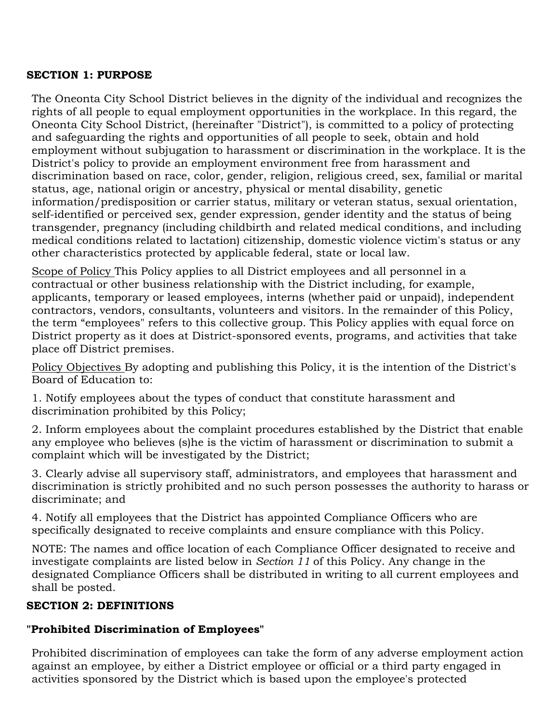#### **SECTION 1: PURPOSE**

The Oneonta City School District believes in the dignity of the individual and recognizes the rights of all people to equal employment opportunities in the workplace. In this regard, the Oneonta City School District, (hereinafter "District"), is committed to a policy of protecting and safeguarding the rights and opportunities of all people to seek, obtain and hold employment without subjugation to harassment or discrimination in the workplace. It is the District's policy to provide an employment environment free from harassment and discrimination based on race, color, gender, religion, religious creed, sex, familial or marital status, age, national origin or ancestry, physical or mental disability, genetic information/predisposition or carrier status, military or veteran status, sexual orientation, self-identified or perceived sex, gender expression, gender identity and the status of being transgender, pregnancy (including childbirth and related medical conditions, and including medical conditions related to lactation) citizenship, domestic violence victim's status or any other characteristics protected by applicable federal, state or local law.

Scope of Policy This Policy applies to all District employees and all personnel in a contractual or other business relationship with the District including, for example, applicants, temporary or leased employees, interns (whether paid or unpaid), independent contractors, vendors, consultants, volunteers and visitors. In the remainder of this Policy, the term "employees" refers to this collective group. This Policy applies with equal force on District property as it does at District-sponsored events, programs, and activities that take place off District premises.

Policy Objectives By adopting and publishing this Policy, it is the intention of the District's Board of Education to:

1. Notify employees about the types of conduct that constitute harassment and discrimination prohibited by this Policy;

2. Inform employees about the complaint procedures established by the District that enable any employee who believes (s)he is the victim of harassment or discrimination to submit a complaint which will be investigated by the District;

3. Clearly advise all supervisory staff, administrators, and employees that harassment and discrimination is strictly prohibited and no such person possesses the authority to harass or discriminate; and

4. Notify all employees that the District has appointed Compliance Officers who are specifically designated to receive complaints and ensure compliance with this Policy.

NOTE: The names and office location of each Compliance Officer designated to receive and investigate complaints are listed below in *Section 11* of this Policy. Any change in the designated Compliance Officers shall be distributed in writing to all current employees and shall be posted.

#### **SECTION 2: DEFINITIONS**

# **"Prohibited Discrimination of Employees"**

Prohibited discrimination of employees can take the form of any adverse employment action against an employee, by either a District employee or official or a third party engaged in activities sponsored by the District which is based upon the employee's protected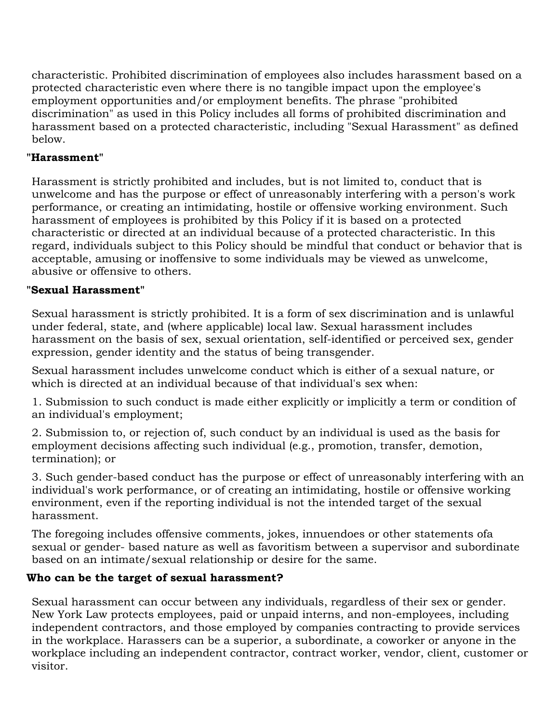characteristic. Prohibited discrimination of employees also includes harassment based on a protected characteristic even where there is no tangible impact upon the employee's employment opportunities and/or employment benefits. The phrase "prohibited discrimination" as used in this Policy includes all forms of prohibited discrimination and harassment based on a protected characteristic, including "Sexual Harassment" as defined below.

# **"Harassment"**

Harassment is strictly prohibited and includes, but is not limited to, conduct that is unwelcome and has the purpose or effect of unreasonably interfering with a person's work performance, or creating an intimidating, hostile or offensive working environment. Such harassment of employees is prohibited by this Policy if it is based on a protected characteristic or directed at an individual because of a protected characteristic. In this regard, individuals subject to this Policy should be mindful that conduct or behavior that is acceptable, amusing or inoffensive to some individuals may be viewed as unwelcome, abusive or offensive to others.

# **"Sexual Harassment"**

Sexual harassment is strictly prohibited. It is a form of sex discrimination and is unlawful under federal, state, and (where applicable) local law. Sexual harassment includes harassment on the basis of sex, sexual orientation, self-identified or perceived sex, gender expression, gender identity and the status of being transgender.

Sexual harassment includes unwelcome conduct which is either of a sexual nature, or which is directed at an individual because of that individual's sex when:

1. Submission to such conduct is made either explicitly or implicitly a term or condition of an individual's employment;

2. Submission to, or rejection of, such conduct by an individual is used as the basis for employment decisions affecting such individual (e.g., promotion, transfer, demotion, termination); or

3. Such gender-based conduct has the purpose or effect of unreasonably interfering with an individual's work performance, or of creating an intimidating, hostile or offensive working environment, even if the reporting individual is not the intended target of the sexual harassment.

The foregoing includes offensive comments, jokes, innuendoes or other statements ofa sexual or gender- based nature as well as favoritism between a supervisor and subordinate based on an intimate/sexual relationship or desire for the same.

# **Who can be the target of sexual harassment?**

Sexual harassment can occur between any individuals, regardless of their sex or gender. New York Law protects employees, paid or unpaid interns, and non-employees, including independent contractors, and those employed by companies contracting to provide services in the workplace. Harassers can be a superior, a subordinate, a coworker or anyone in the workplace including an independent contractor, contract worker, vendor, client, customer or visitor.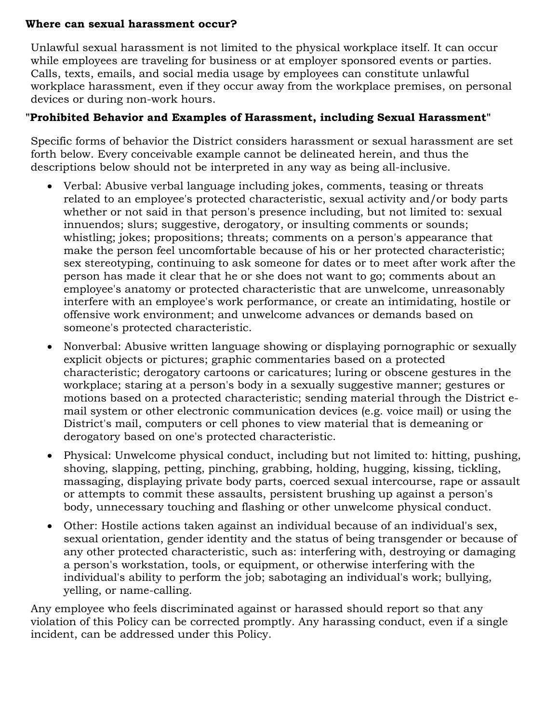#### **Where can sexual harassment occur?**

Unlawful sexual harassment is not limited to the physical workplace itself. It can occur while employees are traveling for business or at employer sponsored events or parties. Calls, texts, emails, and social media usage by employees can constitute unlawful workplace harassment, even if they occur away from the workplace premises, on personal devices or during non-work hours.

# **"Prohibited Behavior and Examples of Harassment, including Sexual Harassment"**

Specific forms of behavior the District considers harassment or sexual harassment are set forth below. Every conceivable example cannot be delineated herein, and thus the descriptions below should not be interpreted in any way as being all-inclusive.

- Verbal: Abusive verbal language including jokes, comments, teasing or threats related to an employee's protected characteristic, sexual activity and/or body parts whether or not said in that person's presence including, but not limited to: sexual innuendos; slurs; suggestive, derogatory, or insulting comments or sounds; whistling; jokes; propositions; threats; comments on a person's appearance that make the person feel uncomfortable because of his or her protected characteristic; sex stereotyping, continuing to ask someone for dates or to meet after work after the person has made it clear that he or she does not want to go; comments about an employee's anatomy or protected characteristic that are unwelcome, unreasonably interfere with an employee's work performance, or create an intimidating, hostile or offensive work environment; and unwelcome advances or demands based on someone's protected characteristic.
- Nonverbal: Abusive written language showing or displaying pornographic or sexually explicit objects or pictures; graphic commentaries based on a protected characteristic; derogatory cartoons or caricatures; luring or obscene gestures in the workplace; staring at a person's body in a sexually suggestive manner; gestures or motions based on a protected characteristic; sending material through the District email system or other electronic communication devices (e.g. voice mail) or using the District's mail, computers or cell phones to view material that is demeaning or derogatory based on one's protected characteristic.
- Physical: Unwelcome physical conduct, including but not limited to: hitting, pushing, shoving, slapping, petting, pinching, grabbing, holding, hugging, kissing, tickling, massaging, displaying private body parts, coerced sexual intercourse, rape or assault or attempts to commit these assaults, persistent brushing up against a person's body, unnecessary touching and flashing or other unwelcome physical conduct.
- Other: Hostile actions taken against an individual because of an individual's sex, sexual orientation, gender identity and the status of being transgender or because of any other protected characteristic, such as: interfering with, destroying or damaging a person's workstation, tools, or equipment, or otherwise interfering with the individual's ability to perform the job; sabotaging an individual's work; bullying, yelling, or name-calling.

Any employee who feels discriminated against or harassed should report so that any violation of this Policy can be corrected promptly. Any harassing conduct, even if a single incident, can be addressed under this Policy.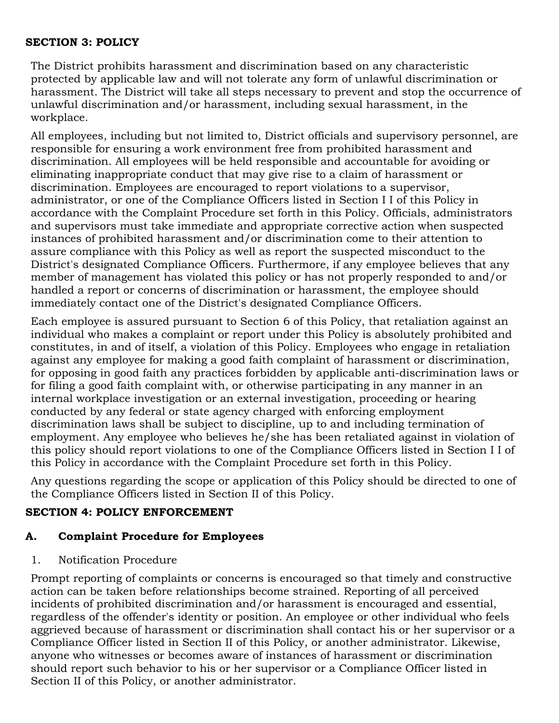#### **SECTION 3: POLICY**

The District prohibits harassment and discrimination based on any characteristic protected by applicable law and will not tolerate any form of unlawful discrimination or harassment. The District will take all steps necessary to prevent and stop the occurrence of unlawful discrimination and/or harassment, including sexual harassment, in the workplace.

All employees, including but not limited to, District officials and supervisory personnel, are responsible for ensuring a work environment free from prohibited harassment and discrimination. All employees will be held responsible and accountable for avoiding or eliminating inappropriate conduct that may give rise to a claim of harassment or discrimination. Employees are encouraged to report violations to a supervisor, administrator, or one of the Compliance Officers listed in Section I I of this Policy in accordance with the Complaint Procedure set forth in this Policy. Officials, administrators and supervisors must take immediate and appropriate corrective action when suspected instances of prohibited harassment and/or discrimination come to their attention to assure compliance with this Policy as well as report the suspected misconduct to the District's designated Compliance Officers. Furthermore, if any employee believes that any member of management has violated this policy or has not properly responded to and/or handled a report or concerns of discrimination or harassment, the employee should immediately contact one of the District's designated Compliance Officers.

Each employee is assured pursuant to Section 6 of this Policy, that retaliation against an individual who makes a complaint or report under this Policy is absolutely prohibited and constitutes, in and of itself, a violation of this Policy. Employees who engage in retaliation against any employee for making a good faith complaint of harassment or discrimination, for opposing in good faith any practices forbidden by applicable anti-discrimination laws or for filing a good faith complaint with, or otherwise participating in any manner in an internal workplace investigation or an external investigation, proceeding or hearing conducted by any federal or state agency charged with enforcing employment discrimination laws shall be subject to discipline, up to and including termination of employment. Any employee who believes he/she has been retaliated against in violation of this policy should report violations to one of the Compliance Officers listed in Section I I of this Policy in accordance with the Complaint Procedure set forth in this Policy.

Any questions regarding the scope or application of this Policy should be directed to one of the Compliance Officers listed in Section II of this Policy.

# **SECTION 4: POLICY ENFORCEMENT**

# **A. Complaint Procedure for Employees**

1. Notification Procedure

Prompt reporting of complaints or concerns is encouraged so that timely and constructive action can be taken before relationships become strained. Reporting of all perceived incidents of prohibited discrimination and/or harassment is encouraged and essential, regardless of the offender's identity or position. An employee or other individual who feels aggrieved because of harassment or discrimination shall contact his or her supervisor or a Compliance Officer listed in Section II of this Policy, or another administrator. Likewise, anyone who witnesses or becomes aware of instances of harassment or discrimination should report such behavior to his or her supervisor or a Compliance Officer listed in Section II of this Policy, or another administrator.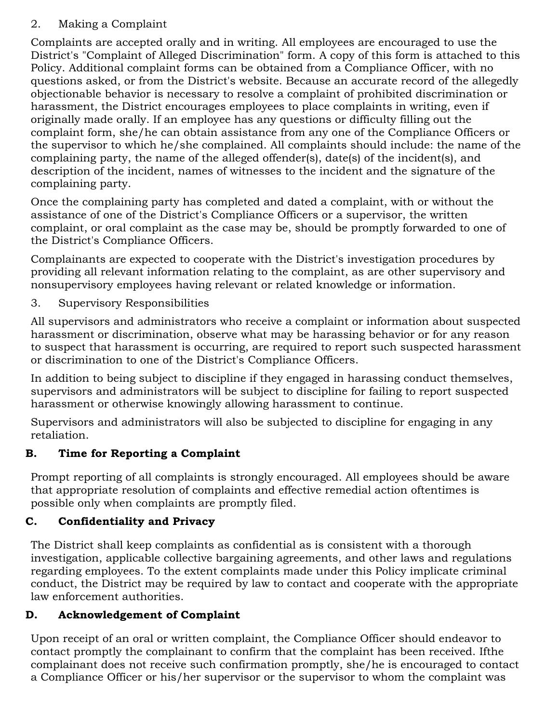# 2. Making a Complaint

Complaints are accepted orally and in writing. All employees are encouraged to use the District's "Complaint of Alleged Discrimination" form. A copy of this form is attached to this Policy. Additional complaint forms can be obtained from a Compliance Officer, with no questions asked, or from the District's website. Because an accurate record of the allegedly objectionable behavior is necessary to resolve a complaint of prohibited discrimination or harassment, the District encourages employees to place complaints in writing, even if originally made orally. If an employee has any questions or difficulty filling out the complaint form, she/he can obtain assistance from any one of the Compliance Officers or the supervisor to which he/she complained. All complaints should include: the name of the complaining party, the name of the alleged offender(s), date(s) of the incident(s), and description of the incident, names of witnesses to the incident and the signature of the complaining party.

Once the complaining party has completed and dated a complaint, with or without the assistance of one of the District's Compliance Officers or a supervisor, the written complaint, or oral complaint as the case may be, should be promptly forwarded to one of the District's Compliance Officers.

Complainants are expected to cooperate with the District's investigation procedures by providing all relevant information relating to the complaint, as are other supervisory and nonsupervisory employees having relevant or related knowledge or information.

# 3. Supervisory Responsibilities

All supervisors and administrators who receive a complaint or information about suspected harassment or discrimination, observe what may be harassing behavior or for any reason to suspect that harassment is occurring, are required to report such suspected harassment or discrimination to one of the District's Compliance Officers.

In addition to being subject to discipline if they engaged in harassing conduct themselves, supervisors and administrators will be subject to discipline for failing to report suspected harassment or otherwise knowingly allowing harassment to continue.

Supervisors and administrators will also be subjected to discipline for engaging in any retaliation.

# **B. Time for Reporting a Complaint**

Prompt reporting of all complaints is strongly encouraged. All employees should be aware that appropriate resolution of complaints and effective remedial action oftentimes is possible only when complaints are promptly filed.

# **C. Confidentiality and Privacy**

The District shall keep complaints as confidential as is consistent with a thorough investigation, applicable collective bargaining agreements, and other laws and regulations regarding employees. To the extent complaints made under this Policy implicate criminal conduct, the District may be required by law to contact and cooperate with the appropriate law enforcement authorities.

# **D. Acknowledgement of Complaint**

Upon receipt of an oral or written complaint, the Compliance Officer should endeavor to contact promptly the complainant to confirm that the complaint has been received. Ifthe complainant does not receive such confirmation promptly, she/he is encouraged to contact a Compliance Officer or his/her supervisor or the supervisor to whom the complaint was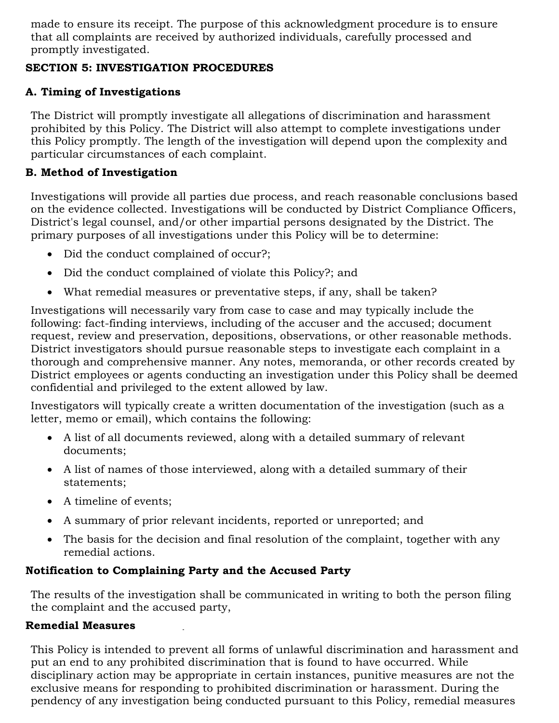made to ensure its receipt. The purpose of this acknowledgment procedure is to ensure that all complaints are received by authorized individuals, carefully processed and promptly investigated.

# **SECTION 5: INVESTIGATION PROCEDURES**

# **A. Timing of Investigations**

The District will promptly investigate all allegations of discrimination and harassment prohibited by this Policy. The District will also attempt to complete investigations under this Policy promptly. The length of the investigation will depend upon the complexity and particular circumstances of each complaint.

# **B. Method of Investigation**

Investigations will provide all parties due process, and reach reasonable conclusions based on the evidence collected. Investigations will be conducted by District Compliance Officers, District's legal counsel, and/or other impartial persons designated by the District. The primary purposes of all investigations under this Policy will be to determine:

- Did the conduct complained of occur?;
- Did the conduct complained of violate this Policy?; and
- What remedial measures or preventative steps, if any, shall be taken?

Investigations will necessarily vary from case to case and may typically include the following: fact-finding interviews, including of the accuser and the accused; document request, review and preservation, depositions, observations, or other reasonable methods. District investigators should pursue reasonable steps to investigate each complaint in a thorough and comprehensive manner. Any notes, memoranda, or other records created by District employees or agents conducting an investigation under this Policy shall be deemed confidential and privileged to the extent allowed by law.

Investigators will typically create a written documentation of the investigation (such as a letter, memo or email), which contains the following:

- A list of all documents reviewed, along with a detailed summary of relevant documents;
- A list of names of those interviewed, along with a detailed summary of their statements;
- A timeline of events;
- A summary of prior relevant incidents, reported or unreported; and
- The basis for the decision and final resolution of the complaint, together with any remedial actions.

# **Notification to Complaining Party and the Accused Party**

The results of the investigation shall be communicated in writing to both the person filing the complaint and the accused party,

# **Remedial Measures**

This Policy is intended to prevent all forms of unlawful discrimination and harassment and put an end to any prohibited discrimination that is found to have occurred. While disciplinary action may be appropriate in certain instances, punitive measures are not the exclusive means for responding to prohibited discrimination or harassment. During the pendency of any investigation being conducted pursuant to this Policy, remedial measures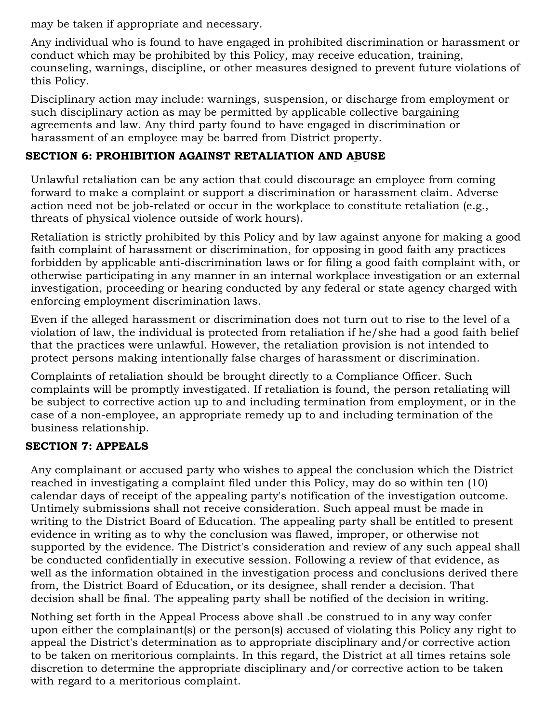may be taken if appropriate and necessary.

Any individual who is found to have engaged in prohibited discrimination or harassment or conduct which may be prohibited by this Policy, may receive education, training, counseling, warnings, discipline, or other measures designed to prevent future violations of this Policy.

Disciplinary action may include: warnings, suspension, or discharge from employment or such disciplinary action as may be permitted by applicable collective bargaining agreements and law. Any third party found to have engaged in discrimination or harassment of an employee may be barred from District property.

# **SECTION 6: PROHIBITION AGAINST RETALIATION AND ABUSE**

Unlawful retaliation can be any action that could discourage an employee from coming forward to make a complaint or support a discrimination or harassment claim. Adverse action need not be job-related or occur in the workplace to constitute retaliation (e.g., threats of physical violence outside of work hours).

Retaliation is strictly prohibited by this Policy and by law against anyone for making a good faith complaint of harassment or discrimination, for opposing in good faith any practices forbidden by applicable anti-discrimination laws or for filing a good faith complaint with, or otherwise participating in any manner in an internal workplace investigation or an external investigation, proceeding or hearing conducted by any federal or state agency charged with enforcing employment discrimination laws.

Even if the alleged harassment or discrimination does not turn out to rise to the level of a violation of law, the individual is protected from retaliation if he/she had a good faith belief that the practices were unlawful. However, the retaliation provision is not intended to protect persons making intentionally false charges of harassment or discrimination.

Complaints of retaliation should be brought directly to a Compliance Officer. Such complaints will be promptly investigated. If retaliation is found, the person retaliating will be subject to corrective action up to and including termination from employment, or in the case of a non-employee, an appropriate remedy up to and including termination of the business relationship.

# **SECTION 7: APPEALS**

Any complainant or accused party who wishes to appeal the conclusion which the District reached in investigating a complaint filed under this Policy, may do so within ten (10) calendar days of receipt of the appealing party's notification of the investigation outcome. Untimely submissions shall not receive consideration. Such appeal must be made in writing to the District Board of Education. The appealing party shall be entitled to present evidence in writing as to why the conclusion was flawed, improper, or otherwise not supported by the evidence. The District's consideration and review of any such appeal shall be conducted confidentially in executive session. Following a review of that evidence, as well as the information obtained in the investigation process and conclusions derived there from, the District Board of Education, or its designee, shall render a decision. That decision shall be final. The appealing party shall be notified of the decision in writing.

Nothing set forth in the Appeal Process above shall .be construed to in any way confer upon either the complainant(s) or the person(s) accused of violating this Policy any right to appeal the District's determination as to appropriate disciplinary and/or corrective action to be taken on meritorious complaints. In this regard, the District at all times retains sole discretion to determine the appropriate disciplinary and/or corrective action to be taken with regard to a meritorious complaint.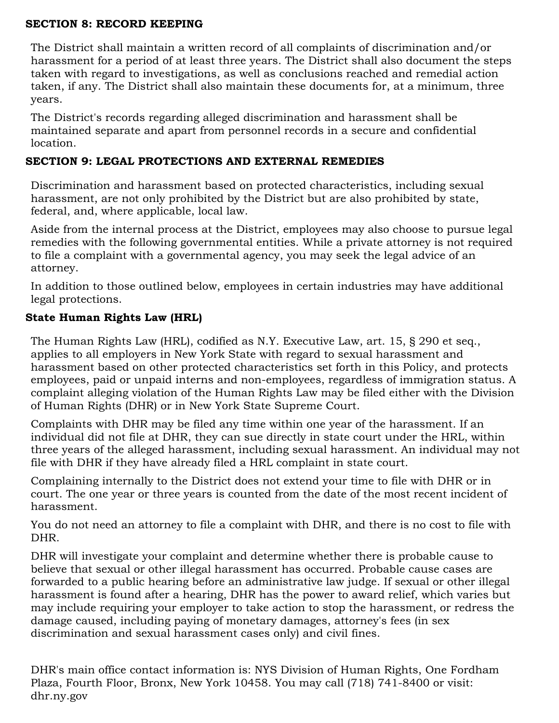#### **SECTION 8: RECORD KEEPING**

The District shall maintain a written record of all complaints of discrimination and/or harassment for a period of at least three years. The District shall also document the steps taken with regard to investigations, as well as conclusions reached and remedial action taken, if any. The District shall also maintain these documents for, at a minimum, three years.

The District's records regarding alleged discrimination and harassment shall be maintained separate and apart from personnel records in a secure and confidential location.

### **SECTION 9: LEGAL PROTECTIONS AND EXTERNAL REMEDIES**

Discrimination and harassment based on protected characteristics, including sexual harassment, are not only prohibited by the District but are also prohibited by state, federal, and, where applicable, local law.

Aside from the internal process at the District, employees may also choose to pursue legal remedies with the following governmental entities. While a private attorney is not required to file a complaint with a governmental agency, you may seek the legal advice of an attorney.

In addition to those outlined below, employees in certain industries may have additional legal protections.

# **State Human Rights Law (HRL)**

The Human Rights Law (HRL), codified as N.Y. Executive Law, art. 15, § 290 et seq., applies to all employers in New York State with regard to sexual harassment and harassment based on other protected characteristics set forth in this Policy, and protects employees, paid or unpaid interns and non-employees, regardless of immigration status. A complaint alleging violation of the Human Rights Law may be filed either with the Division of Human Rights (DHR) or in New York State Supreme Court.

Complaints with DHR may be filed any time within one year of the harassment. If an individual did not file at DHR, they can sue directly in state court under the HRL, within three years of the alleged harassment, including sexual harassment. An individual may not file with DHR if they have already filed a HRL complaint in state court.

Complaining internally to the District does not extend your time to file with DHR or in court. The one year or three years is counted from the date of the most recent incident of harassment.

You do not need an attorney to file a complaint with DHR, and there is no cost to file with DHR.

DHR will investigate your complaint and determine whether there is probable cause to believe that sexual or other illegal harassment has occurred. Probable cause cases are forwarded to a public hearing before an administrative law judge. If sexual or other illegal harassment is found after a hearing, DHR has the power to award relief, which varies but may include requiring your employer to take action to stop the harassment, or redress the damage caused, including paying of monetary damages, attorney's fees (in sex discrimination and sexual harassment cases only) and civil fines.

DHR's main office contact information is: NYS Division of Human Rights, One Fordham Plaza, Fourth Floor, Bronx, New York 10458. You may call (718) 741-8400 or visit: dhr.ny.gov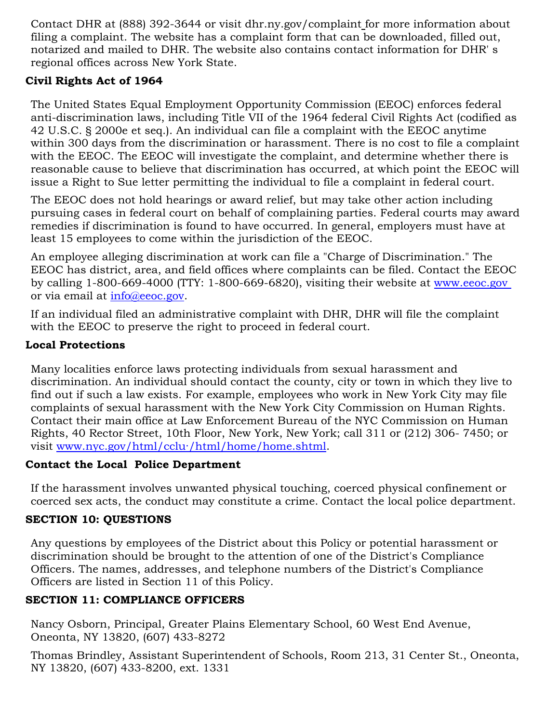Contact DHR at (888) 392-3644 or visit dhr.ny.gov/complaint for more information about filing a complaint. The website has a complaint form that can be downloaded, filled out, notarized and mailed to DHR. The website also contains contact information for DHR' s regional offices across New York State.

# **Civil Rights Act of 1964**

The United States Equal Employment Opportunity Commission (EEOC) enforces federal anti-discrimination laws, including Title VII of the 1964 federal Civil Rights Act (codified as 42 U.S.C. § 2000e et seq.). An individual can file a complaint with the EEOC anytime within 300 days from the discrimination or harassment. There is no cost to file a complaint with the EEOC. The EEOC will investigate the complaint, and determine whether there is reasonable cause to believe that discrimination has occurred, at which point the EEOC will issue a Right to Sue letter permitting the individual to file a complaint in federal court.

The EEOC does not hold hearings or award relief, but may take other action including pursuing cases in federal court on behalf of complaining parties. Federal courts may award remedies if discrimination is found to have occurred. In general, employers must have at least 15 employees to come within the jurisdiction of the EEOC.

An employee alleging discrimination at work can file a "Charge of Discrimination." The EEOC has district, area, and field offices where complaints can be filed. Contact the EEOC by calling 1-800-669-4000 (TTY: 1-800-669-6820), visiting their website at [www.eeoc.gov](http://www.eeoc.gov/) or via email at [info@eeoc.gov.](mailto:info@eeoc.gov)

If an individual filed an administrative complaint with DHR, DHR will file the complaint with the EEOC to preserve the right to proceed in federal court.

# **Local Protections**

Many localities enforce laws protecting individuals from sexual harassment and discrimination. An individual should contact the county, city or town in which they live to find out if such a law exists. For example, employees who work in New York City may file complaints of sexual harassment with the New York City Commission on Human Rights. Contact their main office at Law Enforcement Bureau of the NYC Commission on Human Rights, 40 Rector Street, 10th Floor, New York, New York; call 311 or (212) 306- 7450; or visit [www.nyc.gov/html/cclu·/html/home/home.shtml.](http://www.nyc.gov/html/cclu%C2%B7/html/home/honi.e.shtml)

# **Contact the Local Police Department**

If the harassment involves unwanted physical touching, coerced physical confinement or coerced sex acts, the conduct may constitute a crime. Contact the local police department.

# **SECTION 10: QUESTIONS**

Any questions by employees of the District about this Policy or potential harassment or discrimination should be brought to the attention of one of the District's Compliance Officers. The names, addresses, and telephone numbers of the District's Compliance Officers are listed in Section 11 of this Policy.

# **SECTION 11: COMPLIANCE OFFICERS**

Nancy Osborn, Principal, Greater Plains Elementary School, 60 West End Avenue, Oneonta, NY 13820, (607) 433-8272

Thomas Brindley, Assistant Superintendent of Schools, Room 213, 31 Center St., Oneonta, NY 13820, (607) 433-8200, ext. 1331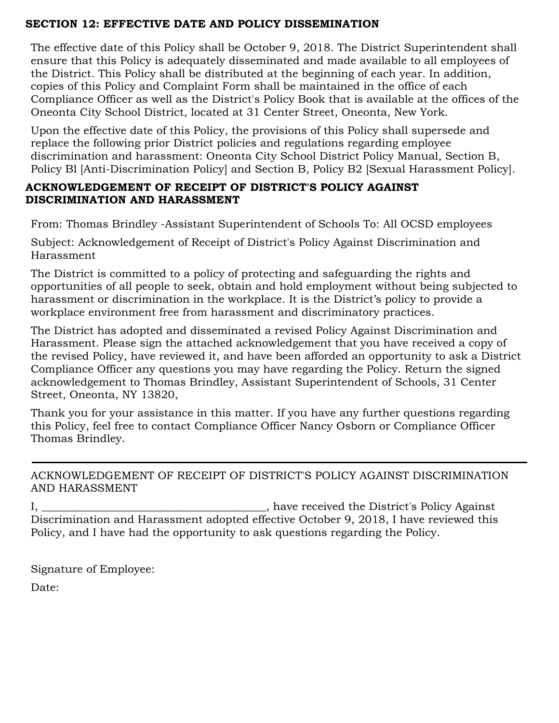# **SECTION 12: EFFECTIVE DATE AND POLICY DISSEMINATION**

The effective date of this Policy shall be October 9, 2018. The District Superintendent shall ensure that this Policy is adequately disseminated and made available to all employees of the District. This Policy shall be distributed at the beginning of each year. In addition, copies of this Policy and Complaint Form shall be maintained in the office of each Compliance Officer as well as the District's Policy Book that is available at the offices of the Oneonta City School District, located at 31 Center Street, Oneonta, New York.

Upon the effective date of this Policy, the provisions of this Policy shall supersede and replace the following prior District policies and regulations regarding employee discrimination and harassment: Oneonta City School District Policy Manual, Section B, Policy Bl [Anti-Discrimination Policy] and Section B, Policy B2 [Sexual Harassment Policy].

### **ACKNOWLEDGEMENT OF RECEIPT OF DISTRICT'S POLICY AGAINST DISCRIMINATION AND HARASSMENT**

From: Thomas Brindley -Assistant Superintendent of Schools To: All OCSD employees

Subject: Acknowledgement of Receipt of District's Policy Against Discrimination and Harassment

The District is committed to a policy of protecting and safeguarding the rights and opportunities of all people to seek, obtain and hold employment without being subjected to harassment or discrimination in the workplace. It is the District's policy to provide a workplace environment free from harassment and discriminatory practices.

The District has adopted and disseminated a revised Policy Against Discrimination and Harassment. Please sign the attached acknowledgement that you have received a copy of the revised Policy, have reviewed it, and have been afforded an opportunity to ask a District Compliance Officer any questions you may have regarding the Policy. Return the signed acknowledgement to Thomas Brindley, Assistant Superintendent of Schools, 31 Center Street, Oneonta, NY 13820,

Thank you for your assistance in this matter. If you have any further questions regarding this Policy, feel free to contact Compliance Officer Nancy Osborn or Compliance Officer Thomas Brindley.

# ACKNOWLEDGEMENT OF RECEIPT OF DISTRICT'S POLICY AGAINST DISCRIMINATION AND HARASSMENT

I, \_\_\_\_\_\_\_\_\_\_\_\_\_\_\_\_\_\_\_\_\_\_\_\_\_\_\_\_\_\_\_\_\_\_\_\_\_\_\_\_\_, have received the District's Policy Against Discrimination and Harassment adopted effective October 9, 2018, I have reviewed this Policy, and I have had the opportunity to ask questions regarding the Policy.

Signature of Employee:

Date: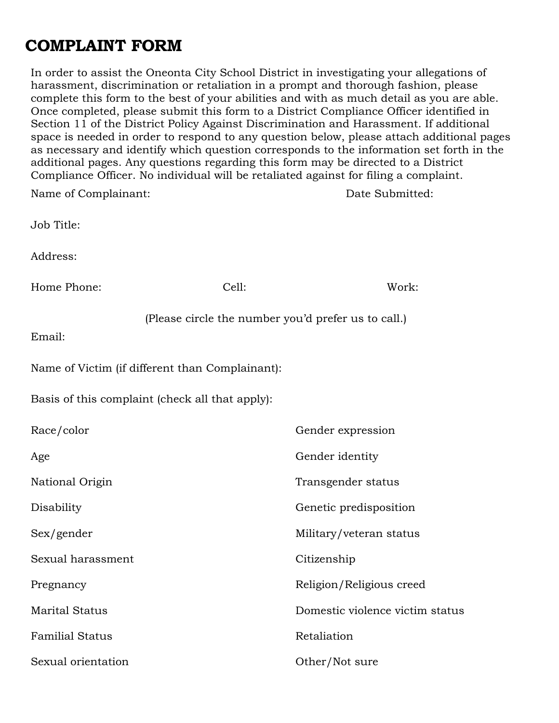# **COMPLAINT FORM**

In order to assist the Oneonta City School District in investigating your allegations of harassment, discrimination or retaliation in a prompt and thorough fashion, please complete this form to the best of your abilities and with as much detail as you are able. Once completed, please submit this form to a District Compliance Officer identified in Section 11 of the District Policy Against Discrimination and Harassment. If additional space is needed in order to respond to any question below, please attach additional pages as necessary and identify which question corresponds to the information set forth in the additional pages. Any questions regarding this form may be directed to a District Compliance Officer. No individual will be retaliated against for filing a complaint.

| Name of Complainant:   |                                                     | Date Submitted:                 |
|------------------------|-----------------------------------------------------|---------------------------------|
| Job Title:             |                                                     |                                 |
| Address:               |                                                     |                                 |
| Home Phone:            | Cell:                                               | Work:                           |
| Email:                 | (Please circle the number you'd prefer us to call.) |                                 |
|                        | Name of Victim (if different than Complainant):     |                                 |
|                        | Basis of this complaint (check all that apply):     |                                 |
| Race/color             |                                                     | Gender expression               |
| Age                    |                                                     | Gender identity                 |
| National Origin        |                                                     | Transgender status              |
| Disability             |                                                     | Genetic predisposition          |
| Sex/gender             |                                                     | Military/veteran status         |
| Sexual harassment      |                                                     | Citizenship                     |
| Pregnancy              |                                                     | Religion/Religious creed        |
| <b>Marital Status</b>  |                                                     | Domestic violence victim status |
| <b>Familial Status</b> |                                                     | Retaliation                     |
| Sexual orientation     |                                                     | Other/Not sure                  |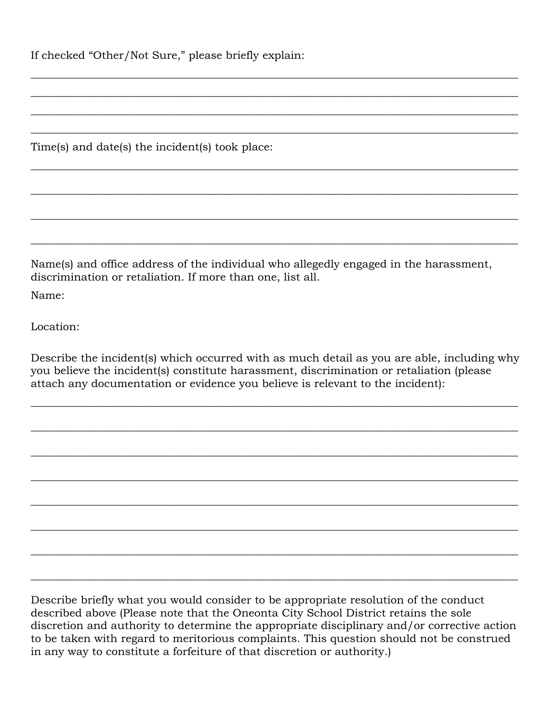If checked "Other/Not Sure," please briefly explain:

Time(s) and date(s) the incident(s) took place:

Name(s) and office address of the individual who allegedly engaged in the harassment, discrimination or retaliation. If more than one, list all.

\_\_\_\_\_\_\_\_\_\_\_\_\_\_\_\_\_\_\_\_\_\_\_\_\_\_\_\_\_\_\_\_\_\_\_\_\_\_\_\_\_\_\_\_\_\_\_\_\_\_\_\_\_\_\_\_\_\_\_\_\_\_\_\_\_\_\_\_\_\_\_\_\_\_\_\_\_\_\_\_\_\_\_\_\_\_\_\_\_

\_\_\_\_\_\_\_\_\_\_\_\_\_\_\_\_\_\_\_\_\_\_\_\_\_\_\_\_\_\_\_\_\_\_\_\_\_\_\_\_\_\_\_\_\_\_\_\_\_\_\_\_\_\_\_\_\_\_\_\_\_\_\_\_\_\_\_\_\_\_\_\_\_\_\_\_\_\_\_\_\_\_\_\_\_\_\_\_\_

\_\_\_\_\_\_\_\_\_\_\_\_\_\_\_\_\_\_\_\_\_\_\_\_\_\_\_\_\_\_\_\_\_\_\_\_\_\_\_\_\_\_\_\_\_\_\_\_\_\_\_\_\_\_\_\_\_\_\_\_\_\_\_\_\_\_\_\_\_\_\_\_\_\_\_\_\_\_\_\_\_\_\_\_\_\_\_\_\_

\_\_\_\_\_\_\_\_\_\_\_\_\_\_\_\_\_\_\_\_\_\_\_\_\_\_\_\_\_\_\_\_\_\_\_\_\_\_\_\_\_\_\_\_\_\_\_\_\_\_\_\_\_\_\_\_\_\_\_\_\_\_\_\_\_\_\_\_\_\_\_\_\_\_\_\_\_\_\_\_\_\_\_\_\_\_\_\_\_

\_\_\_\_\_\_\_\_\_\_\_\_\_\_\_\_\_\_\_\_\_\_\_\_\_\_\_\_\_\_\_\_\_\_\_\_\_\_\_\_\_\_\_\_\_\_\_\_\_\_\_\_\_\_\_\_\_\_\_\_\_\_\_\_\_\_\_\_\_\_\_\_\_\_\_\_\_\_\_\_\_\_\_\_\_\_\_\_\_

\_\_\_\_\_\_\_\_\_\_\_\_\_\_\_\_\_\_\_\_\_\_\_\_\_\_\_\_\_\_\_\_\_\_\_\_\_\_\_\_\_\_\_\_\_\_\_\_\_\_\_\_\_\_\_\_\_\_\_\_\_\_\_\_\_\_\_\_\_\_\_\_\_\_\_\_\_\_\_\_\_\_\_\_\_\_\_\_\_

\_\_\_\_\_\_\_\_\_\_\_\_\_\_\_\_\_\_\_\_\_\_\_\_\_\_\_\_\_\_\_\_\_\_\_\_\_\_\_\_\_\_\_\_\_\_\_\_\_\_\_\_\_\_\_\_\_\_\_\_\_\_\_\_\_\_\_\_\_\_\_\_\_\_\_\_\_\_\_\_\_\_\_\_\_\_\_\_\_

\_\_\_\_\_\_\_\_\_\_\_\_\_\_\_\_\_\_\_\_\_\_\_\_\_\_\_\_\_\_\_\_\_\_\_\_\_\_\_\_\_\_\_\_\_\_\_\_\_\_\_\_\_\_\_\_\_\_\_\_\_\_\_\_\_\_\_\_\_\_\_\_\_\_\_\_\_\_\_\_\_\_\_\_\_\_\_\_\_

Name:

Location:

Describe the incident(s) which occurred with as much detail as you are able, including why you believe the incident(s) constitute harassment, discrimination or retaliation (please attach any documentation or evidence you believe is relevant to the incident):

\_\_\_\_\_\_\_\_\_\_\_\_\_\_\_\_\_\_\_\_\_\_\_\_\_\_\_\_\_\_\_\_\_\_\_\_\_\_\_\_\_\_\_\_\_\_\_\_\_\_\_\_\_\_\_\_\_\_\_\_\_\_\_\_\_\_\_\_\_\_\_\_\_\_\_\_\_\_\_\_\_\_\_\_\_\_\_\_\_

\_\_\_\_\_\_\_\_\_\_\_\_\_\_\_\_\_\_\_\_\_\_\_\_\_\_\_\_\_\_\_\_\_\_\_\_\_\_\_\_\_\_\_\_\_\_\_\_\_\_\_\_\_\_\_\_\_\_\_\_\_\_\_\_\_\_\_\_\_\_\_\_\_\_\_\_\_\_\_\_\_\_\_\_\_\_\_\_\_

\_\_\_\_\_\_\_\_\_\_\_\_\_\_\_\_\_\_\_\_\_\_\_\_\_\_\_\_\_\_\_\_\_\_\_\_\_\_\_\_\_\_\_\_\_\_\_\_\_\_\_\_\_\_\_\_\_\_\_\_\_\_\_\_\_\_\_\_\_\_\_\_\_\_\_\_\_\_\_\_\_\_\_\_\_\_\_\_\_

\_\_\_\_\_\_\_\_\_\_\_\_\_\_\_\_\_\_\_\_\_\_\_\_\_\_\_\_\_\_\_\_\_\_\_\_\_\_\_\_\_\_\_\_\_\_\_\_\_\_\_\_\_\_\_\_\_\_\_\_\_\_\_\_\_\_\_\_\_\_\_\_\_\_\_\_\_\_\_\_\_\_\_\_\_\_\_\_\_

\_\_\_\_\_\_\_\_\_\_\_\_\_\_\_\_\_\_\_\_\_\_\_\_\_\_\_\_\_\_\_\_\_\_\_\_\_\_\_\_\_\_\_\_\_\_\_\_\_\_\_\_\_\_\_\_\_\_\_\_\_\_\_\_\_\_\_\_\_\_\_\_\_\_\_\_\_\_\_\_\_\_\_\_\_\_\_\_\_

\_\_\_\_\_\_\_\_\_\_\_\_\_\_\_\_\_\_\_\_\_\_\_\_\_\_\_\_\_\_\_\_\_\_\_\_\_\_\_\_\_\_\_\_\_\_\_\_\_\_\_\_\_\_\_\_\_\_\_\_\_\_\_\_\_\_\_\_\_\_\_\_\_\_\_\_\_\_\_\_\_\_\_\_\_\_\_\_\_

\_\_\_\_\_\_\_\_\_\_\_\_\_\_\_\_\_\_\_\_\_\_\_\_\_\_\_\_\_\_\_\_\_\_\_\_\_\_\_\_\_\_\_\_\_\_\_\_\_\_\_\_\_\_\_\_\_\_\_\_\_\_\_\_\_\_\_\_\_\_\_\_\_\_\_\_\_\_\_\_\_\_\_\_\_\_\_\_\_

\_\_\_\_\_\_\_\_\_\_\_\_\_\_\_\_\_\_\_\_\_\_\_\_\_\_\_\_\_\_\_\_\_\_\_\_\_\_\_\_\_\_\_\_\_\_\_\_\_\_\_\_\_\_\_\_\_\_\_\_\_\_\_\_\_\_\_\_\_\_\_\_\_\_\_\_\_\_\_\_\_\_\_\_\_\_\_\_\_

Describe briefly what you would consider to be appropriate resolution of the conduct described above (Please note that the Oneonta City School District retains the sole discretion and authority to determine the appropriate disciplinary and/or corrective action to be taken with regard to meritorious complaints. This question should not be construed in any way to constitute a forfeiture of that discretion or authority.)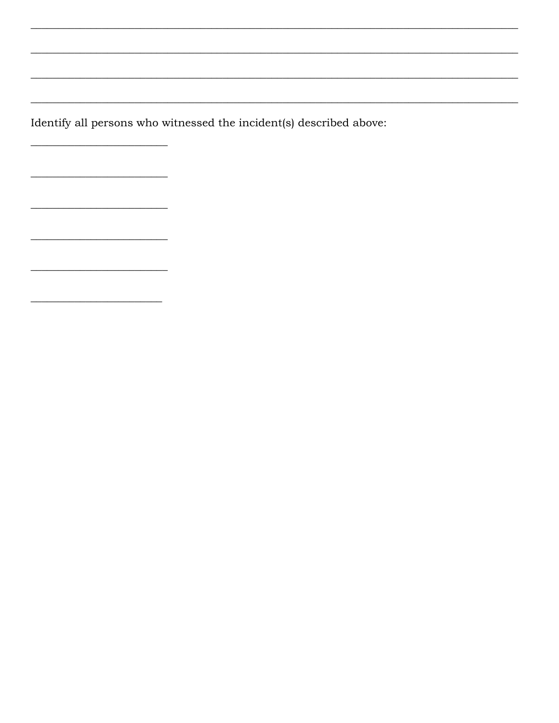Identify all persons who witnessed the incident(s) described above:

 $\overline{\phantom{0}}$ 

<u> 1989 - Johann Stoff, Amerikaansk politiker († 1908)</u>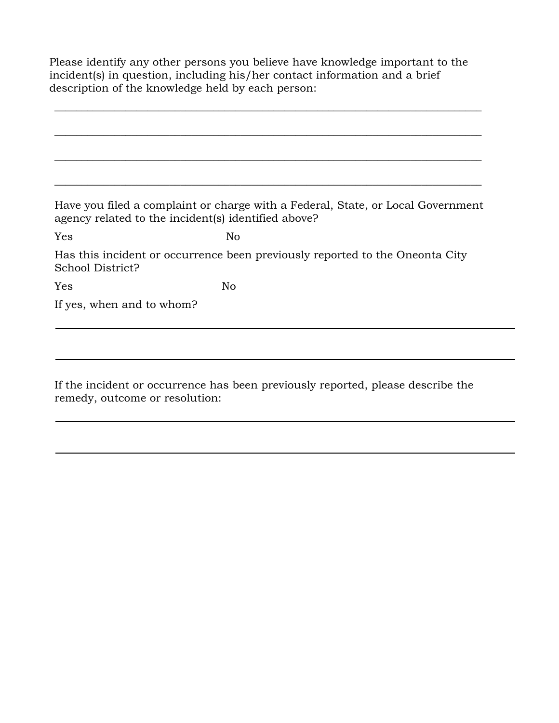Please identify any other persons you believe have knowledge important to the incident(s) in question, including his/her contact information and a brief description of the knowledge held by each person:

\_\_\_\_\_\_\_\_\_\_\_\_\_\_\_\_\_\_\_\_\_\_\_\_\_\_\_\_\_\_\_\_\_\_\_\_\_\_\_\_\_\_\_\_\_\_\_\_\_\_\_\_\_\_\_\_\_\_\_\_\_\_\_\_\_\_\_\_\_\_\_\_\_\_\_\_\_\_

|                           | Have you filed a complaint or charge with a Federal, State, or Local Government<br>agency related to the incident(s) identified above? |
|---------------------------|----------------------------------------------------------------------------------------------------------------------------------------|
| Yes                       | No                                                                                                                                     |
| School District?          | Has this incident or occurrence been previously reported to the Oneonta City                                                           |
| Yes                       | No                                                                                                                                     |
| If yes, when and to whom? |                                                                                                                                        |
|                           |                                                                                                                                        |

If the incident or occurrence has been previously reported, please describe the remedy, outcome or resolution: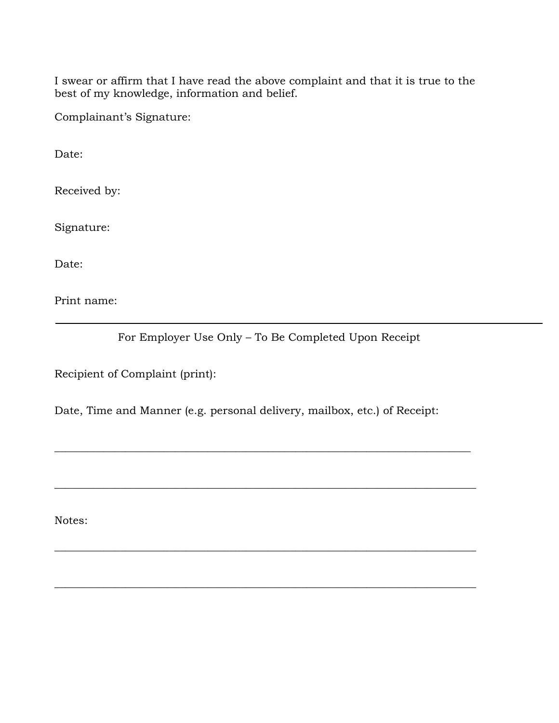I swear or affirm that I have read the above complaint and that it is true to the best of my knowledge, information and belief.

Complainant's Signature:

Date:

Received by:

Signature:

Date:

Print name:

For Employer Use Only – To Be Completed Upon Receipt

Recipient of Complaint (print):

Date, Time and Manner (e.g. personal delivery, mailbox, etc.) of Receipt:

\_\_\_\_\_\_\_\_\_\_\_\_\_\_\_\_\_\_\_\_\_\_\_\_\_\_\_\_\_\_\_\_\_\_\_\_\_\_\_\_\_\_\_\_\_\_\_\_\_\_\_\_\_\_\_\_\_\_\_\_\_\_\_\_\_\_\_\_\_\_\_\_\_\_\_\_

\_\_\_\_\_\_\_\_\_\_\_\_\_\_\_\_\_\_\_\_\_\_\_\_\_\_\_\_\_\_\_\_\_\_\_\_\_\_\_\_\_\_\_\_\_\_\_\_\_\_\_\_\_\_\_\_\_\_\_\_\_\_\_\_\_\_\_\_\_\_\_\_\_\_\_\_\_

\_\_\_\_\_\_\_\_\_\_\_\_\_\_\_\_\_\_\_\_\_\_\_\_\_\_\_\_\_\_\_\_\_\_\_\_\_\_\_\_\_\_\_\_\_\_\_\_\_\_\_\_\_\_\_\_\_\_\_\_\_\_\_\_\_\_\_\_\_\_\_\_\_\_\_\_\_

\_\_\_\_\_\_\_\_\_\_\_\_\_\_\_\_\_\_\_\_\_\_\_\_\_\_\_\_\_\_\_\_\_\_\_\_\_\_\_\_\_\_\_\_\_\_\_\_\_\_\_\_\_\_\_\_\_\_\_\_\_\_\_\_\_\_\_\_\_\_\_\_\_\_\_\_\_

Notes: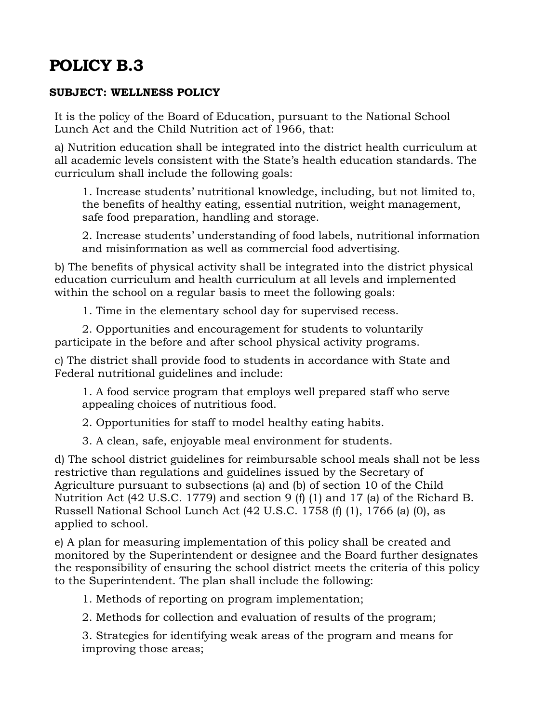### **SUBJECT: WELLNESS POLICY**

It is the policy of the Board of Education, pursuant to the National School Lunch Act and the Child Nutrition act of 1966, that:

a) Nutrition education shall be integrated into the district health curriculum at all academic levels consistent with the State's health education standards. The curriculum shall include the following goals:

1. Increase students' nutritional knowledge, including, but not limited to, the benefits of healthy eating, essential nutrition, weight management, safe food preparation, handling and storage.

2. Increase students' understanding of food labels, nutritional information and misinformation as well as commercial food advertising.

b) The benefits of physical activity shall be integrated into the district physical education curriculum and health curriculum at all levels and implemented within the school on a regular basis to meet the following goals:

1. Time in the elementary school day for supervised recess.

2. Opportunities and encouragement for students to voluntarily participate in the before and after school physical activity programs.

c) The district shall provide food to students in accordance with State and Federal nutritional guidelines and include:

1. A food service program that employs well prepared staff who serve appealing choices of nutritious food.

2. Opportunities for staff to model healthy eating habits.

3. A clean, safe, enjoyable meal environment for students.

d) The school district guidelines for reimbursable school meals shall not be less restrictive than regulations and guidelines issued by the Secretary of Agriculture pursuant to subsections (a) and (b) of section 10 of the Child Nutrition Act (42 U.S.C. 1779) and section 9 (f) (1) and 17 (a) of the Richard B. Russell National School Lunch Act (42 U.S.C. 1758 (f) (1), 1766 (a) (0), as applied to school.

e) A plan for measuring implementation of this policy shall be created and monitored by the Superintendent or designee and the Board further designates the responsibility of ensuring the school district meets the criteria of this policy to the Superintendent. The plan shall include the following:

1. Methods of reporting on program implementation;

2. Methods for collection and evaluation of results of the program;

3. Strategies for identifying weak areas of the program and means for improving those areas;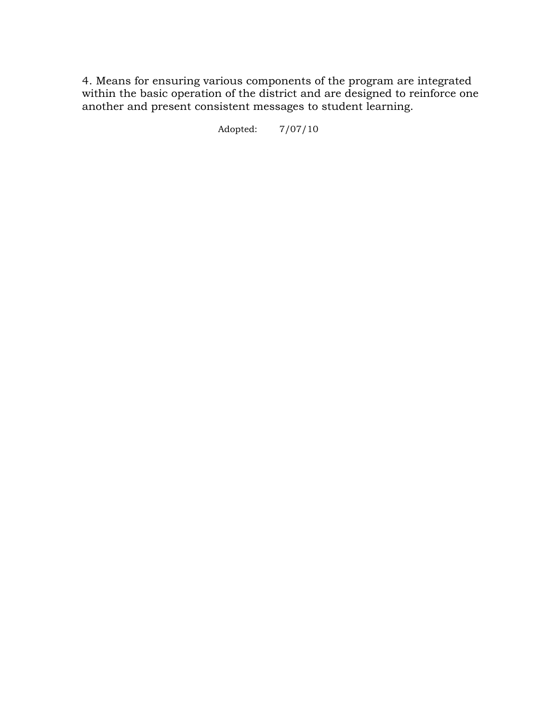4. Means for ensuring various components of the program are integrated within the basic operation of the district and are designed to reinforce one another and present consistent messages to student learning.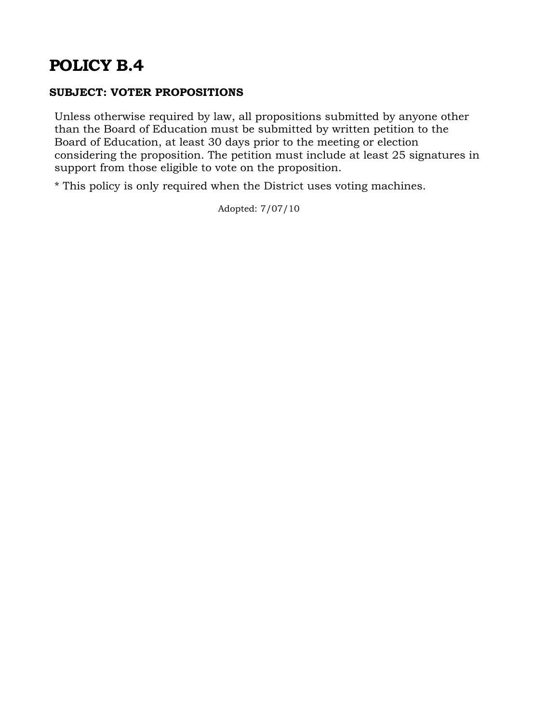# **SUBJECT: VOTER PROPOSITIONS**

Unless otherwise required by law, all propositions submitted by anyone other than the Board of Education must be submitted by written petition to the Board of Education, at least 30 days prior to the meeting or election considering the proposition. The petition must include at least 25 signatures in support from those eligible to vote on the proposition.

\* This policy is only required when the District uses voting machines.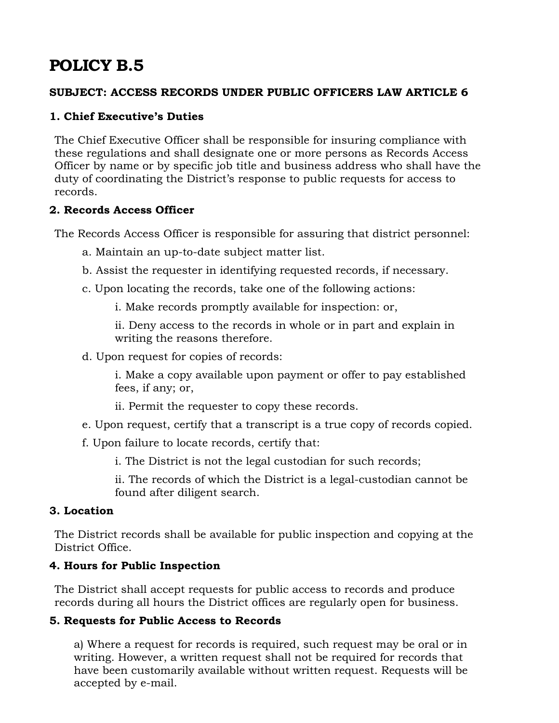#### **SUBJECT: ACCESS RECORDS UNDER PUBLIC OFFICERS LAW ARTICLE 6**

# **1. Chief Executive's Duties**

The Chief Executive Officer shall be responsible for insuring compliance with these regulations and shall designate one or more persons as Records Access Officer by name or by specific job title and business address who shall have the duty of coordinating the District's response to public requests for access to records.

#### **2. Records Access Officer**

The Records Access Officer is responsible for assuring that district personnel:

- a. Maintain an up-to-date subject matter list.
- b. Assist the requester in identifying requested records, if necessary.
- c. Upon locating the records, take one of the following actions:
	- i. Make records promptly available for inspection: or,

ii. Deny access to the records in whole or in part and explain in writing the reasons therefore.

d. Upon request for copies of records:

i. Make a copy available upon payment or offer to pay established fees, if any; or,

- ii. Permit the requester to copy these records.
- e. Upon request, certify that a transcript is a true copy of records copied.
- f. Upon failure to locate records, certify that:
	- i. The District is not the legal custodian for such records;

ii. The records of which the District is a legal-custodian cannot be found after diligent search.

#### **3. Location**

The District records shall be available for public inspection and copying at the District Office.

#### **4. Hours for Public Inspection**

The District shall accept requests for public access to records and produce records during all hours the District offices are regularly open for business.

# **5. Requests for Public Access to Records**

a) Where a request for records is required, such request may be oral or in writing. However, a written request shall not be required for records that have been customarily available without written request. Requests will be accepted by e-mail.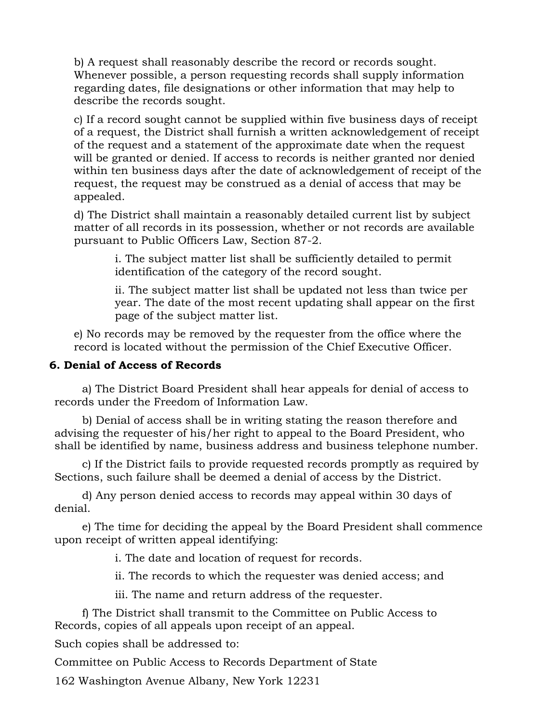b) A request shall reasonably describe the record or records sought. Whenever possible, a person requesting records shall supply information regarding dates, file designations or other information that may help to describe the records sought.

c) If a record sought cannot be supplied within five business days of receipt of a request, the District shall furnish a written acknowledgement of receipt of the request and a statement of the approximate date when the request will be granted or denied. If access to records is neither granted nor denied within ten business days after the date of acknowledgement of receipt of the request, the request may be construed as a denial of access that may be appealed.

d) The District shall maintain a reasonably detailed current list by subject matter of all records in its possession, whether or not records are available pursuant to Public Officers Law, Section 87-2.

i. The subject matter list shall be sufficiently detailed to permit identification of the category of the record sought.

ii. The subject matter list shall be updated not less than twice per year. The date of the most recent updating shall appear on the first page of the subject matter list.

e) No records may be removed by the requester from the office where the record is located without the permission of the Chief Executive Officer.

#### **6. Denial of Access of Records**

a) The District Board President shall hear appeals for denial of access to records under the Freedom of Information Law.

b) Denial of access shall be in writing stating the reason therefore and advising the requester of his/her right to appeal to the Board President, who shall be identified by name, business address and business telephone number.

c) If the District fails to provide requested records promptly as required by Sections, such failure shall be deemed a denial of access by the District.

d) Any person denied access to records may appeal within 30 days of denial.

e) The time for deciding the appeal by the Board President shall commence upon receipt of written appeal identifying:

i. The date and location of request for records.

ii. The records to which the requester was denied access; and

iii. The name and return address of the requester.

f) The District shall transmit to the Committee on Public Access to Records, copies of all appeals upon receipt of an appeal.

Such copies shall be addressed to:

Committee on Public Access to Records Department of State

162 Washington Avenue Albany, New York 12231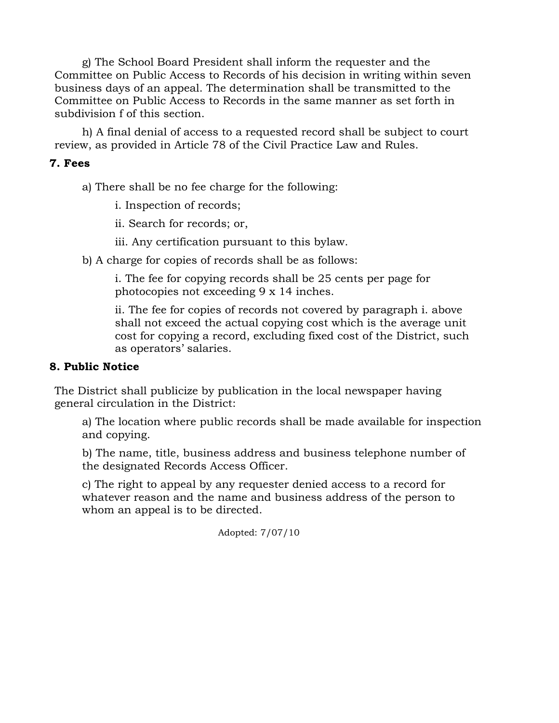g) The School Board President shall inform the requester and the Committee on Public Access to Records of his decision in writing within seven business days of an appeal. The determination shall be transmitted to the Committee on Public Access to Records in the same manner as set forth in subdivision f of this section.

h) A final denial of access to a requested record shall be subject to court review, as provided in Article 78 of the Civil Practice Law and Rules.

#### **7. Fees**

a) There shall be no fee charge for the following:

i. Inspection of records;

ii. Search for records; or,

iii. Any certification pursuant to this bylaw.

b) A charge for copies of records shall be as follows:

i. The fee for copying records shall be 25 cents per page for photocopies not exceeding 9 x 14 inches.

ii. The fee for copies of records not covered by paragraph i. above shall not exceed the actual copying cost which is the average unit cost for copying a record, excluding fixed cost of the District, such as operators' salaries.

# **8. Public Notice**

The District shall publicize by publication in the local newspaper having general circulation in the District:

a) The location where public records shall be made available for inspection and copying.

b) The name, title, business address and business telephone number of the designated Records Access Officer.

c) The right to appeal by any requester denied access to a record for whatever reason and the name and business address of the person to whom an appeal is to be directed.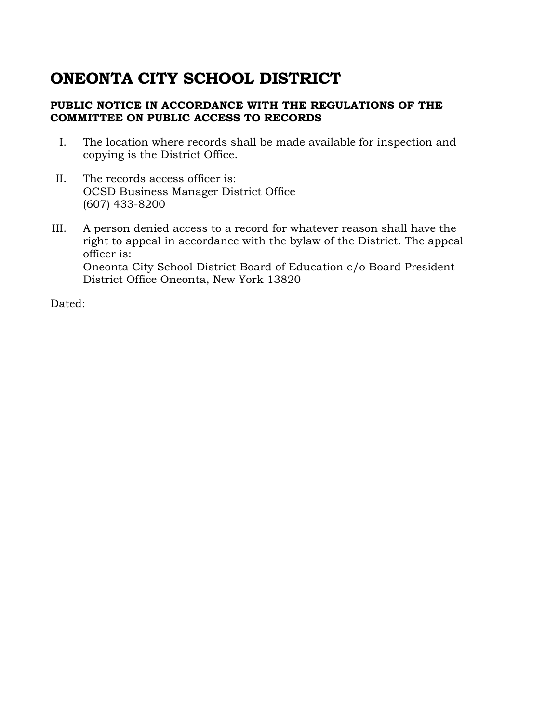# **ONEONTA CITY SCHOOL DISTRICT**

### **PUBLIC NOTICE IN ACCORDANCE WITH THE REGULATIONS OF THE COMMITTEE ON PUBLIC ACCESS TO RECORDS**

- I. The location where records shall be made available for inspection and copying is the District Office.
- II. The records access officer is: OCSD Business Manager District Office (607) 433-8200
- III. A person denied access to a record for whatever reason shall have the right to appeal in accordance with the bylaw of the District. The appeal officer is: Oneonta City School District Board of Education c/o Board President District Office Oneonta, New York 13820

Dated: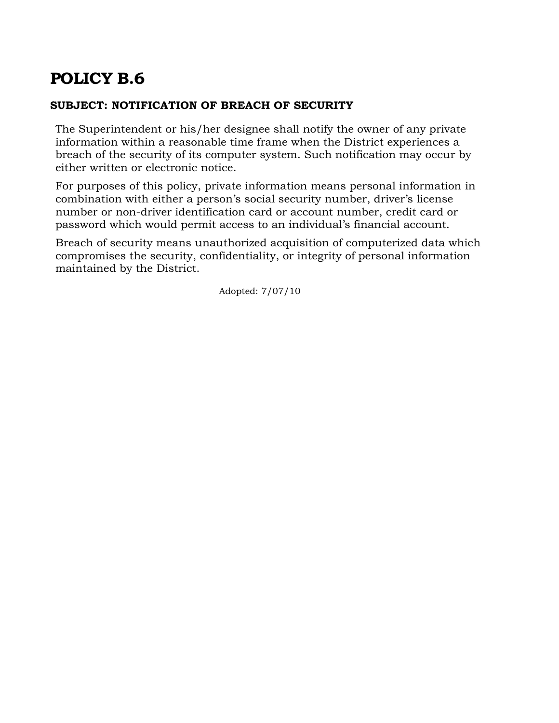### **SUBJECT: NOTIFICATION OF BREACH OF SECURITY**

The Superintendent or his/her designee shall notify the owner of any private information within a reasonable time frame when the District experiences a breach of the security of its computer system. Such notification may occur by either written or electronic notice.

For purposes of this policy, private information means personal information in combination with either a person's social security number, driver's license number or non-driver identification card or account number, credit card or password which would permit access to an individual's financial account.

Breach of security means unauthorized acquisition of computerized data which compromises the security, confidentiality, or integrity of personal information maintained by the District.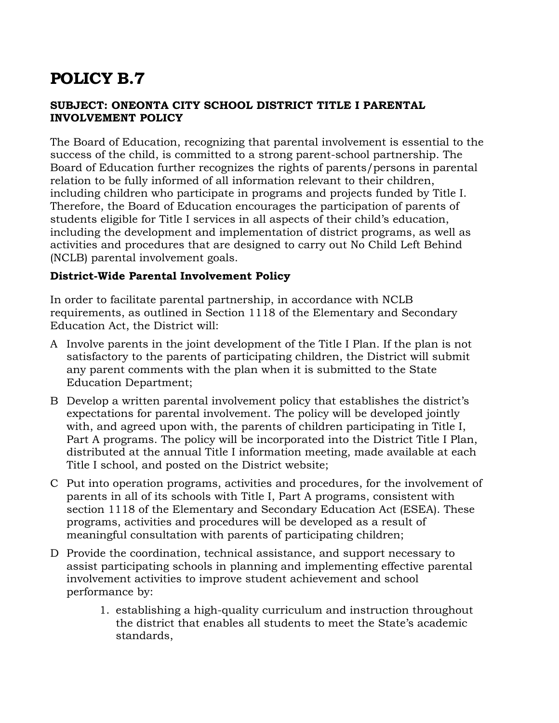# **SUBJECT: ONEONTA CITY SCHOOL DISTRICT TITLE I PARENTAL INVOLVEMENT POLICY**

The Board of Education, recognizing that parental involvement is essential to the success of the child, is committed to a strong parent-school partnership. The Board of Education further recognizes the rights of parents/persons in parental relation to be fully informed of all information relevant to their children, including children who participate in programs and projects funded by Title I. Therefore, the Board of Education encourages the participation of parents of students eligible for Title I services in all aspects of their child's education, including the development and implementation of district programs, as well as activities and procedures that are designed to carry out No Child Left Behind (NCLB) parental involvement goals.

# **District-Wide Parental Involvement Policy**

In order to facilitate parental partnership, in accordance with NCLB requirements, as outlined in Section 1118 of the Elementary and Secondary Education Act, the District will:

- A Involve parents in the joint development of the Title I Plan. If the plan is not satisfactory to the parents of participating children, the District will submit any parent comments with the plan when it is submitted to the State Education Department;
- B Develop a written parental involvement policy that establishes the district's expectations for parental involvement. The policy will be developed jointly with, and agreed upon with, the parents of children participating in Title I, Part A programs. The policy will be incorporated into the District Title I Plan, distributed at the annual Title I information meeting, made available at each Title I school, and posted on the District website;
- C Put into operation programs, activities and procedures, for the involvement of parents in all of its schools with Title I, Part A programs, consistent with section 1118 of the Elementary and Secondary Education Act (ESEA). These programs, activities and procedures will be developed as a result of meaningful consultation with parents of participating children;
- D Provide the coordination, technical assistance, and support necessary to assist participating schools in planning and implementing effective parental involvement activities to improve student achievement and school performance by:
	- 1. establishing a high-quality curriculum and instruction throughout the district that enables all students to meet the State's academic standards,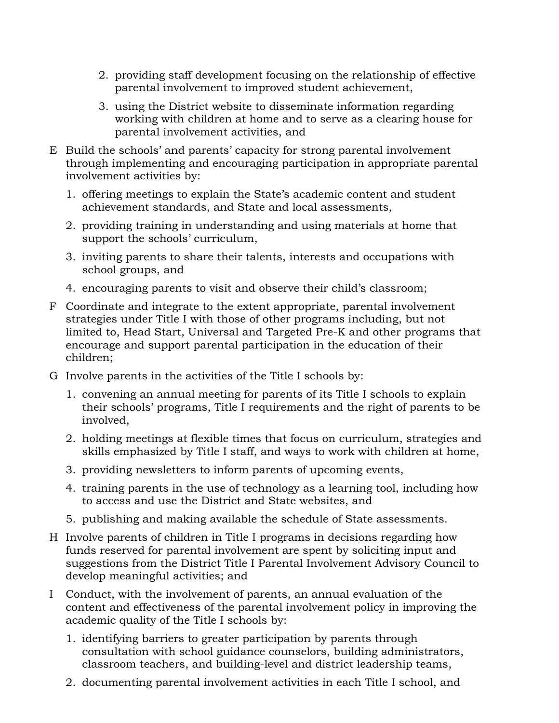- 2. providing staff development focusing on the relationship of effective parental involvement to improved student achievement,
- 3. using the District website to disseminate information regarding working with children at home and to serve as a clearing house for parental involvement activities, and
- E Build the schools' and parents' capacity for strong parental involvement through implementing and encouraging participation in appropriate parental involvement activities by:
	- 1. offering meetings to explain the State's academic content and student achievement standards, and State and local assessments,
	- 2. providing training in understanding and using materials at home that support the schools' curriculum,
	- 3. inviting parents to share their talents, interests and occupations with school groups, and
	- 4. encouraging parents to visit and observe their child's classroom;
- F Coordinate and integrate to the extent appropriate, parental involvement strategies under Title I with those of other programs including, but not limited to, Head Start, Universal and Targeted Pre-K and other programs that encourage and support parental participation in the education of their children;
- G Involve parents in the activities of the Title I schools by:
	- 1. convening an annual meeting for parents of its Title I schools to explain their schools' programs, Title I requirements and the right of parents to be involved,
	- 2. holding meetings at flexible times that focus on curriculum, strategies and skills emphasized by Title I staff, and ways to work with children at home,
	- 3. providing newsletters to inform parents of upcoming events,
	- 4. training parents in the use of technology as a learning tool, including how to access and use the District and State websites, and
	- 5. publishing and making available the schedule of State assessments.
- H Involve parents of children in Title I programs in decisions regarding how funds reserved for parental involvement are spent by soliciting input and suggestions from the District Title I Parental Involvement Advisory Council to develop meaningful activities; and
- I Conduct, with the involvement of parents, an annual evaluation of the content and effectiveness of the parental involvement policy in improving the academic quality of the Title I schools by:
	- 1. identifying barriers to greater participation by parents through consultation with school guidance counselors, building administrators, classroom teachers, and building-level and district leadership teams,
	- 2. documenting parental involvement activities in each Title I school, and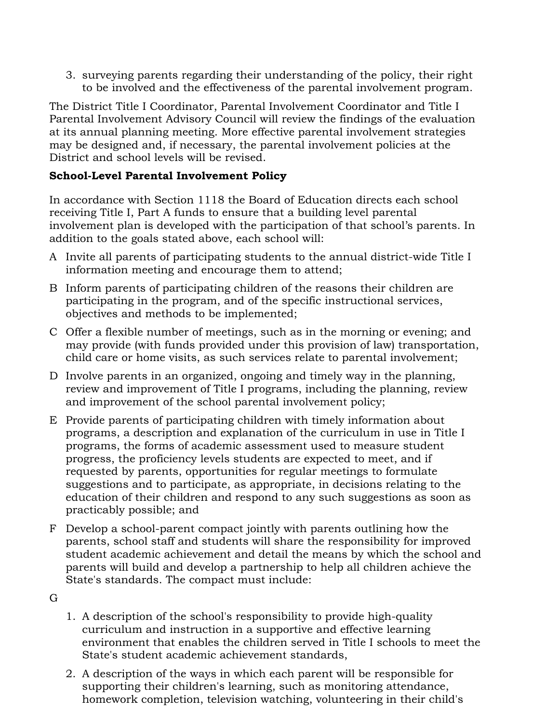3. surveying parents regarding their understanding of the policy, their right to be involved and the effectiveness of the parental involvement program.

The District Title I Coordinator, Parental Involvement Coordinator and Title I Parental Involvement Advisory Council will review the findings of the evaluation at its annual planning meeting. More effective parental involvement strategies may be designed and, if necessary, the parental involvement policies at the District and school levels will be revised.

# **School-Level Parental Involvement Policy**

In accordance with Section 1118 the Board of Education directs each school receiving Title I, Part A funds to ensure that a building level parental involvement plan is developed with the participation of that school's parents. In addition to the goals stated above, each school will:

- A Invite all parents of participating students to the annual district-wide Title I information meeting and encourage them to attend;
- B Inform parents of participating children of the reasons their children are participating in the program, and of the specific instructional services, objectives and methods to be implemented;
- C Offer a flexible number of meetings, such as in the morning or evening; and may provide (with funds provided under this provision of law) transportation, child care or home visits, as such services relate to parental involvement;
- D Involve parents in an organized, ongoing and timely way in the planning, review and improvement of Title I programs, including the planning, review and improvement of the school parental involvement policy;
- E Provide parents of participating children with timely information about programs, a description and explanation of the curriculum in use in Title I programs, the forms of academic assessment used to measure student progress, the proficiency levels students are expected to meet, and if requested by parents, opportunities for regular meetings to formulate suggestions and to participate, as appropriate, in decisions relating to the education of their children and respond to any such suggestions as soon as practicably possible; and
- F Develop a school-parent compact jointly with parents outlining how the parents, school staff and students will share the responsibility for improved student academic achievement and detail the means by which the school and parents will build and develop a partnership to help all children achieve the State's standards. The compact must include:
- G
- 1. A description of the school's responsibility to provide high-quality curriculum and instruction in a supportive and effective learning environment that enables the children served in Title I schools to meet the State's student academic achievement standards,
- 2. A description of the ways in which each parent will be responsible for supporting their children's learning, such as monitoring attendance, homework completion, television watching, volunteering in their child's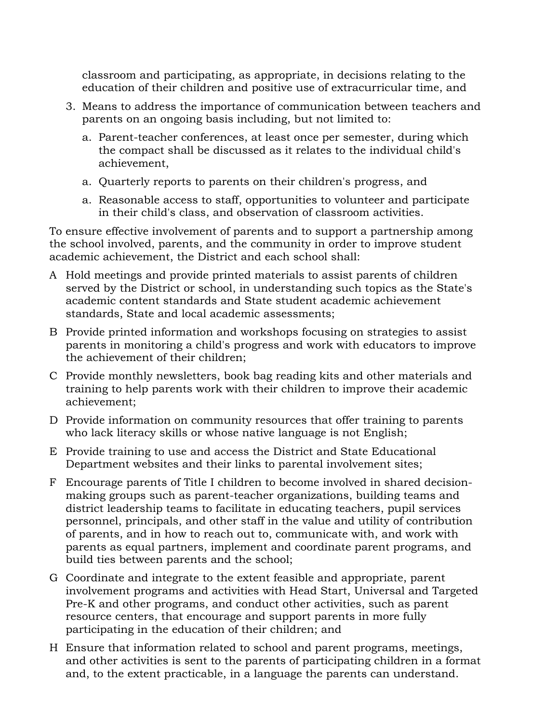classroom and participating, as appropriate, in decisions relating to the education of their children and positive use of extracurricular time, and

- 3. Means to address the importance of communication between teachers and parents on an ongoing basis including, but not limited to:
	- a. Parent-teacher conferences, at least once per semester, during which the compact shall be discussed as it relates to the individual child's achievement,
	- a. Quarterly reports to parents on their children's progress, and
	- a. Reasonable access to staff, opportunities to volunteer and participate in their child's class, and observation of classroom activities.

To ensure effective involvement of parents and to support a partnership among the school involved, parents, and the community in order to improve student academic achievement, the District and each school shall:

- A Hold meetings and provide printed materials to assist parents of children served by the District or school, in understanding such topics as the State's academic content standards and State student academic achievement standards, State and local academic assessments;
- B Provide printed information and workshops focusing on strategies to assist parents in monitoring a child's progress and work with educators to improve the achievement of their children;
- C Provide monthly newsletters, book bag reading kits and other materials and training to help parents work with their children to improve their academic achievement;
- D Provide information on community resources that offer training to parents who lack literacy skills or whose native language is not English;
- E Provide training to use and access the District and State Educational Department websites and their links to parental involvement sites;
- F Encourage parents of Title I children to become involved in shared decisionmaking groups such as parent-teacher organizations, building teams and district leadership teams to facilitate in educating teachers, pupil services personnel, principals, and other staff in the value and utility of contribution of parents, and in how to reach out to, communicate with, and work with parents as equal partners, implement and coordinate parent programs, and build ties between parents and the school;
- G Coordinate and integrate to the extent feasible and appropriate, parent involvement programs and activities with Head Start, Universal and Targeted Pre-K and other programs, and conduct other activities, such as parent resource centers, that encourage and support parents in more fully participating in the education of their children; and
- H Ensure that information related to school and parent programs, meetings, and other activities is sent to the parents of participating children in a format and, to the extent practicable, in a language the parents can understand.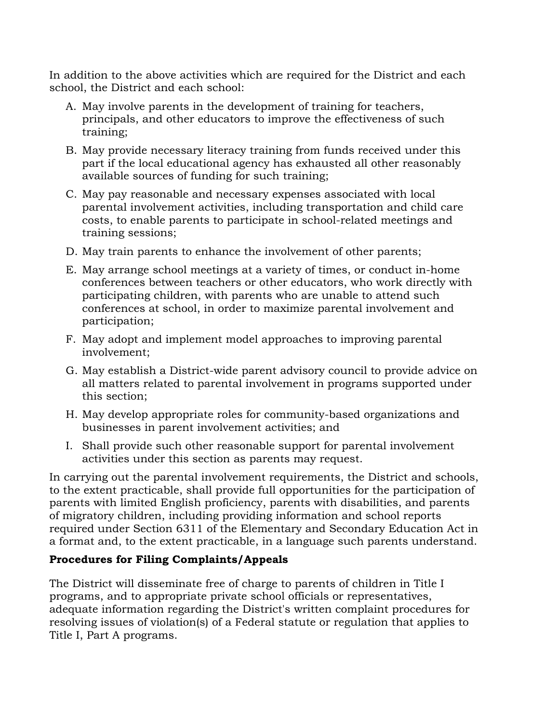In addition to the above activities which are required for the District and each school, the District and each school:

- A. May involve parents in the development of training for teachers, principals, and other educators to improve the effectiveness of such training;
- B. May provide necessary literacy training from funds received under this part if the local educational agency has exhausted all other reasonably available sources of funding for such training;
- C. May pay reasonable and necessary expenses associated with local parental involvement activities, including transportation and child care costs, to enable parents to participate in school-related meetings and training sessions;
- D. May train parents to enhance the involvement of other parents;
- E. May arrange school meetings at a variety of times, or conduct in-home conferences between teachers or other educators, who work directly with participating children, with parents who are unable to attend such conferences at school, in order to maximize parental involvement and participation;
- F. May adopt and implement model approaches to improving parental involvement;
- G. May establish a District-wide parent advisory council to provide advice on all matters related to parental involvement in programs supported under this section;
- H. May develop appropriate roles for community-based organizations and businesses in parent involvement activities; and
- I. Shall provide such other reasonable support for parental involvement activities under this section as parents may request.

In carrying out the parental involvement requirements, the District and schools, to the extent practicable, shall provide full opportunities for the participation of parents with limited English proficiency, parents with disabilities, and parents of migratory children, including providing information and school reports required under Section 6311 of the Elementary and Secondary Education Act in a format and, to the extent practicable, in a language such parents understand.

# **Procedures for Filing Complaints/Appeals**

The District will disseminate free of charge to parents of children in Title I programs, and to appropriate private school officials or representatives, adequate information regarding the District's written complaint procedures for resolving issues of violation(s) of a Federal statute or regulation that applies to Title I, Part A programs.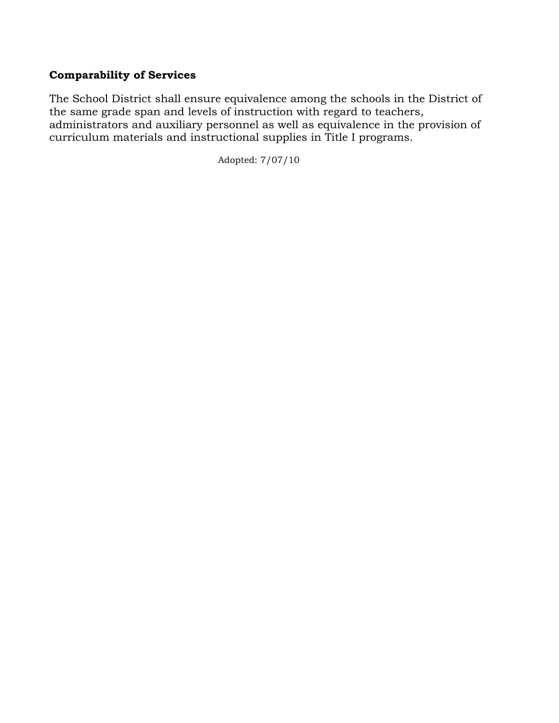# **Comparability of Services**

The School District shall ensure equivalence among the schools in the District of the same grade span and levels of instruction with regard to teachers, administrators and auxiliary personnel as well as equivalence in the provision of curriculum materials and instructional supplies in Title I programs.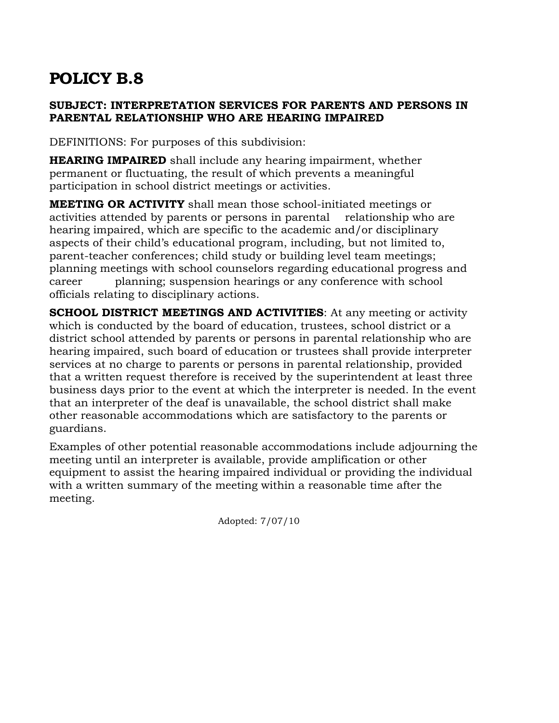### **SUBJECT: INTERPRETATION SERVICES FOR PARENTS AND PERSONS IN PARENTAL RELATIONSHIP WHO ARE HEARING IMPAIRED**

DEFINITIONS: For purposes of this subdivision:

**HEARING IMPAIRED** shall include any hearing impairment, whether permanent or fluctuating, the result of which prevents a meaningful participation in school district meetings or activities.

**MEETING OR ACTIVITY** shall mean those school-initiated meetings or activities attended by parents or persons in parental relationship who are hearing impaired, which are specific to the academic and/or disciplinary aspects of their child's educational program, including, but not limited to, parent-teacher conferences; child study or building level team meetings; planning meetings with school counselors regarding educational progress and career planning; suspension hearings or any conference with school officials relating to disciplinary actions.

**SCHOOL DISTRICT MEETINGS AND ACTIVITIES**: At any meeting or activity which is conducted by the board of education, trustees, school district or a district school attended by parents or persons in parental relationship who are hearing impaired, such board of education or trustees shall provide interpreter services at no charge to parents or persons in parental relationship, provided that a written request therefore is received by the superintendent at least three business days prior to the event at which the interpreter is needed. In the event that an interpreter of the deaf is unavailable, the school district shall make other reasonable accommodations which are satisfactory to the parents or guardians.

Examples of other potential reasonable accommodations include adjourning the meeting until an interpreter is available, provide amplification or other equipment to assist the hearing impaired individual or providing the individual with a written summary of the meeting within a reasonable time after the meeting.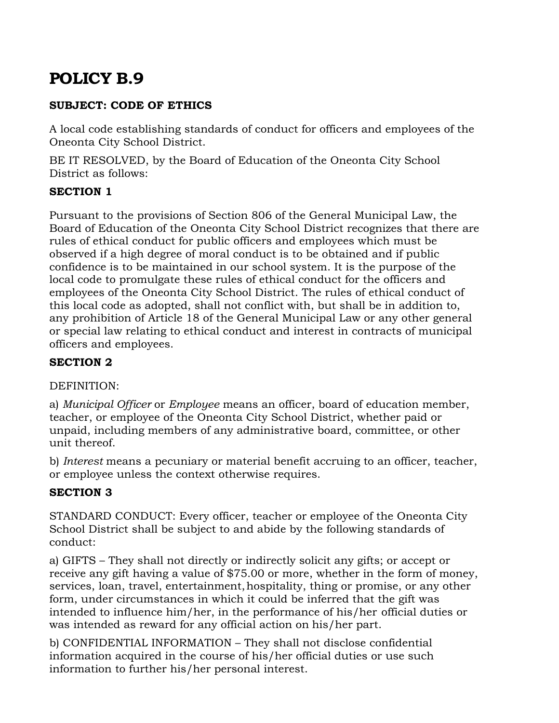# **SUBJECT: CODE OF ETHICS**

A local code establishing standards of conduct for officers and employees of the Oneonta City School District.

BE IT RESOLVED, by the Board of Education of the Oneonta City School District as follows:

# **SECTION 1**

Pursuant to the provisions of Section 806 of the General Municipal Law, the Board of Education of the Oneonta City School District recognizes that there are rules of ethical conduct for public officers and employees which must be observed if a high degree of moral conduct is to be obtained and if public confidence is to be maintained in our school system. It is the purpose of the local code to promulgate these rules of ethical conduct for the officers and employees of the Oneonta City School District. The rules of ethical conduct of this local code as adopted, shall not conflict with, but shall be in addition to, any prohibition of Article 18 of the General Municipal Law or any other general or special law relating to ethical conduct and interest in contracts of municipal officers and employees.

# **SECTION 2**

# DEFINITION:

a) *Municipal Officer* or *Employee* means an officer, board of education member, teacher, or employee of the Oneonta City School District, whether paid or unpaid, including members of any administrative board, committee, or other unit thereof.

b) *Interest* means a pecuniary or material benefit accruing to an officer, teacher, or employee unless the context otherwise requires.

# **SECTION 3**

STANDARD CONDUCT: Every officer, teacher or employee of the Oneonta City School District shall be subject to and abide by the following standards of conduct:

a) GIFTS – They shall not directly or indirectly solicit any gifts; or accept or receive any gift having a value of \$75.00 or more, whether in the form of money, services, loan, travel, entertainment, hospitality, thing or promise, or any other form, under circumstances in which it could be inferred that the gift was intended to influence him/her, in the performance of his/her official duties or was intended as reward for any official action on his/her part.

b) CONFIDENTIAL INFORMATION – They shall not disclose confidential information acquired in the course of his/her official duties or use such information to further his/her personal interest.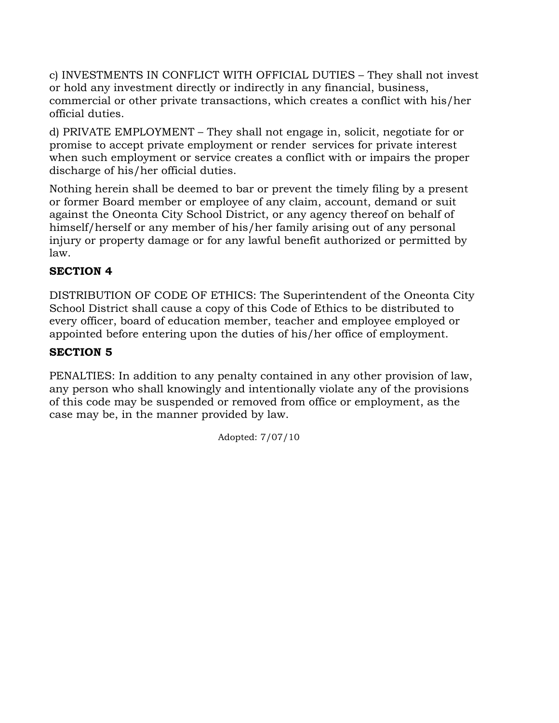c) INVESTMENTS IN CONFLICT WITH OFFICIAL DUTIES – They shall not invest or hold any investment directly or indirectly in any financial, business, commercial or other private transactions, which creates a conflict with his/her official duties.

d) PRIVATE EMPLOYMENT – They shall not engage in, solicit, negotiate for or promise to accept private employment or render services for private interest when such employment or service creates a conflict with or impairs the proper discharge of his/her official duties.

Nothing herein shall be deemed to bar or prevent the timely filing by a present or former Board member or employee of any claim, account, demand or suit against the Oneonta City School District, or any agency thereof on behalf of himself/herself or any member of his/her family arising out of any personal injury or property damage or for any lawful benefit authorized or permitted by law.

# **SECTION 4**

DISTRIBUTION OF CODE OF ETHICS: The Superintendent of the Oneonta City School District shall cause a copy of this Code of Ethics to be distributed to every officer, board of education member, teacher and employee employed or appointed before entering upon the duties of his/her office of employment.

# **SECTION 5**

PENALTIES: In addition to any penalty contained in any other provision of law, any person who shall knowingly and intentionally violate any of the provisions of this code may be suspended or removed from office or employment, as the case may be, in the manner provided by law.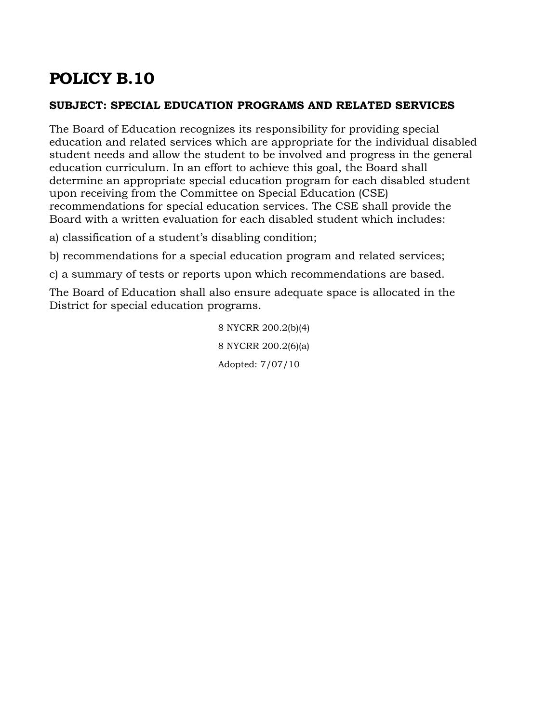#### **SUBJECT: SPECIAL EDUCATION PROGRAMS AND RELATED SERVICES**

The Board of Education recognizes its responsibility for providing special education and related services which are appropriate for the individual disabled student needs and allow the student to be involved and progress in the general education curriculum. In an effort to achieve this goal, the Board shall determine an appropriate special education program for each disabled student upon receiving from the Committee on Special Education (CSE) recommendations for special education services. The CSE shall provide the Board with a written evaluation for each disabled student which includes:

a) classification of a student's disabling condition;

b) recommendations for a special education program and related services;

c) a summary of tests or reports upon which recommendations are based.

The Board of Education shall also ensure adequate space is allocated in the District for special education programs.

> 8 NYCRR 200.2(b)(4) 8 NYCRR 200.2(6)(a) Adopted: 7/07/10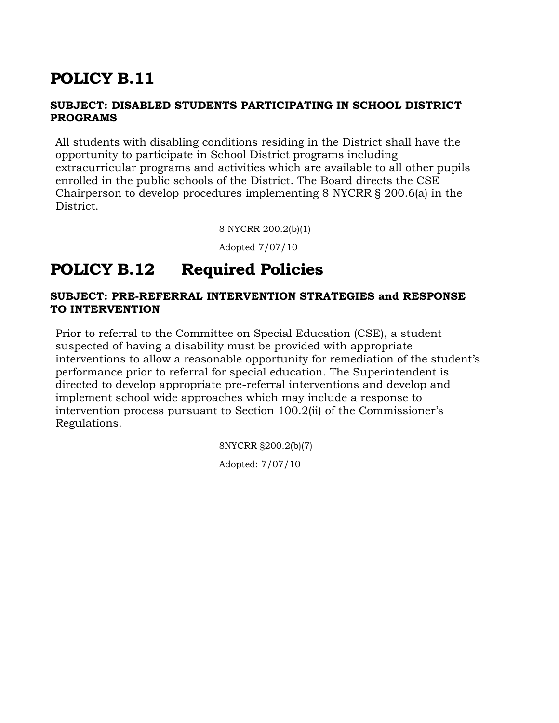# **POLICY B.11**

#### **SUBJECT: DISABLED STUDENTS PARTICIPATING IN SCHOOL DISTRICT PROGRAMS**

All students with disabling conditions residing in the District shall have the opportunity to participate in School District programs including extracurricular programs and activities which are available to all other pupils enrolled in the public schools of the District. The Board directs the CSE Chairperson to develop procedures implementing 8 NYCRR § 200.6(a) in the District.

8 NYCRR 200.2(b)(1)

Adopted 7/07/10

## **POLICY B.12 Required Policies**

#### **SUBJECT: PRE-REFERRAL INTERVENTION STRATEGIES and RESPONSE TO INTERVENTION**

Prior to referral to the Committee on Special Education (CSE), a student suspected of having a disability must be provided with appropriate interventions to allow a reasonable opportunity for remediation of the student's performance prior to referral for special education. The Superintendent is directed to develop appropriate pre-referral interventions and develop and implement school wide approaches which may include a response to intervention process pursuant to Section 100.2(ii) of the Commissioner's Regulations.

> 8NYCRR §200.2(b)(7) Adopted: 7/07/10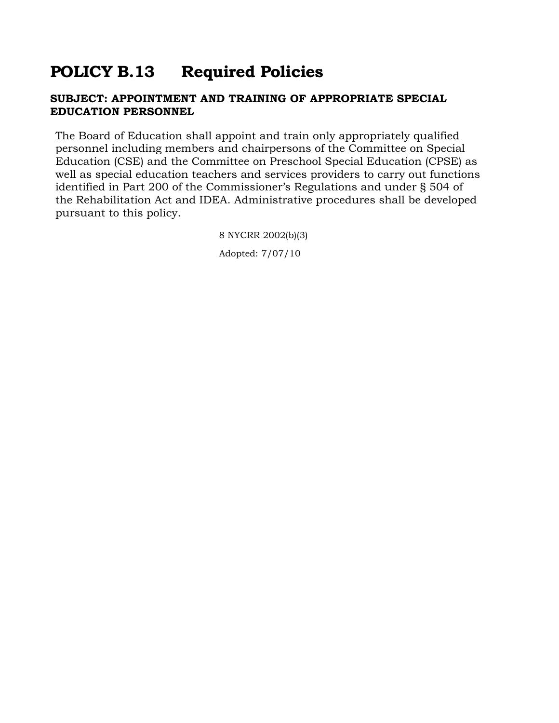## **POLICY B.13 Required Policies**

#### **SUBJECT: APPOINTMENT AND TRAINING OF APPROPRIATE SPECIAL EDUCATION PERSONNEL**

The Board of Education shall appoint and train only appropriately qualified personnel including members and chairpersons of the Committee on Special Education (CSE) and the Committee on Preschool Special Education (CPSE) as well as special education teachers and services providers to carry out functions identified in Part 200 of the Commissioner's Regulations and under § 504 of the Rehabilitation Act and IDEA. Administrative procedures shall be developed pursuant to this policy.

> 8 NYCRR 2002(b)(3) Adopted: 7/07/10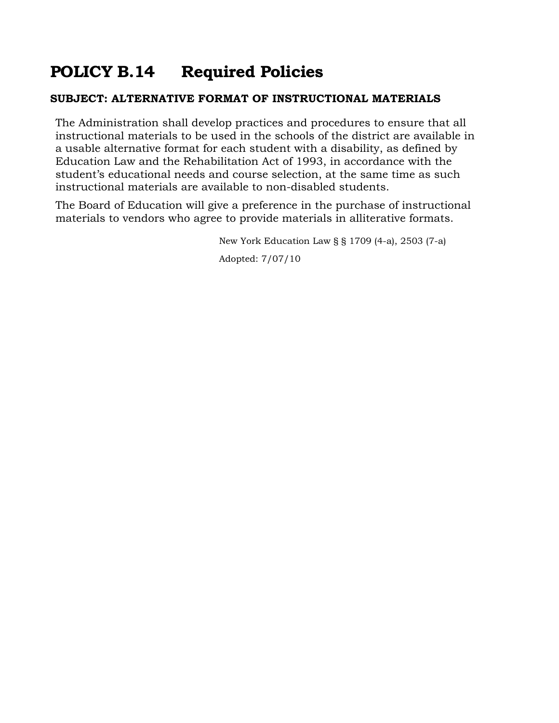# **POLICY B.14 Required Policies**

### **SUBJECT: ALTERNATIVE FORMAT OF INSTRUCTIONAL MATERIALS**

The Administration shall develop practices and procedures to ensure that all instructional materials to be used in the schools of the district are available in a usable alternative format for each student with a disability, as defined by Education Law and the Rehabilitation Act of 1993, in accordance with the student's educational needs and course selection, at the same time as such instructional materials are available to non-disabled students.

The Board of Education will give a preference in the purchase of instructional materials to vendors who agree to provide materials in alliterative formats.

New York Education Law § § 1709 (4-a), 2503 (7-a)

Adopted: 7/07/10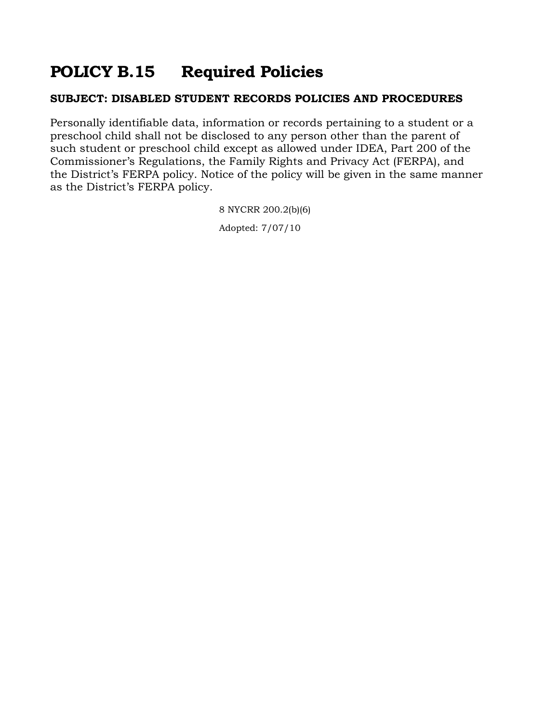## **POLICY B.15 Required Policies**

#### **SUBJECT: DISABLED STUDENT RECORDS POLICIES AND PROCEDURES**

Personally identifiable data, information or records pertaining to a student or a preschool child shall not be disclosed to any person other than the parent of such student or preschool child except as allowed under IDEA, Part 200 of the Commissioner's Regulations, the Family Rights and Privacy Act (FERPA), and the District's FERPA policy. Notice of the policy will be given in the same manner as the District's FERPA policy.

> 8 NYCRR 200.2(b)(6) Adopted: 7/07/10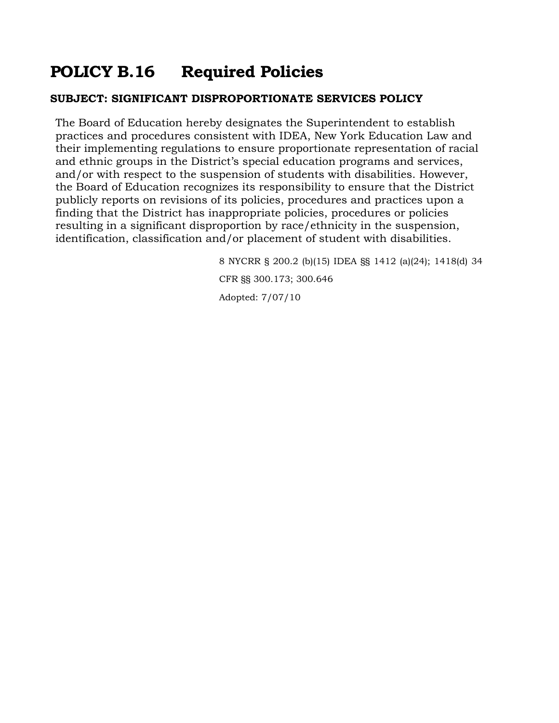## **POLICY B.16 Required Policies**

#### **SUBJECT: SIGNIFICANT DISPROPORTIONATE SERVICES POLICY**

The Board of Education hereby designates the Superintendent to establish practices and procedures consistent with IDEA, New York Education Law and their implementing regulations to ensure proportionate representation of racial and ethnic groups in the District's special education programs and services, and/or with respect to the suspension of students with disabilities. However, the Board of Education recognizes its responsibility to ensure that the District publicly reports on revisions of its policies, procedures and practices upon a finding that the District has inappropriate policies, procedures or policies resulting in a significant disproportion by race/ethnicity in the suspension, identification, classification and/or placement of student with disabilities.

> 8 NYCRR § 200.2 (b)(15) IDEA §§ 1412 (a)(24); 1418(d) 34 CFR §§ 300.173; 300.646 Adopted: 7/07/10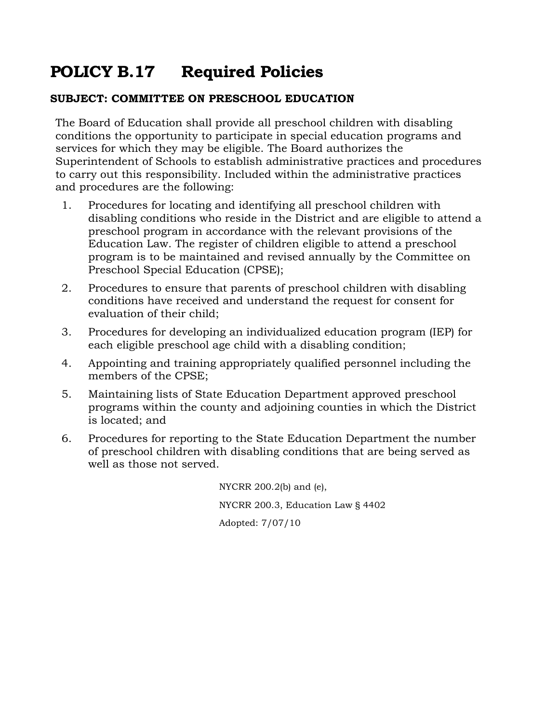## **POLICY B.17 Required Policies**

#### **SUBJECT: COMMITTEE ON PRESCHOOL EDUCATION**

The Board of Education shall provide all preschool children with disabling conditions the opportunity to participate in special education programs and services for which they may be eligible. The Board authorizes the Superintendent of Schools to establish administrative practices and procedures to carry out this responsibility. Included within the administrative practices and procedures are the following:

- 1. Procedures for locating and identifying all preschool children with disabling conditions who reside in the District and are eligible to attend a preschool program in accordance with the relevant provisions of the Education Law. The register of children eligible to attend a preschool program is to be maintained and revised annually by the Committee on Preschool Special Education (CPSE);
- 2. Procedures to ensure that parents of preschool children with disabling conditions have received and understand the request for consent for evaluation of their child;
- 3. Procedures for developing an individualized education program (IEP) for each eligible preschool age child with a disabling condition;
- 4. Appointing and training appropriately qualified personnel including the members of the CPSE;
- 5. Maintaining lists of State Education Department approved preschool programs within the county and adjoining counties in which the District is located; and
- 6. Procedures for reporting to the State Education Department the number of preschool children with disabling conditions that are being served as well as those not served.

NYCRR 200.2(b) and (e), NYCRR 200.3, Education Law § 4402 Adopted: 7/07/10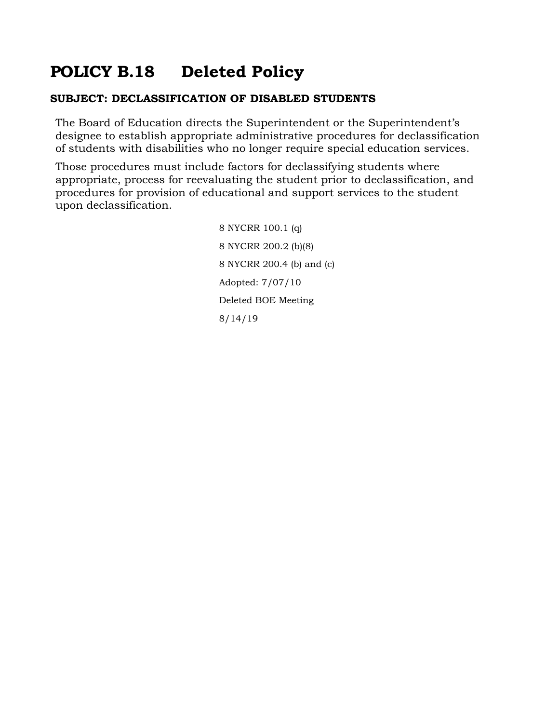# **POLICY B.18 Deleted Policy**

#### **SUBJECT: DECLASSIFICATION OF DISABLED STUDENTS**

The Board of Education directs the Superintendent or the Superintendent's designee to establish appropriate administrative procedures for declassification of students with disabilities who no longer require special education services.

Those procedures must include factors for declassifying students where appropriate, process for reevaluating the student prior to declassification, and procedures for provision of educational and support services to the student upon declassification.

> 8 NYCRR 100.1 (q) 8 NYCRR 200.2 (b)(8) 8 NYCRR 200.4 (b) and (c) Adopted: 7/07/10 Deleted BOE Meeting 8/14/19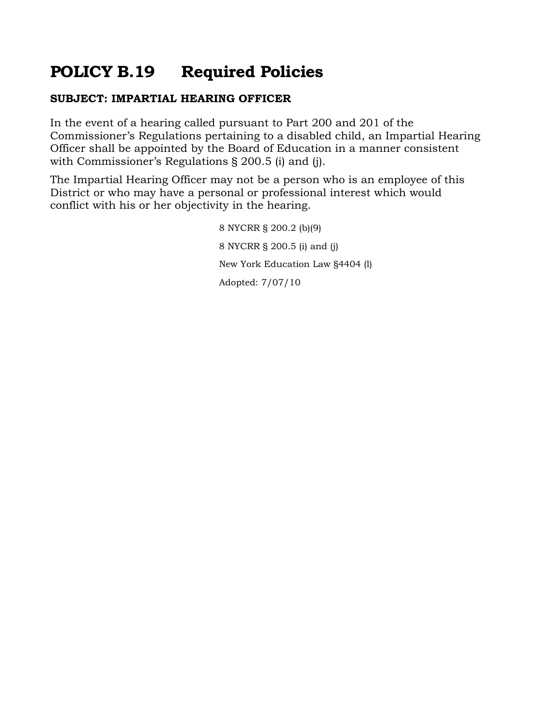# **POLICY B.19 Required Policies**

### **SUBJECT: IMPARTIAL HEARING OFFICER**

In the event of a hearing called pursuant to Part 200 and 201 of the Commissioner's Regulations pertaining to a disabled child, an Impartial Hearing Officer shall be appointed by the Board of Education in a manner consistent with Commissioner's Regulations § 200.5 (i) and (j).

The Impartial Hearing Officer may not be a person who is an employee of this District or who may have a personal or professional interest which would conflict with his or her objectivity in the hearing.

> 8 NYCRR § 200.2 (b)(9) 8 NYCRR § 200.5 (i) and (j) New York Education Law §4404 (l) Adopted: 7/07/10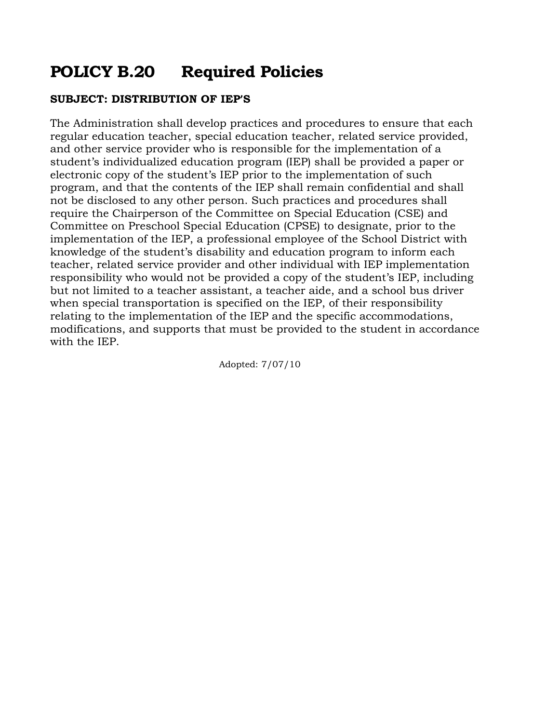## **POLICY B.20 Required Policies**

#### **SUBJECT: DISTRIBUTION OF IEP'S**

The Administration shall develop practices and procedures to ensure that each regular education teacher, special education teacher, related service provided, and other service provider who is responsible for the implementation of a student's individualized education program (IEP) shall be provided a paper or electronic copy of the student's IEP prior to the implementation of such program, and that the contents of the IEP shall remain confidential and shall not be disclosed to any other person. Such practices and procedures shall require the Chairperson of the Committee on Special Education (CSE) and Committee on Preschool Special Education (CPSE) to designate, prior to the implementation of the IEP, a professional employee of the School District with knowledge of the student's disability and education program to inform each teacher, related service provider and other individual with IEP implementation responsibility who would not be provided a copy of the student's IEP, including but not limited to a teacher assistant, a teacher aide, and a school bus driver when special transportation is specified on the IEP, of their responsibility relating to the implementation of the IEP and the specific accommodations, modifications, and supports that must be provided to the student in accordance with the IEP.

Adopted: 7/07/10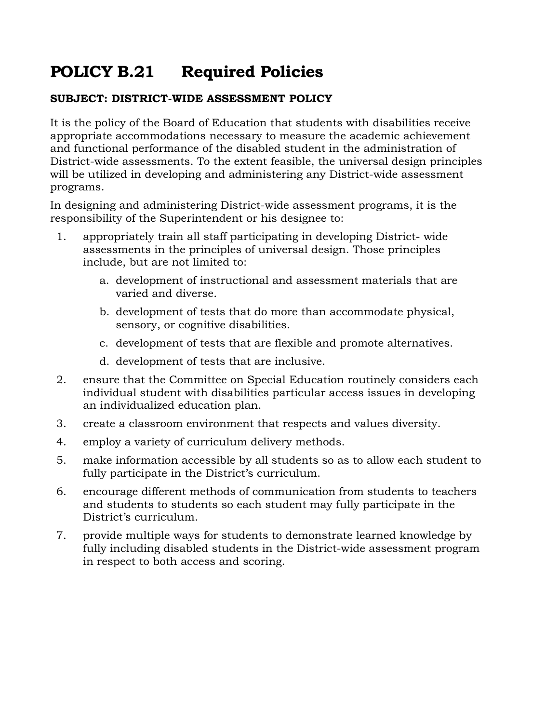# **POLICY B.21 Required Policies**

### **SUBJECT: DISTRICT-WIDE ASSESSMENT POLICY**

It is the policy of the Board of Education that students with disabilities receive appropriate accommodations necessary to measure the academic achievement and functional performance of the disabled student in the administration of District-wide assessments. To the extent feasible, the universal design principles will be utilized in developing and administering any District-wide assessment programs.

In designing and administering District-wide assessment programs, it is the responsibility of the Superintendent or his designee to:

- 1. appropriately train all staff participating in developing District- wide assessments in the principles of universal design. Those principles include, but are not limited to:
	- a. development of instructional and assessment materials that are varied and diverse.
	- b. development of tests that do more than accommodate physical, sensory, or cognitive disabilities.
	- c. development of tests that are flexible and promote alternatives.
	- d. development of tests that are inclusive.
- 2. ensure that the Committee on Special Education routinely considers each individual student with disabilities particular access issues in developing an individualized education plan.
- 3. create a classroom environment that respects and values diversity.
- 4. employ a variety of curriculum delivery methods.
- 5. make information accessible by all students so as to allow each student to fully participate in the District's curriculum.
- 6. encourage different methods of communication from students to teachers and students to students so each student may fully participate in the District's curriculum.
- 7. provide multiple ways for students to demonstrate learned knowledge by fully including disabled students in the District-wide assessment program in respect to both access and scoring.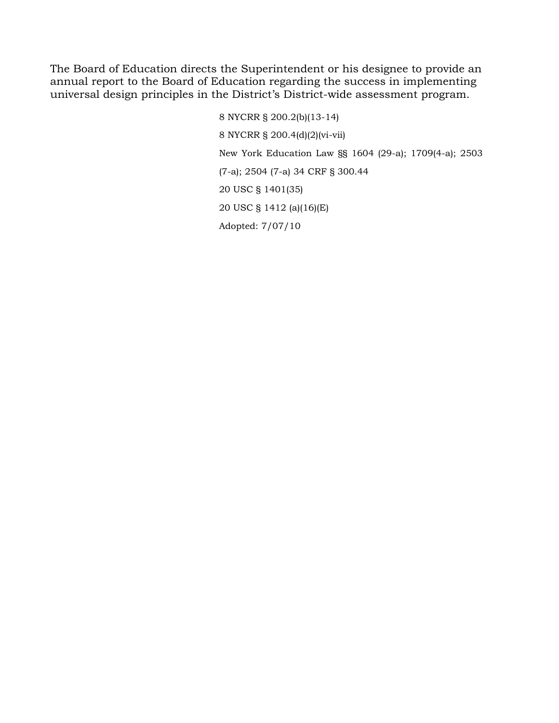The Board of Education directs the Superintendent or his designee to provide an annual report to the Board of Education regarding the success in implementing universal design principles in the District's District-wide assessment program.

> 8 NYCRR § 200.2(b)(13-14) 8 NYCRR § 200.4(d)(2)(vi-vii) New York Education Law §§ 1604 (29-a); 1709(4-a); 2503 (7-a); 2504 (7-a) 34 CRF § 300.44 20 USC § 1401(35) 20 USC § 1412 (a)(16)(E) Adopted: 7/07/10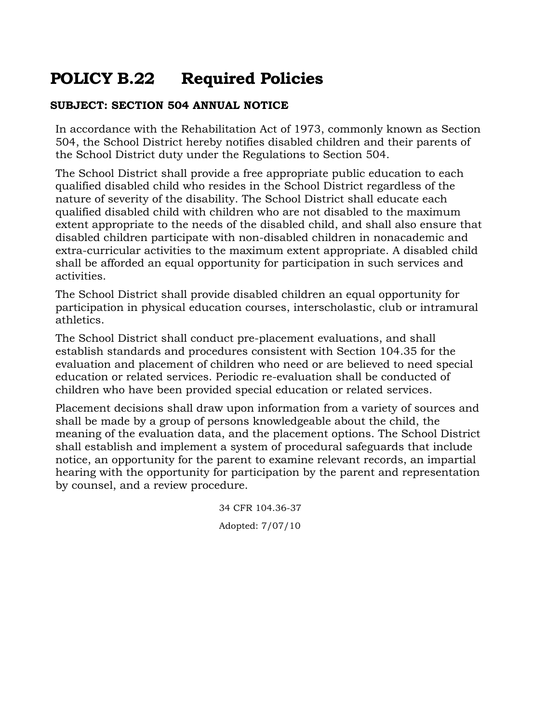# **POLICY B.22 Required Policies**

#### **SUBJECT: SECTION 504 ANNUAL NOTICE**

In accordance with the Rehabilitation Act of 1973, commonly known as Section 504, the School District hereby notifies disabled children and their parents of the School District duty under the Regulations to Section 504.

The School District shall provide a free appropriate public education to each qualified disabled child who resides in the School District regardless of the nature of severity of the disability. The School District shall educate each qualified disabled child with children who are not disabled to the maximum extent appropriate to the needs of the disabled child, and shall also ensure that disabled children participate with non-disabled children in nonacademic and extra-curricular activities to the maximum extent appropriate. A disabled child shall be afforded an equal opportunity for participation in such services and activities.

The School District shall provide disabled children an equal opportunity for participation in physical education courses, interscholastic, club or intramural athletics.

The School District shall conduct pre-placement evaluations, and shall establish standards and procedures consistent with Section 104.35 for the evaluation and placement of children who need or are believed to need special education or related services. Periodic re-evaluation shall be conducted of children who have been provided special education or related services.

Placement decisions shall draw upon information from a variety of sources and shall be made by a group of persons knowledgeable about the child, the meaning of the evaluation data, and the placement options. The School District shall establish and implement a system of procedural safeguards that include notice, an opportunity for the parent to examine relevant records, an impartial hearing with the opportunity for participation by the parent and representation by counsel, and a review procedure.

> 34 CFR 104.36-37 Adopted: 7/07/10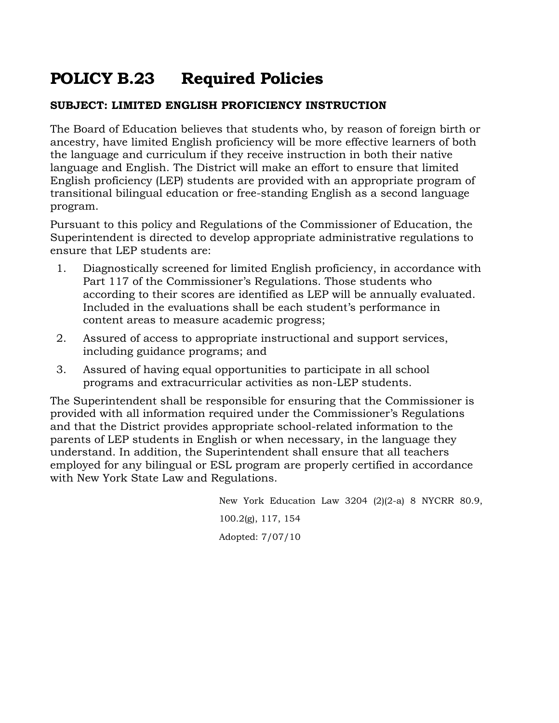# **POLICY B.23 Required Policies**

#### **SUBJECT: LIMITED ENGLISH PROFICIENCY INSTRUCTION**

The Board of Education believes that students who, by reason of foreign birth or ancestry, have limited English proficiency will be more effective learners of both the language and curriculum if they receive instruction in both their native language and English. The District will make an effort to ensure that limited English proficiency (LEP) students are provided with an appropriate program of transitional bilingual education or free-standing English as a second language program.

Pursuant to this policy and Regulations of the Commissioner of Education, the Superintendent is directed to develop appropriate administrative regulations to ensure that LEP students are:

- 1. Diagnostically screened for limited English proficiency, in accordance with Part 117 of the Commissioner's Regulations. Those students who according to their scores are identified as LEP will be annually evaluated. Included in the evaluations shall be each student's performance in content areas to measure academic progress;
- 2. Assured of access to appropriate instructional and support services, including guidance programs; and
- 3. Assured of having equal opportunities to participate in all school programs and extracurricular activities as non-LEP students.

The Superintendent shall be responsible for ensuring that the Commissioner is provided with all information required under the Commissioner's Regulations and that the District provides appropriate school-related information to the parents of LEP students in English or when necessary, in the language they understand. In addition, the Superintendent shall ensure that all teachers employed for any bilingual or ESL program are properly certified in accordance with New York State Law and Regulations.

> New York Education Law 3204 (2)(2-a) 8 NYCRR 80.9, 100.2(g), 117, 154 Adopted: 7/07/10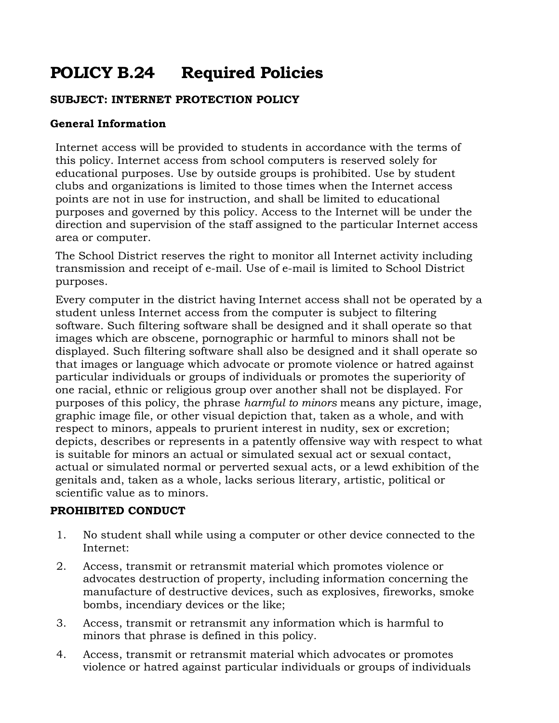# **POLICY B.24 Required Policies**

### **SUBJECT: INTERNET PROTECTION POLICY**

#### **General Information**

Internet access will be provided to students in accordance with the terms of this policy. Internet access from school computers is reserved solely for educational purposes. Use by outside groups is prohibited. Use by student clubs and organizations is limited to those times when the Internet access points are not in use for instruction, and shall be limited to educational purposes and governed by this policy. Access to the Internet will be under the direction and supervision of the staff assigned to the particular Internet access area or computer.

The School District reserves the right to monitor all Internet activity including transmission and receipt of e-mail. Use of e-mail is limited to School District purposes.

Every computer in the district having Internet access shall not be operated by a student unless Internet access from the computer is subject to filtering software. Such filtering software shall be designed and it shall operate so that images which are obscene, pornographic or harmful to minors shall not be displayed. Such filtering software shall also be designed and it shall operate so that images or language which advocate or promote violence or hatred against particular individuals or groups of individuals or promotes the superiority of one racial, ethnic or religious group over another shall not be displayed. For purposes of this policy, the phrase *harmful to minors* means any picture, image, graphic image file, or other visual depiction that, taken as a whole, and with respect to minors, appeals to prurient interest in nudity, sex or excretion; depicts, describes or represents in a patently offensive way with respect to what is suitable for minors an actual or simulated sexual act or sexual contact, actual or simulated normal or perverted sexual acts, or a lewd exhibition of the genitals and, taken as a whole, lacks serious literary, artistic, political or scientific value as to minors.

#### **PROHIBITED CONDUCT**

- 1. No student shall while using a computer or other device connected to the Internet:
- 2. Access, transmit or retransmit material which promotes violence or advocates destruction of property, including information concerning the manufacture of destructive devices, such as explosives, fireworks, smoke bombs, incendiary devices or the like;
- 3. Access, transmit or retransmit any information which is harmful to minors that phrase is defined in this policy.
- 4. Access, transmit or retransmit material which advocates or promotes violence or hatred against particular individuals or groups of individuals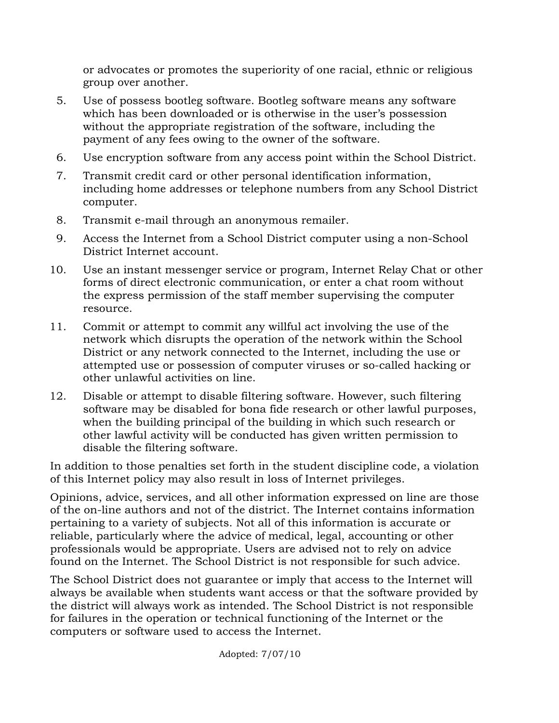or advocates or promotes the superiority of one racial, ethnic or religious group over another.

- 5. Use of possess bootleg software. Bootleg software means any software which has been downloaded or is otherwise in the user's possession without the appropriate registration of the software, including the payment of any fees owing to the owner of the software.
- 6. Use encryption software from any access point within the School District.
- 7. Transmit credit card or other personal identification information, including home addresses or telephone numbers from any School District computer.
- 8. Transmit e-mail through an anonymous remailer.
- 9. Access the Internet from a School District computer using a non-School District Internet account.
- 10. Use an instant messenger service or program, Internet Relay Chat or other forms of direct electronic communication, or enter a chat room without the express permission of the staff member supervising the computer resource.
- 11. Commit or attempt to commit any willful act involving the use of the network which disrupts the operation of the network within the School District or any network connected to the Internet, including the use or attempted use or possession of computer viruses or so-called hacking or other unlawful activities on line.
- 12. Disable or attempt to disable filtering software. However, such filtering software may be disabled for bona fide research or other lawful purposes, when the building principal of the building in which such research or other lawful activity will be conducted has given written permission to disable the filtering software.

In addition to those penalties set forth in the student discipline code, a violation of this Internet policy may also result in loss of Internet privileges.

Opinions, advice, services, and all other information expressed on line are those of the on-line authors and not of the district. The Internet contains information pertaining to a variety of subjects. Not all of this information is accurate or reliable, particularly where the advice of medical, legal, accounting or other professionals would be appropriate. Users are advised not to rely on advice found on the Internet. The School District is not responsible for such advice.

The School District does not guarantee or imply that access to the Internet will always be available when students want access or that the software provided by the district will always work as intended. The School District is not responsible for failures in the operation or technical functioning of the Internet or the computers or software used to access the Internet.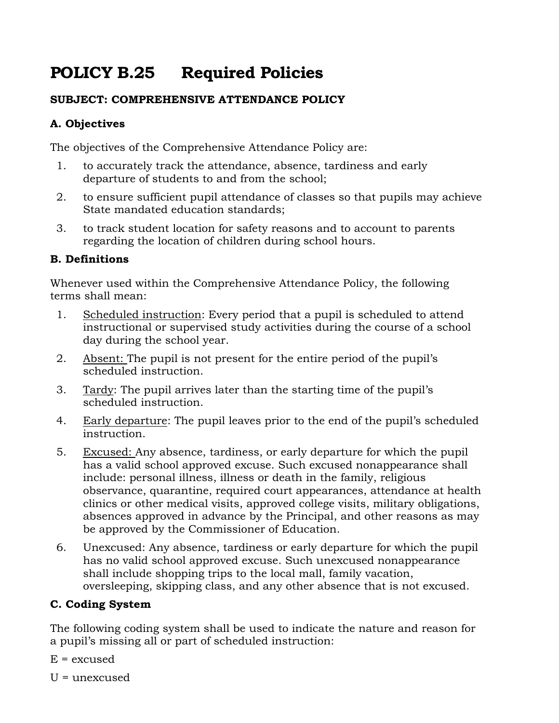# **POLICY B.25 Required Policies**

### **SUBJECT: COMPREHENSIVE ATTENDANCE POLICY**

## **A. Objectives**

The objectives of the Comprehensive Attendance Policy are:

- 1. to accurately track the attendance, absence, tardiness and early departure of students to and from the school;
- 2. to ensure sufficient pupil attendance of classes so that pupils may achieve State mandated education standards;
- 3. to track student location for safety reasons and to account to parents regarding the location of children during school hours.

### **B. Definitions**

Whenever used within the Comprehensive Attendance Policy, the following terms shall mean:

- 1. Scheduled instruction: Every period that a pupil is scheduled to attend instructional or supervised study activities during the course of a school day during the school year.
- 2. Absent: The pupil is not present for the entire period of the pupil's scheduled instruction.
- 3. Tardy: The pupil arrives later than the starting time of the pupil's scheduled instruction.
- 4. Early departure: The pupil leaves prior to the end of the pupil's scheduled instruction.
- 5. Excused: Any absence, tardiness, or early departure for which the pupil has a valid school approved excuse. Such excused nonappearance shall include: personal illness, illness or death in the family, religious observance, quarantine, required court appearances, attendance at health clinics or other medical visits, approved college visits, military obligations, absences approved in advance by the Principal, and other reasons as may be approved by the Commissioner of Education.
- 6. Unexcused: Any absence, tardiness or early departure for which the pupil has no valid school approved excuse. Such unexcused nonappearance shall include shopping trips to the local mall, family vacation, oversleeping, skipping class, and any other absence that is not excused.

## **C. Coding System**

The following coding system shall be used to indicate the nature and reason for a pupil's missing all or part of scheduled instruction:

- $E =$  excused
- $U =$ unexcused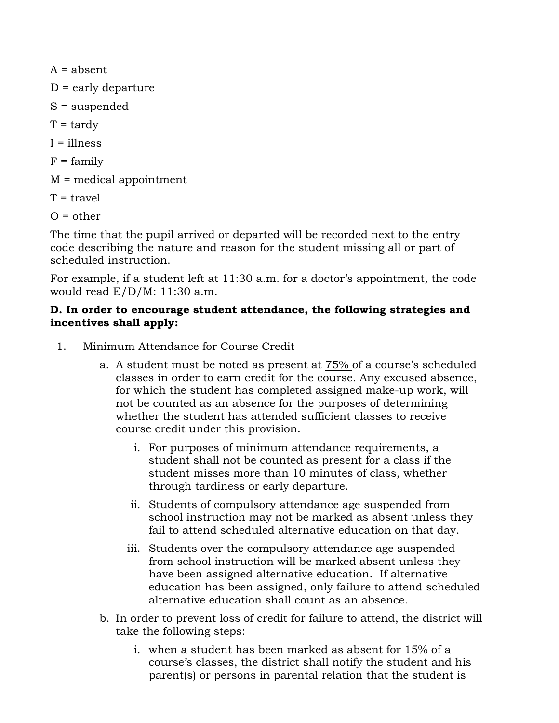$A =$ absent

- $D =$  early departure
- S = suspended
- $T = \text{tardv}$
- $I = 11ness$
- $F = \text{family}$
- M = medical appointment
- $T =$ travel
- $O =$  other

The time that the pupil arrived or departed will be recorded next to the entry code describing the nature and reason for the student missing all or part of scheduled instruction.

For example, if a student left at 11:30 a.m. for a doctor's appointment, the code would read E/D/M: 11:30 a.m.

#### **D. In order to encourage student attendance, the following strategies and incentives shall apply:**

- 1. Minimum Attendance for Course Credit
	- a. A student must be noted as present at 75% of a course's scheduled classes in order to earn credit for the course. Any excused absence, for which the student has completed assigned make-up work, will not be counted as an absence for the purposes of determining whether the student has attended sufficient classes to receive course credit under this provision.
		- i. For purposes of minimum attendance requirements, a student shall not be counted as present for a class if the student misses more than 10 minutes of class, whether through tardiness or early departure.
		- ii. Students of compulsory attendance age suspended from school instruction may not be marked as absent unless they fail to attend scheduled alternative education on that day.
		- iii. Students over the compulsory attendance age suspended from school instruction will be marked absent unless they have been assigned alternative education. If alternative education has been assigned, only failure to attend scheduled alternative education shall count as an absence.
	- b. In order to prevent loss of credit for failure to attend, the district will take the following steps:
		- i. when a student has been marked as absent for 15% of a course's classes, the district shall notify the student and his parent(s) or persons in parental relation that the student is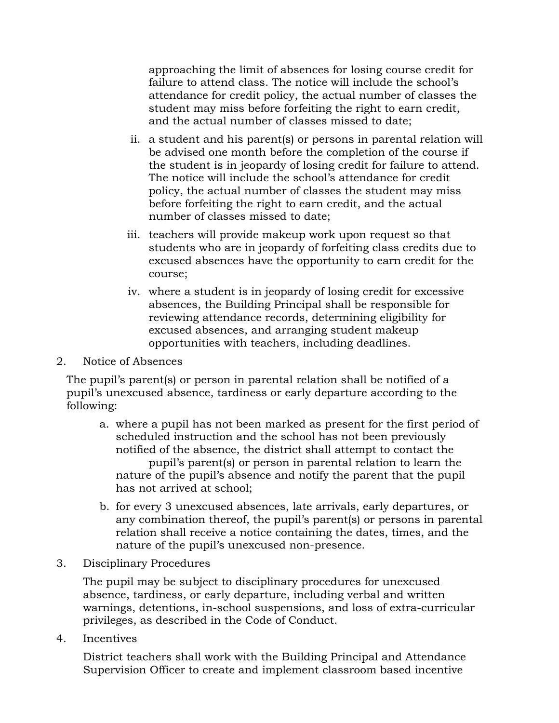approaching the limit of absences for losing course credit for failure to attend class. The notice will include the school's attendance for credit policy, the actual number of classes the student may miss before forfeiting the right to earn credit, and the actual number of classes missed to date;

- ii. a student and his parent(s) or persons in parental relation will be advised one month before the completion of the course if the student is in jeopardy of losing credit for failure to attend. The notice will include the school's attendance for credit policy, the actual number of classes the student may miss before forfeiting the right to earn credit, and the actual number of classes missed to date;
- iii. teachers will provide makeup work upon request so that students who are in jeopardy of forfeiting class credits due to excused absences have the opportunity to earn credit for the course;
- iv. where a student is in jeopardy of losing credit for excessive absences, the Building Principal shall be responsible for reviewing attendance records, determining eligibility for excused absences, and arranging student makeup opportunities with teachers, including deadlines.
- 2. Notice of Absences

The pupil's parent(s) or person in parental relation shall be notified of a pupil's unexcused absence, tardiness or early departure according to the following:

- a. where a pupil has not been marked as present for the first period of scheduled instruction and the school has not been previously notified of the absence, the district shall attempt to contact the pupil's parent(s) or person in parental relation to learn the nature of the pupil's absence and notify the parent that the pupil has not arrived at school;
- b. for every 3 unexcused absences, late arrivals, early departures, or any combination thereof, the pupil's parent(s) or persons in parental relation shall receive a notice containing the dates, times, and the nature of the pupil's unexcused non-presence.
- 3. Disciplinary Procedures

The pupil may be subject to disciplinary procedures for unexcused absence, tardiness, or early departure, including verbal and written warnings, detentions, in-school suspensions, and loss of extra-curricular privileges, as described in the Code of Conduct.

4. Incentives

District teachers shall work with the Building Principal and Attendance Supervision Officer to create and implement classroom based incentive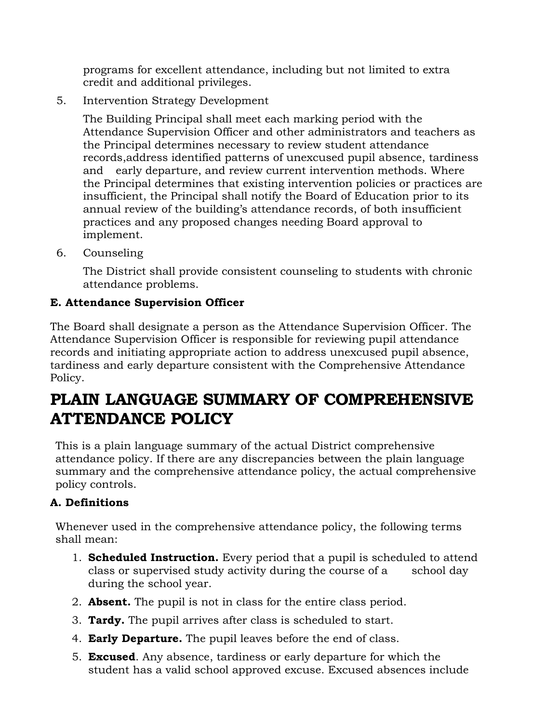programs for excellent attendance, including but not limited to extra credit and additional privileges.

5. Intervention Strategy Development

The Building Principal shall meet each marking period with the Attendance Supervision Officer and other administrators and teachers as the Principal determines necessary to review student attendance records,address identified patterns of unexcused pupil absence, tardiness and early departure, and review current intervention methods. Where the Principal determines that existing intervention policies or practices are insufficient, the Principal shall notify the Board of Education prior to its annual review of the building's attendance records, of both insufficient practices and any proposed changes needing Board approval to implement.

6. Counseling

The District shall provide consistent counseling to students with chronic attendance problems.

## **E. Attendance Supervision Officer**

The Board shall designate a person as the Attendance Supervision Officer. The Attendance Supervision Officer is responsible for reviewing pupil attendance records and initiating appropriate action to address unexcused pupil absence, tardiness and early departure consistent with the Comprehensive Attendance Policy.

## **PLAIN LANGUAGE SUMMARY OF COMPREHENSIVE ATTENDANCE POLICY**

This is a plain language summary of the actual District comprehensive attendance policy. If there are any discrepancies between the plain language summary and the comprehensive attendance policy, the actual comprehensive policy controls.

## **A. Definitions**

Whenever used in the comprehensive attendance policy, the following terms shall mean:

- 1. **Scheduled Instruction.** Every period that a pupil is scheduled to attend class or supervised study activity during the course of a school day during the school year.
- 2. **Absent.** The pupil is not in class for the entire class period.
- 3. **Tardy.** The pupil arrives after class is scheduled to start.
- 4. **Early Departure.** The pupil leaves before the end of class.
- 5. **Excused**. Any absence, tardiness or early departure for which the student has a valid school approved excuse. Excused absences include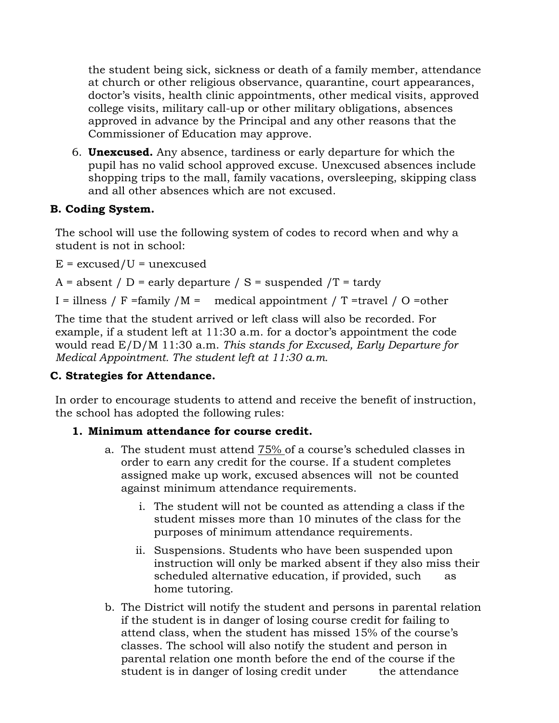the student being sick, sickness or death of a family member, attendance at church or other religious observance, quarantine, court appearances, doctor's visits, health clinic appointments, other medical visits, approved college visits, military call-up or other military obligations, absences approved in advance by the Principal and any other reasons that the Commissioner of Education may approve.

6. **Unexcused.** Any absence, tardiness or early departure for which the pupil has no valid school approved excuse. Unexcused absences include shopping trips to the mall, family vacations, oversleeping, skipping class and all other absences which are not excused.

#### **B. Coding System.**

The school will use the following system of codes to record when and why a student is not in school:

 $E =$  excused/U = unexcused

 $A =$  absent /  $D =$  early departure /  $S =$  suspended /T = tardy

I = illness / F =family  $/M =$  medical appointment / T =travel / O =other

The time that the student arrived or left class will also be recorded. For example, if a student left at 11:30 a.m. for a doctor's appointment the code would read E/D/M 11:30 a.m. *This stands for Excused, Early Departure for Medical Appointment. The student left at 11:30 a.m.*

## **C. Strategies for Attendance.**

In order to encourage students to attend and receive the benefit of instruction, the school has adopted the following rules:

#### **1. Minimum attendance for course credit.**

- a. The student must attend 75% of a course's scheduled classes in order to earn any credit for the course. If a student completes assigned make up work, excused absences will not be counted against minimum attendance requirements.
	- i. The student will not be counted as attending a class if the student misses more than 10 minutes of the class for the purposes of minimum attendance requirements.
	- ii. Suspensions. Students who have been suspended upon instruction will only be marked absent if they also miss their scheduled alternative education, if provided, such as home tutoring.
- b. The District will notify the student and persons in parental relation if the student is in danger of losing course credit for failing to attend class, when the student has missed 15% of the course's classes. The school will also notify the student and person in parental relation one month before the end of the course if the student is in danger of losing credit under the attendance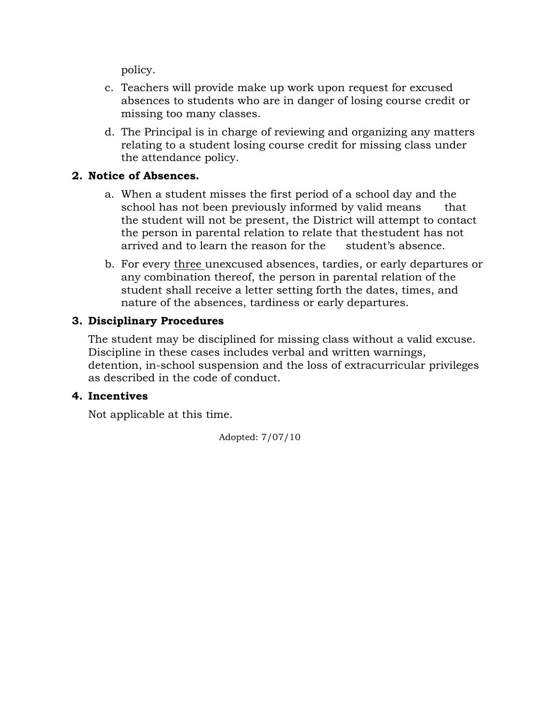policy.

- c. Teachers will provide make up work upon request for excused absences to students who are in danger of losing course credit or missing too many classes.
- d. The Principal is in charge of reviewing and organizing any matters relating to a student losing course credit for missing class under the attendance policy.

#### **2. Notice of Absences.**

- a. When a student misses the first period of a school day and the school has not been previously informed by valid means that the student will not be present, the District will attempt to contact the person in parental relation to relate that thestudent has not arrived and to learn the reason for the student's absence.
- b. For every three unexcused absences, tardies, or early departures or any combination thereof, the person in parental relation of the student shall receive a letter setting forth the dates, times, and nature of the absences, tardiness or early departures.

#### **3. Disciplinary Procedures**

The student may be disciplined for missing class without a valid excuse. Discipline in these cases includes verbal and written warnings, detention, in-school suspension and the loss of extracurricular privileges as described in the code of conduct.

#### **4. Incentives**

Not applicable at this time.

Adopted: 7/07/10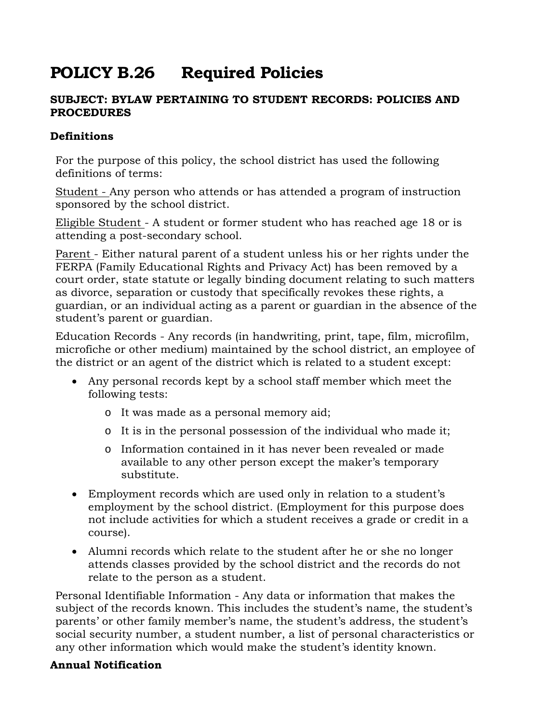# **POLICY B.26 Required Policies**

#### **SUBJECT: BYLAW PERTAINING TO STUDENT RECORDS: POLICIES AND PROCEDURES**

#### **Definitions**

For the purpose of this policy, the school district has used the following definitions of terms:

Student - Any person who attends or has attended a program of instruction sponsored by the school district.

Eligible Student - A student or former student who has reached age 18 or is attending a post-secondary school.

Parent - Either natural parent of a student unless his or her rights under the FERPA (Family Educational Rights and Privacy Act) has been removed by a court order, state statute or legally binding document relating to such matters as divorce, separation or custody that specifically revokes these rights, a guardian, or an individual acting as a parent or guardian in the absence of the student's parent or guardian.

Education Records - Any records (in handwriting, print, tape, film, microfilm, microfiche or other medium) maintained by the school district, an employee of the district or an agent of the district which is related to a student except:

- Any personal records kept by a school staff member which meet the following tests:
	- o It was made as a personal memory aid;
	- o It is in the personal possession of the individual who made it;
	- o Information contained in it has never been revealed or made available to any other person except the maker's temporary substitute.
- Employment records which are used only in relation to a student's employment by the school district. (Employment for this purpose does not include activities for which a student receives a grade or credit in a course).
- Alumni records which relate to the student after he or she no longer attends classes provided by the school district and the records do not relate to the person as a student.

Personal Identifiable Information - Any data or information that makes the subject of the records known. This includes the student's name, the student's parents' or other family member's name, the student's address, the student's social security number, a student number, a list of personal characteristics or any other information which would make the student's identity known.

#### **Annual Notification**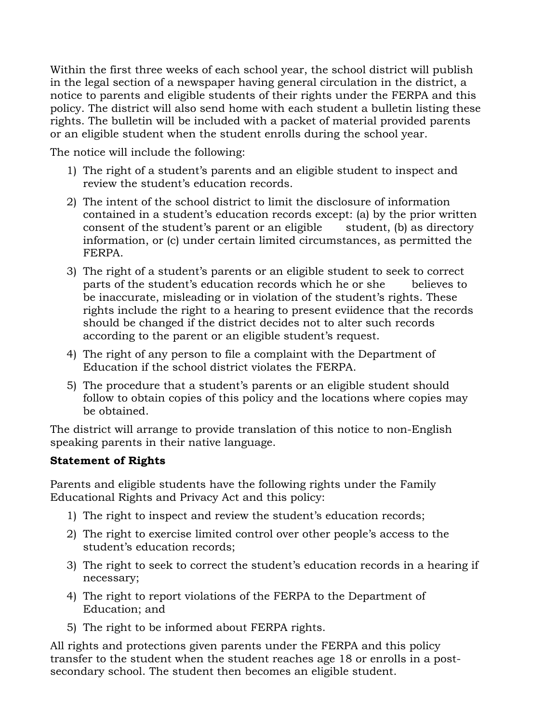Within the first three weeks of each school year, the school district will publish in the legal section of a newspaper having general circulation in the district, a notice to parents and eligible students of their rights under the FERPA and this policy. The district will also send home with each student a bulletin listing these rights. The bulletin will be included with a packet of material provided parents or an eligible student when the student enrolls during the school year.

The notice will include the following:

- 1) The right of a student's parents and an eligible student to inspect and review the student's education records.
- 2) The intent of the school district to limit the disclosure of information contained in a student's education records except: (a) by the prior written consent of the student's parent or an eligible student, (b) as directory information, or (c) under certain limited circumstances, as permitted the FERPA.
- 3) The right of a student's parents or an eligible student to seek to correct parts of the student's education records which he or she believes to be inaccurate, misleading or in violation of the student's rights. These rights include the right to a hearing to present eviidence that the records should be changed if the district decides not to alter such records according to the parent or an eligible student's request.
- 4) The right of any person to file a complaint with the Department of Education if the school district violates the FERPA.
- 5) The procedure that a student's parents or an eligible student should follow to obtain copies of this policy and the locations where copies may be obtained.

The district will arrange to provide translation of this notice to non-English speaking parents in their native language.

## **Statement of Rights**

Parents and eligible students have the following rights under the Family Educational Rights and Privacy Act and this policy:

- 1) The right to inspect and review the student's education records;
- 2) The right to exercise limited control over other people's access to the student's education records;
- 3) The right to seek to correct the student's education records in a hearing if necessary;
- 4) The right to report violations of the FERPA to the Department of Education; and
- 5) The right to be informed about FERPA rights.

All rights and protections given parents under the FERPA and this policy transfer to the student when the student reaches age 18 or enrolls in a postsecondary school. The student then becomes an eligible student.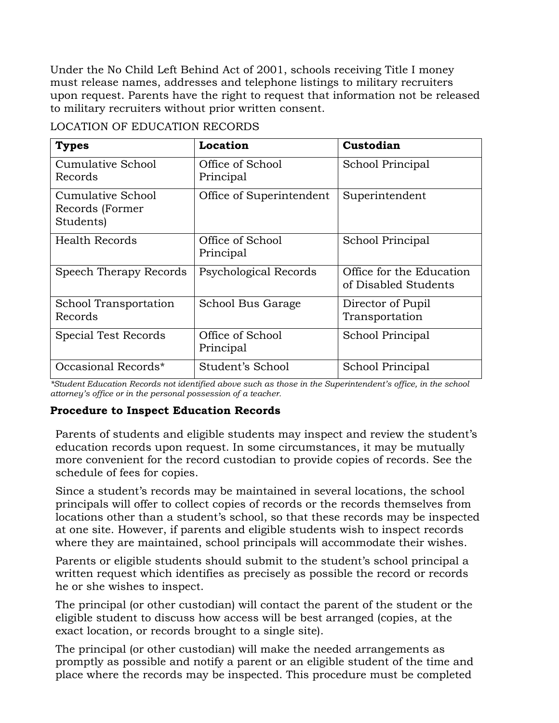Under the No Child Left Behind Act of 2001, schools receiving Title I money must release names, addresses and telephone listings to military recruiters upon request. Parents have the right to request that information not be released to military recruiters without prior written consent.

| <b>Types</b>                                      | Location                      | Custodian                                        |
|---------------------------------------------------|-------------------------------|--------------------------------------------------|
| Cumulative School<br>Records                      | Office of School<br>Principal | School Principal                                 |
| Cumulative School<br>Records (Former<br>Students) | Office of Superintendent      | Superintendent                                   |
| Health Records                                    | Office of School<br>Principal | School Principal                                 |
| Speech Therapy Records                            | Psychological Records         | Office for the Education<br>of Disabled Students |
| School Transportation<br>Records                  | School Bus Garage             | Director of Pupil<br>Transportation              |
| Special Test Records                              | Office of School<br>Principal | School Principal                                 |
| Occasional Records*                               | Student's School              | School Principal                                 |

LOCATION OF EDUCATION RECORDS

*\*Student Education Records not identified above such as those in the Superintendent's office, in the school attorney's office or in the personal possession of a teacher.*

#### **Procedure to Inspect Education Records**

Parents of students and eligible students may inspect and review the student's education records upon request. In some circumstances, it may be mutually more convenient for the record custodian to provide copies of records. See the schedule of fees for copies.

Since a student's records may be maintained in several locations, the school principals will offer to collect copies of records or the records themselves from locations other than a student's school, so that these records may be inspected at one site. However, if parents and eligible students wish to inspect records where they are maintained, school principals will accommodate their wishes.

Parents or eligible students should submit to the student's school principal a written request which identifies as precisely as possible the record or records he or she wishes to inspect.

The principal (or other custodian) will contact the parent of the student or the eligible student to discuss how access will be best arranged (copies, at the exact location, or records brought to a single site).

The principal (or other custodian) will make the needed arrangements as promptly as possible and notify a parent or an eligible student of the time and place where the records may be inspected. This procedure must be completed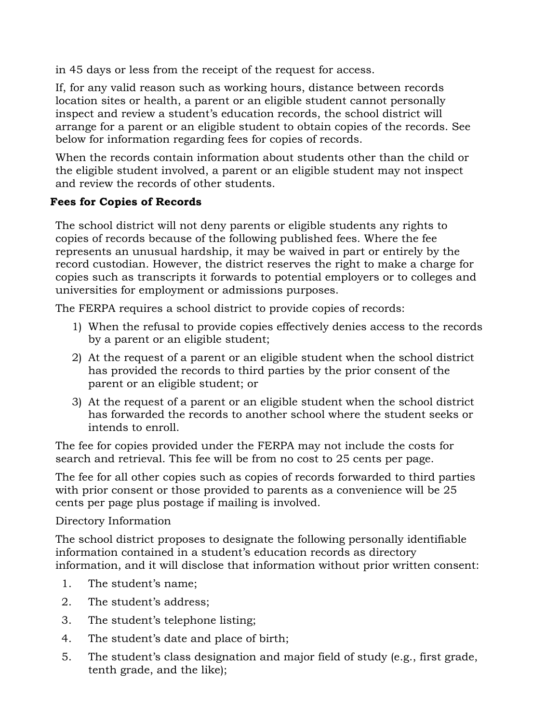in 45 days or less from the receipt of the request for access.

If, for any valid reason such as working hours, distance between records location sites or health, a parent or an eligible student cannot personally inspect and review a student's education records, the school district will arrange for a parent or an eligible student to obtain copies of the records. See below for information regarding fees for copies of records.

When the records contain information about students other than the child or the eligible student involved, a parent or an eligible student may not inspect and review the records of other students.

#### **Fees for Copies of Records**

The school district will not deny parents or eligible students any rights to copies of records because of the following published fees. Where the fee represents an unusual hardship, it may be waived in part or entirely by the record custodian. However, the district reserves the right to make a charge for copies such as transcripts it forwards to potential employers or to colleges and universities for employment or admissions purposes.

The FERPA requires a school district to provide copies of records:

- 1) When the refusal to provide copies effectively denies access to the records by a parent or an eligible student;
- 2) At the request of a parent or an eligible student when the school district has provided the records to third parties by the prior consent of the parent or an eligible student; or
- 3) At the request of a parent or an eligible student when the school district has forwarded the records to another school where the student seeks or intends to enroll.

The fee for copies provided under the FERPA may not include the costs for search and retrieval. This fee will be from no cost to 25 cents per page.

The fee for all other copies such as copies of records forwarded to third parties with prior consent or those provided to parents as a convenience will be 25 cents per page plus postage if mailing is involved.

Directory Information

The school district proposes to designate the following personally identifiable information contained in a student's education records as directory information, and it will disclose that information without prior written consent:

- 1. The student's name;
- 2. The student's address;
- 3. The student's telephone listing;
- 4. The student's date and place of birth;
- 5. The student's class designation and major field of study (e.g., first grade, tenth grade, and the like);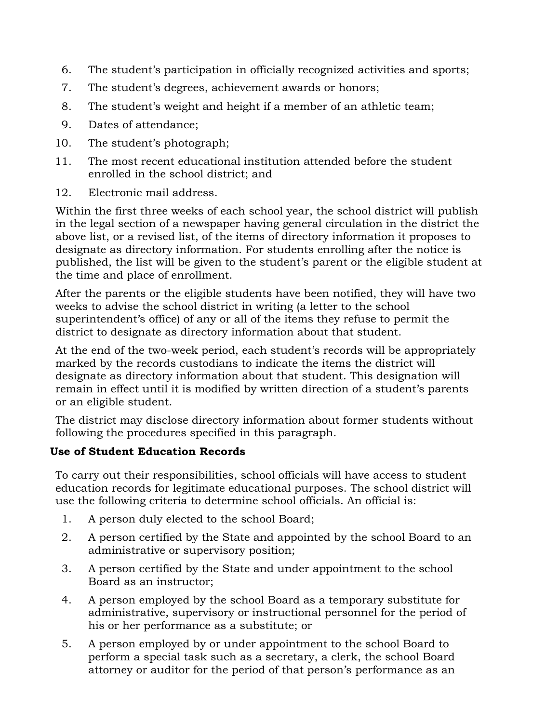- 6. The student's participation in officially recognized activities and sports;
- 7. The student's degrees, achievement awards or honors;
- 8. The student's weight and height if a member of an athletic team;
- 9. Dates of attendance;
- 10. The student's photograph;
- 11. The most recent educational institution attended before the student enrolled in the school district; and
- 12. Electronic mail address.

Within the first three weeks of each school year, the school district will publish in the legal section of a newspaper having general circulation in the district the above list, or a revised list, of the items of directory information it proposes to designate as directory information. For students enrolling after the notice is published, the list will be given to the student's parent or the eligible student at the time and place of enrollment.

After the parents or the eligible students have been notified, they will have two weeks to advise the school district in writing (a letter to the school superintendent's office) of any or all of the items they refuse to permit the district to designate as directory information about that student.

At the end of the two-week period, each student's records will be appropriately marked by the records custodians to indicate the items the district will designate as directory information about that student. This designation will remain in effect until it is modified by written direction of a student's parents or an eligible student.

The district may disclose directory information about former students without following the procedures specified in this paragraph.

## **Use of Student Education Records**

To carry out their responsibilities, school officials will have access to student education records for legitimate educational purposes. The school district will use the following criteria to determine school officials. An official is:

- 1. A person duly elected to the school Board;
- 2. A person certified by the State and appointed by the school Board to an administrative or supervisory position;
- 3. A person certified by the State and under appointment to the school Board as an instructor;
- 4. A person employed by the school Board as a temporary substitute for administrative, supervisory or instructional personnel for the period of his or her performance as a substitute; or
- 5. A person employed by or under appointment to the school Board to perform a special task such as a secretary, a clerk, the school Board attorney or auditor for the period of that person's performance as an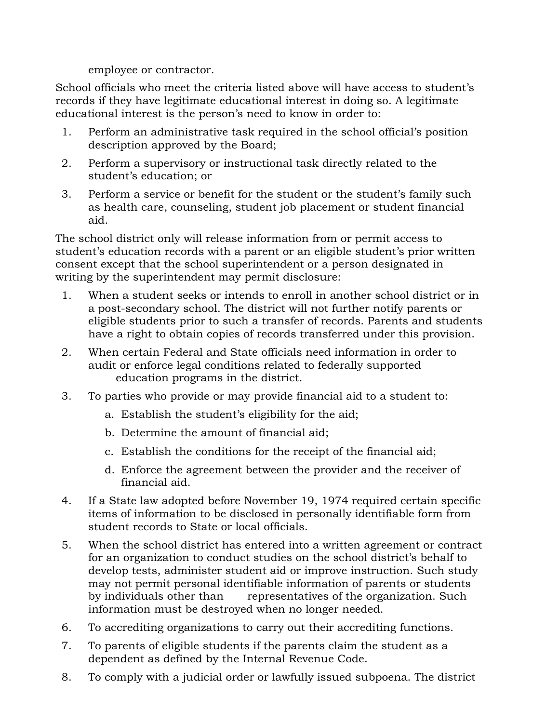employee or contractor.

School officials who meet the criteria listed above will have access to student's records if they have legitimate educational interest in doing so. A legitimate educational interest is the person's need to know in order to:

- 1. Perform an administrative task required in the school official's position description approved by the Board;
- 2. Perform a supervisory or instructional task directly related to the student's education; or
- 3. Perform a service or benefit for the student or the student's family such as health care, counseling, student job placement or student financial aid.

The school district only will release information from or permit access to student's education records with a parent or an eligible student's prior written consent except that the school superintendent or a person designated in writing by the superintendent may permit disclosure:

- 1. When a student seeks or intends to enroll in another school district or in a post-secondary school. The district will not further notify parents or eligible students prior to such a transfer of records. Parents and students have a right to obtain copies of records transferred under this provision.
- 2. When certain Federal and State officials need information in order to audit or enforce legal conditions related to federally supported education programs in the district.
- 3. To parties who provide or may provide financial aid to a student to:
	- a. Establish the student's eligibility for the aid;
	- b. Determine the amount of financial aid;
	- c. Establish the conditions for the receipt of the financial aid;
	- d. Enforce the agreement between the provider and the receiver of financial aid.
- 4. If a State law adopted before November 19, 1974 required certain specific items of information to be disclosed in personally identifiable form from student records to State or local officials.
- 5. When the school district has entered into a written agreement or contract for an organization to conduct studies on the school district's behalf to develop tests, administer student aid or improve instruction. Such study may not permit personal identifiable information of parents or students by individuals other than representatives of the organization. Such information must be destroyed when no longer needed.
- 6. To accrediting organizations to carry out their accrediting functions.
- 7. To parents of eligible students if the parents claim the student as a dependent as defined by the Internal Revenue Code.
- 8. To comply with a judicial order or lawfully issued subpoena. The district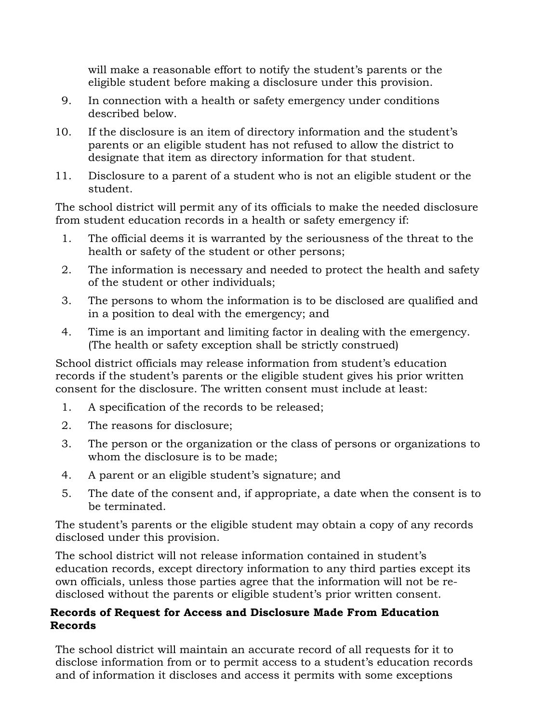will make a reasonable effort to notify the student's parents or the eligible student before making a disclosure under this provision.

- 9. In connection with a health or safety emergency under conditions described below.
- 10. If the disclosure is an item of directory information and the student's parents or an eligible student has not refused to allow the district to designate that item as directory information for that student.
- 11. Disclosure to a parent of a student who is not an eligible student or the student.

The school district will permit any of its officials to make the needed disclosure from student education records in a health or safety emergency if:

- 1. The official deems it is warranted by the seriousness of the threat to the health or safety of the student or other persons;
- 2. The information is necessary and needed to protect the health and safety of the student or other individuals;
- 3. The persons to whom the information is to be disclosed are qualified and in a position to deal with the emergency; and
- 4. Time is an important and limiting factor in dealing with the emergency. (The health or safety exception shall be strictly construed)

School district officials may release information from student's education records if the student's parents or the eligible student gives his prior written consent for the disclosure. The written consent must include at least:

- 1. A specification of the records to be released;
- 2. The reasons for disclosure;
- 3. The person or the organization or the class of persons or organizations to whom the disclosure is to be made;
- 4. A parent or an eligible student's signature; and
- 5. The date of the consent and, if appropriate, a date when the consent is to be terminated.

The student's parents or the eligible student may obtain a copy of any records disclosed under this provision.

The school district will not release information contained in student's education records, except directory information to any third parties except its own officials, unless those parties agree that the information will not be redisclosed without the parents or eligible student's prior written consent.

#### **Records of Request for Access and Disclosure Made From Education Records**

The school district will maintain an accurate record of all requests for it to disclose information from or to permit access to a student's education records and of information it discloses and access it permits with some exceptions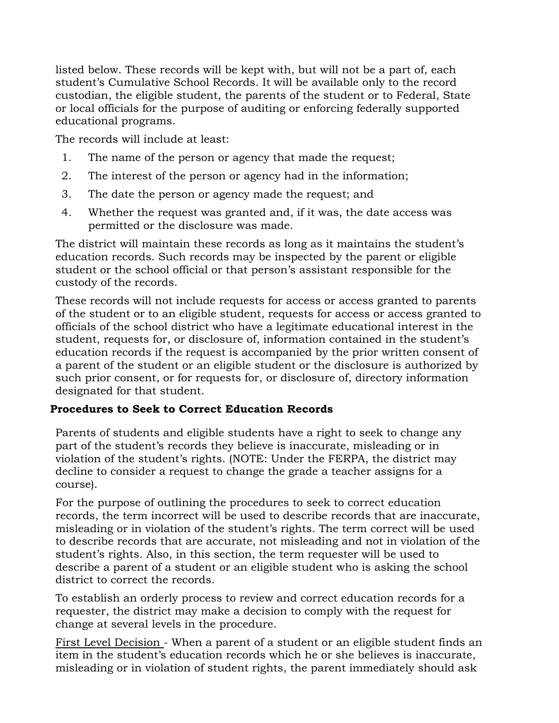listed below. These records will be kept with, but will not be a part of, each student's Cumulative School Records. It will be available only to the record custodian, the eligible student, the parents of the student or to Federal, State or local officials for the purpose of auditing or enforcing federally supported educational programs.

The records will include at least:

- 1. The name of the person or agency that made the request;
- 2. The interest of the person or agency had in the information;
- 3. The date the person or agency made the request; and
- 4. Whether the request was granted and, if it was, the date access was permitted or the disclosure was made.

The district will maintain these records as long as it maintains the student's education records. Such records may be inspected by the parent or eligible student or the school official or that person's assistant responsible for the custody of the records.

These records will not include requests for access or access granted to parents of the student or to an eligible student, requests for access or access granted to officials of the school district who have a legitimate educational interest in the student, requests for, or disclosure of, information contained in the student's education records if the request is accompanied by the prior written consent of a parent of the student or an eligible student or the disclosure is authorized by such prior consent, or for requests for, or disclosure of, directory information designated for that student.

#### **Procedures to Seek to Correct Education Records**

Parents of students and eligible students have a right to seek to change any part of the student's records they believe is inaccurate, misleading or in violation of the student's rights. (NOTE: Under the FERPA, the district may decline to consider a request to change the grade a teacher assigns for a course).

For the purpose of outlining the procedures to seek to correct education records, the term incorrect will be used to describe records that are inaccurate, misleading or in violation of the student's rights. The term correct will be used to describe records that are accurate, not misleading and not in violation of the student's rights. Also, in this section, the term requester will be used to describe a parent of a student or an eligible student who is asking the school district to correct the records.

To establish an orderly process to review and correct education records for a requester, the district may make a decision to comply with the request for change at several levels in the procedure.

First Level Decision - When a parent of a student or an eligible student finds an item in the student's education records which he or she believes is inaccurate, misleading or in violation of student rights, the parent immediately should ask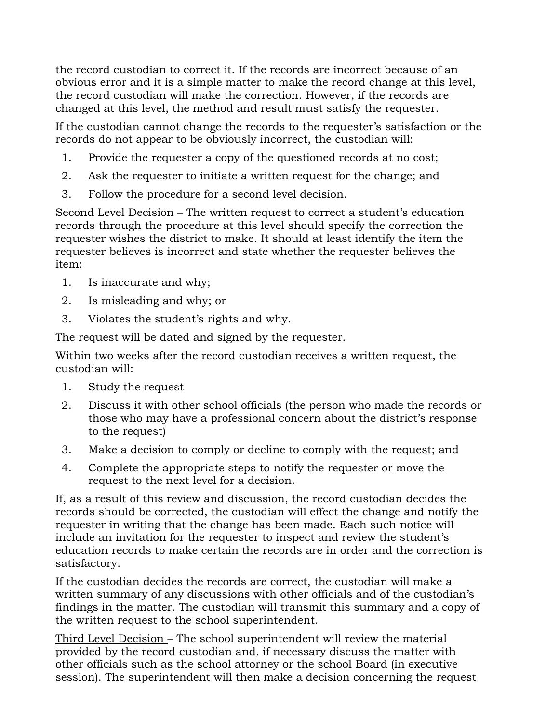the record custodian to correct it. If the records are incorrect because of an obvious error and it is a simple matter to make the record change at this level, the record custodian will make the correction. However, if the records are changed at this level, the method and result must satisfy the requester.

If the custodian cannot change the records to the requester's satisfaction or the records do not appear to be obviously incorrect, the custodian will:

- 1. Provide the requester a copy of the questioned records at no cost;
- 2. Ask the requester to initiate a written request for the change; and
- 3. Follow the procedure for a second level decision.

Second Level Decision – The written request to correct a student's education records through the procedure at this level should specify the correction the requester wishes the district to make. It should at least identify the item the requester believes is incorrect and state whether the requester believes the item:

- 1. Is inaccurate and why;
- 2. Is misleading and why; or
- 3. Violates the student's rights and why.

The request will be dated and signed by the requester.

Within two weeks after the record custodian receives a written request, the custodian will:

- 1. Study the request
- 2. Discuss it with other school officials (the person who made the records or those who may have a professional concern about the district's response to the request)
- 3. Make a decision to comply or decline to comply with the request; and
- 4. Complete the appropriate steps to notify the requester or move the request to the next level for a decision.

If, as a result of this review and discussion, the record custodian decides the records should be corrected, the custodian will effect the change and notify the requester in writing that the change has been made. Each such notice will include an invitation for the requester to inspect and review the student's education records to make certain the records are in order and the correction is satisfactory.

If the custodian decides the records are correct, the custodian will make a written summary of any discussions with other officials and of the custodian's findings in the matter. The custodian will transmit this summary and a copy of the written request to the school superintendent.

Third Level Decision – The school superintendent will review the material provided by the record custodian and, if necessary discuss the matter with other officials such as the school attorney or the school Board (in executive session). The superintendent will then make a decision concerning the request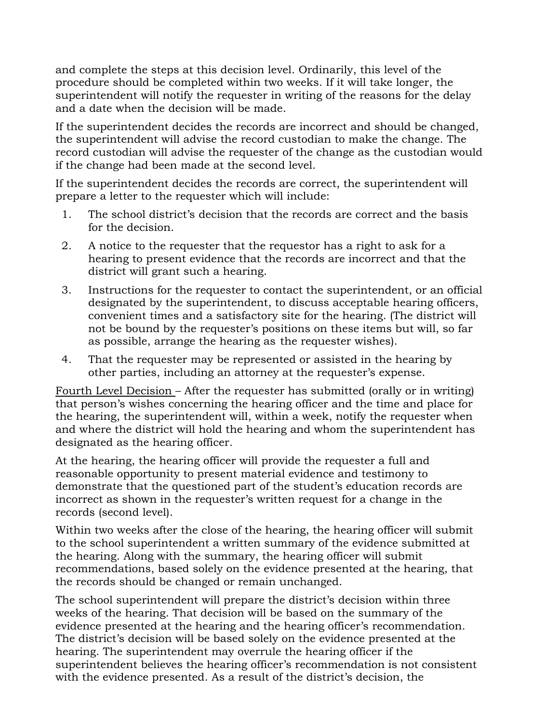and complete the steps at this decision level. Ordinarily, this level of the procedure should be completed within two weeks. If it will take longer, the superintendent will notify the requester in writing of the reasons for the delay and a date when the decision will be made.

If the superintendent decides the records are incorrect and should be changed, the superintendent will advise the record custodian to make the change. The record custodian will advise the requester of the change as the custodian would if the change had been made at the second level.

If the superintendent decides the records are correct, the superintendent will prepare a letter to the requester which will include:

- 1. The school district's decision that the records are correct and the basis for the decision.
- 2. A notice to the requester that the requestor has a right to ask for a hearing to present evidence that the records are incorrect and that the district will grant such a hearing.
- 3. Instructions for the requester to contact the superintendent, or an official designated by the superintendent, to discuss acceptable hearing officers, convenient times and a satisfactory site for the hearing. (The district will not be bound by the requester's positions on these items but will, so far as possible, arrange the hearing as the requester wishes).
- 4. That the requester may be represented or assisted in the hearing by other parties, including an attorney at the requester's expense.

Fourth Level Decision – After the requester has submitted (orally or in writing) that person's wishes concerning the hearing officer and the time and place for the hearing, the superintendent will, within a week, notify the requester when and where the district will hold the hearing and whom the superintendent has designated as the hearing officer.

At the hearing, the hearing officer will provide the requester a full and reasonable opportunity to present material evidence and testimony to demonstrate that the questioned part of the student's education records are incorrect as shown in the requester's written request for a change in the records (second level).

Within two weeks after the close of the hearing, the hearing officer will submit to the school superintendent a written summary of the evidence submitted at the hearing. Along with the summary, the hearing officer will submit recommendations, based solely on the evidence presented at the hearing, that the records should be changed or remain unchanged.

The school superintendent will prepare the district's decision within three weeks of the hearing. That decision will be based on the summary of the evidence presented at the hearing and the hearing officer's recommendation. The district's decision will be based solely on the evidence presented at the hearing. The superintendent may overrule the hearing officer if the superintendent believes the hearing officer's recommendation is not consistent with the evidence presented. As a result of the district's decision, the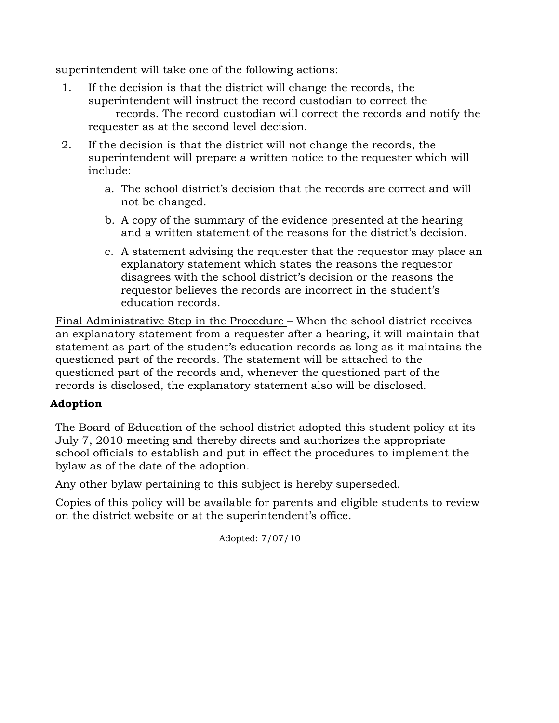superintendent will take one of the following actions:

- 1. If the decision is that the district will change the records, the superintendent will instruct the record custodian to correct the records. The record custodian will correct the records and notify the requester as at the second level decision.
- 2. If the decision is that the district will not change the records, the superintendent will prepare a written notice to the requester which will include:
	- a. The school district's decision that the records are correct and will not be changed.
	- b. A copy of the summary of the evidence presented at the hearing and a written statement of the reasons for the district's decision.
	- c. A statement advising the requester that the requestor may place an explanatory statement which states the reasons the requestor disagrees with the school district's decision or the reasons the requestor believes the records are incorrect in the student's education records.

Final Administrative Step in the Procedure – When the school district receives an explanatory statement from a requester after a hearing, it will maintain that statement as part of the student's education records as long as it maintains the questioned part of the records. The statement will be attached to the questioned part of the records and, whenever the questioned part of the records is disclosed, the explanatory statement also will be disclosed.

#### **Adoption**

The Board of Education of the school district adopted this student policy at its July 7, 2010 meeting and thereby directs and authorizes the appropriate school officials to establish and put in effect the procedures to implement the bylaw as of the date of the adoption.

Any other bylaw pertaining to this subject is hereby superseded.

Copies of this policy will be available for parents and eligible students to review on the district website or at the superintendent's office.

Adopted: 7/07/10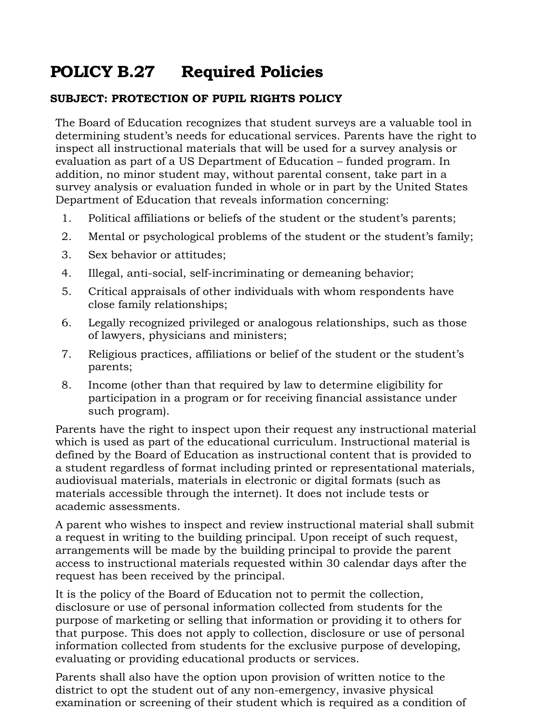# **POLICY B.27 Required Policies**

#### **SUBJECT: PROTECTION OF PUPIL RIGHTS POLICY**

The Board of Education recognizes that student surveys are a valuable tool in determining student's needs for educational services. Parents have the right to inspect all instructional materials that will be used for a survey analysis or evaluation as part of a US Department of Education – funded program. In addition, no minor student may, without parental consent, take part in a survey analysis or evaluation funded in whole or in part by the United States Department of Education that reveals information concerning:

- 1. Political affiliations or beliefs of the student or the student's parents;
- 2. Mental or psychological problems of the student or the student's family;
- 3. Sex behavior or attitudes;
- 4. Illegal, anti-social, self-incriminating or demeaning behavior;
- 5. Critical appraisals of other individuals with whom respondents have close family relationships;
- 6. Legally recognized privileged or analogous relationships, such as those of lawyers, physicians and ministers;
- 7. Religious practices, affiliations or belief of the student or the student's parents;
- 8. Income (other than that required by law to determine eligibility for participation in a program or for receiving financial assistance under such program).

Parents have the right to inspect upon their request any instructional material which is used as part of the educational curriculum. Instructional material is defined by the Board of Education as instructional content that is provided to a student regardless of format including printed or representational materials, audiovisual materials, materials in electronic or digital formats (such as materials accessible through the internet). It does not include tests or academic assessments.

A parent who wishes to inspect and review instructional material shall submit a request in writing to the building principal. Upon receipt of such request, arrangements will be made by the building principal to provide the parent access to instructional materials requested within 30 calendar days after the request has been received by the principal.

It is the policy of the Board of Education not to permit the collection, disclosure or use of personal information collected from students for the purpose of marketing or selling that information or providing it to others for that purpose. This does not apply to collection, disclosure or use of personal information collected from students for the exclusive purpose of developing, evaluating or providing educational products or services.

Parents shall also have the option upon provision of written notice to the district to opt the student out of any non-emergency, invasive physical examination or screening of their student which is required as a condition of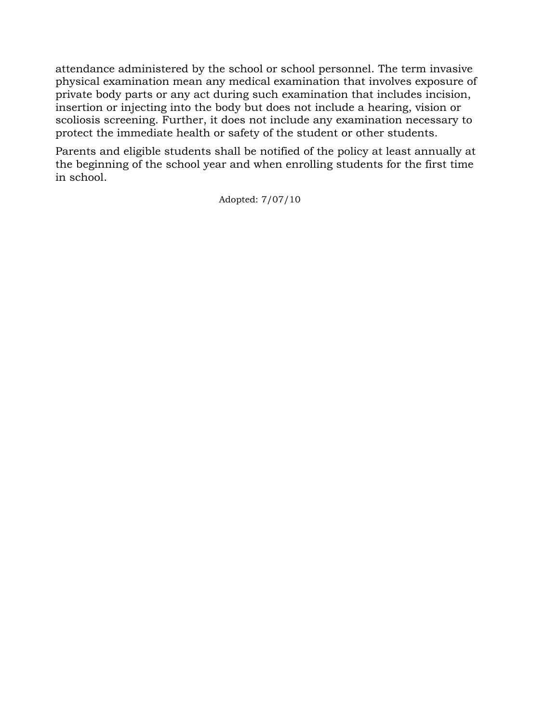attendance administered by the school or school personnel. The term invasive physical examination mean any medical examination that involves exposure of private body parts or any act during such examination that includes incision, insertion or injecting into the body but does not include a hearing, vision or scoliosis screening. Further, it does not include any examination necessary to protect the immediate health or safety of the student or other students.

Parents and eligible students shall be notified of the policy at least annually at the beginning of the school year and when enrolling students for the first time in school.

Adopted: 7/07/10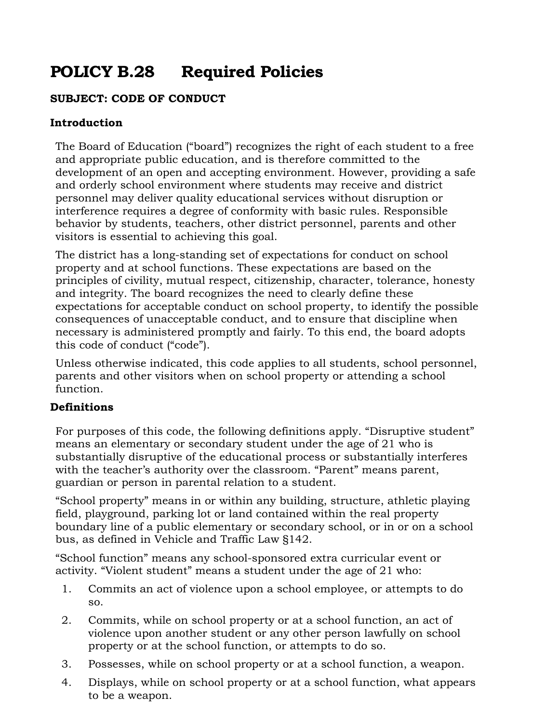# **POLICY B.28 Required Policies**

## **SUBJECT: CODE OF CONDUCT**

#### **Introduction**

The Board of Education ("board") recognizes the right of each student to a free and appropriate public education, and is therefore committed to the development of an open and accepting environment. However, providing a safe and orderly school environment where students may receive and district personnel may deliver quality educational services without disruption or interference requires a degree of conformity with basic rules. Responsible behavior by students, teachers, other district personnel, parents and other visitors is essential to achieving this goal.

The district has a long-standing set of expectations for conduct on school property and at school functions. These expectations are based on the principles of civility, mutual respect, citizenship, character, tolerance, honesty and integrity. The board recognizes the need to clearly define these expectations for acceptable conduct on school property, to identify the possible consequences of unacceptable conduct, and to ensure that discipline when necessary is administered promptly and fairly. To this end, the board adopts this code of conduct ("code").

Unless otherwise indicated, this code applies to all students, school personnel, parents and other visitors when on school property or attending a school function.

## **Definitions**

For purposes of this code, the following definitions apply. "Disruptive student" means an elementary or secondary student under the age of 21 who is substantially disruptive of the educational process or substantially interferes with the teacher's authority over the classroom. "Parent" means parent, guardian or person in parental relation to a student.

"School property" means in or within any building, structure, athletic playing field, playground, parking lot or land contained within the real property boundary line of a public elementary or secondary school, or in or on a school bus, as defined in Vehicle and Traffic Law §142.

"School function" means any school-sponsored extra curricular event or activity. "Violent student" means a student under the age of 21 who:

- 1. Commits an act of violence upon a school employee, or attempts to do so.
- 2. Commits, while on school property or at a school function, an act of violence upon another student or any other person lawfully on school property or at the school function, or attempts to do so.
- 3. Possesses, while on school property or at a school function, a weapon.
- 4. Displays, while on school property or at a school function, what appears to be a weapon.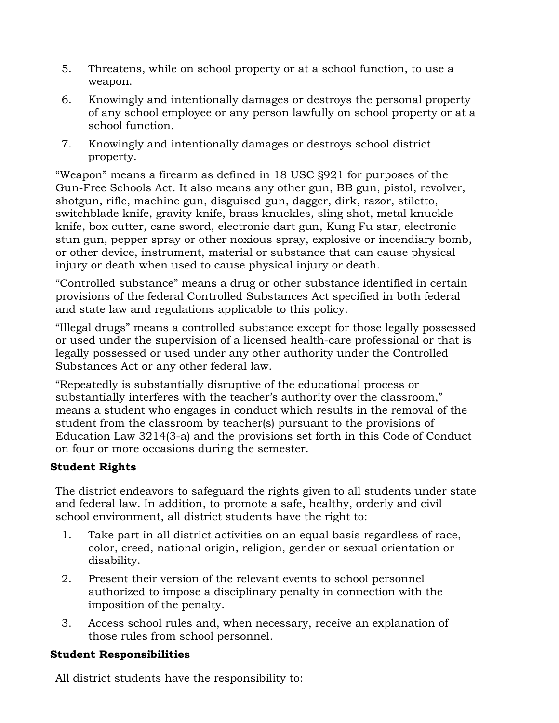- 5. Threatens, while on school property or at a school function, to use a weapon.
- 6. Knowingly and intentionally damages or destroys the personal property of any school employee or any person lawfully on school property or at a school function.
- 7. Knowingly and intentionally damages or destroys school district property.

"Weapon" means a firearm as defined in 18 USC §921 for purposes of the Gun-Free Schools Act. It also means any other gun, BB gun, pistol, revolver, shotgun, rifle, machine gun, disguised gun, dagger, dirk, razor, stiletto, switchblade knife, gravity knife, brass knuckles, sling shot, metal knuckle knife, box cutter, cane sword, electronic dart gun, Kung Fu star, electronic stun gun, pepper spray or other noxious spray, explosive or incendiary bomb, or other device, instrument, material or substance that can cause physical injury or death when used to cause physical injury or death.

"Controlled substance" means a drug or other substance identified in certain provisions of the federal Controlled Substances Act specified in both federal and state law and regulations applicable to this policy.

"Illegal drugs" means a controlled substance except for those legally possessed or used under the supervision of a licensed health-care professional or that is legally possessed or used under any other authority under the Controlled Substances Act or any other federal law.

"Repeatedly is substantially disruptive of the educational process or substantially interferes with the teacher's authority over the classroom," means a student who engages in conduct which results in the removal of the student from the classroom by teacher(s) pursuant to the provisions of Education Law 3214(3-a) and the provisions set forth in this Code of Conduct on four or more occasions during the semester.

## **Student Rights**

The district endeavors to safeguard the rights given to all students under state and federal law. In addition, to promote a safe, healthy, orderly and civil school environment, all district students have the right to:

- 1. Take part in all district activities on an equal basis regardless of race, color, creed, national origin, religion, gender or sexual orientation or disability.
- 2. Present their version of the relevant events to school personnel authorized to impose a disciplinary penalty in connection with the imposition of the penalty.
- 3. Access school rules and, when necessary, receive an explanation of those rules from school personnel.

## **Student Responsibilities**

All district students have the responsibility to: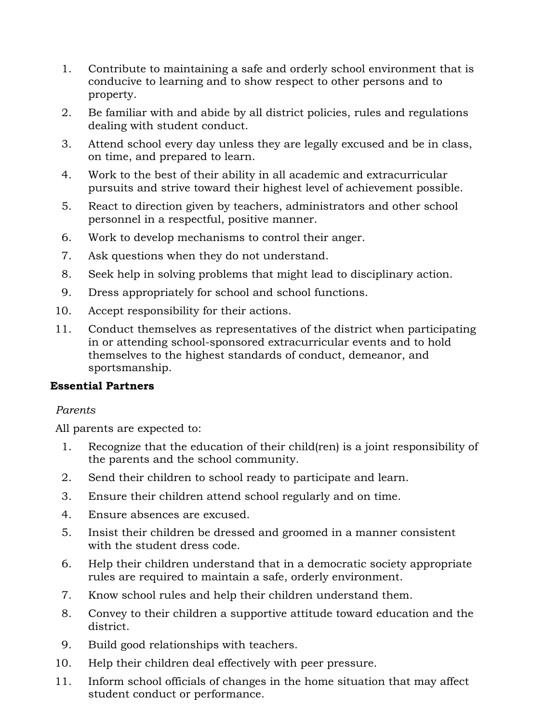- 1. Contribute to maintaining a safe and orderly school environment that is conducive to learning and to show respect to other persons and to property.
- 2. Be familiar with and abide by all district policies, rules and regulations dealing with student conduct.
- 3. Attend school every day unless they are legally excused and be in class, on time, and prepared to learn.
- 4. Work to the best of their ability in all academic and extracurricular pursuits and strive toward their highest level of achievement possible.
- 5. React to direction given by teachers, administrators and other school personnel in a respectful, positive manner.
- 6. Work to develop mechanisms to control their anger.
- 7. Ask questions when they do not understand.
- 8. Seek help in solving problems that might lead to disciplinary action.
- 9. Dress appropriately for school and school functions.
- 10. Accept responsibility for their actions.
- 11. Conduct themselves as representatives of the district when participating in or attending school-sponsored extracurricular events and to hold themselves to the highest standards of conduct, demeanor, and sportsmanship.

#### **Essential Partners**

#### *Parents*

All parents are expected to:

- 1. Recognize that the education of their child(ren) is a joint responsibility of the parents and the school community.
- 2. Send their children to school ready to participate and learn.
- 3. Ensure their children attend school regularly and on time.
- 4. Ensure absences are excused.
- 5. Insist their children be dressed and groomed in a manner consistent with the student dress code.
- 6. Help their children understand that in a democratic society appropriate rules are required to maintain a safe, orderly environment.
- 7. Know school rules and help their children understand them.
- 8. Convey to their children a supportive attitude toward education and the district.
- 9. Build good relationships with teachers.
- 10. Help their children deal effectively with peer pressure.
- 11. Inform school officials of changes in the home situation that may affect student conduct or performance.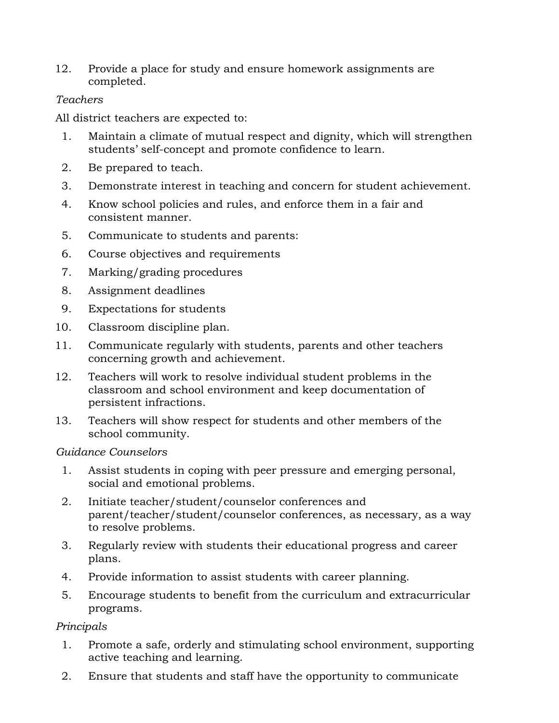12. Provide a place for study and ensure homework assignments are completed.

## *Teachers*

All district teachers are expected to:

- 1. Maintain a climate of mutual respect and dignity, which will strengthen students' self-concept and promote confidence to learn.
- 2. Be prepared to teach.
- 3. Demonstrate interest in teaching and concern for student achievement.
- 4. Know school policies and rules, and enforce them in a fair and consistent manner.
- 5. Communicate to students and parents:
- 6. Course objectives and requirements
- 7. Marking/grading procedures
- 8. Assignment deadlines
- 9. Expectations for students
- 10. Classroom discipline plan.
- 11. Communicate regularly with students, parents and other teachers concerning growth and achievement.
- 12. Teachers will work to resolve individual student problems in the classroom and school environment and keep documentation of persistent infractions.
- 13. Teachers will show respect for students and other members of the school community.

#### *Guidance Counselors*

- 1. Assist students in coping with peer pressure and emerging personal, social and emotional problems.
- 2. Initiate teacher/student/counselor conferences and parent/teacher/student/counselor conferences, as necessary, as a way to resolve problems.
- 3. Regularly review with students their educational progress and career plans.
- 4. Provide information to assist students with career planning.
- 5. Encourage students to benefit from the curriculum and extracurricular programs.

# *Principals*

- 1. Promote a safe, orderly and stimulating school environment, supporting active teaching and learning.
- 2. Ensure that students and staff have the opportunity to communicate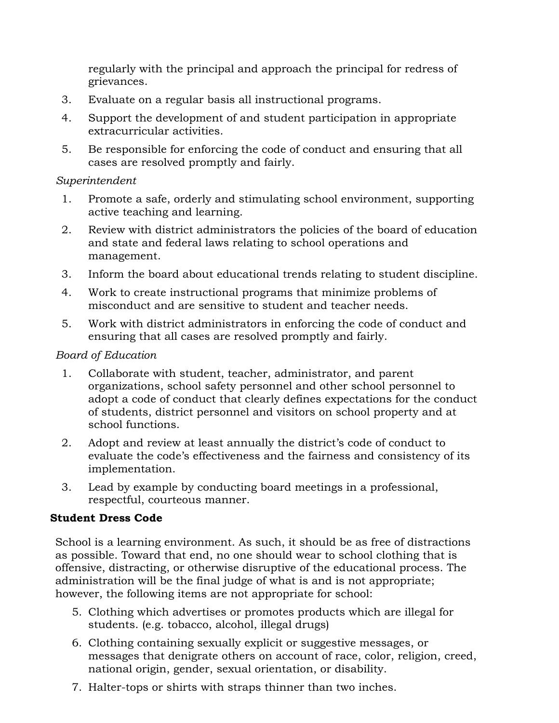regularly with the principal and approach the principal for redress of grievances.

- 3. Evaluate on a regular basis all instructional programs.
- 4. Support the development of and student participation in appropriate extracurricular activities.
- 5. Be responsible for enforcing the code of conduct and ensuring that all cases are resolved promptly and fairly.

#### *Superintendent*

- 1. Promote a safe, orderly and stimulating school environment, supporting active teaching and learning.
- 2. Review with district administrators the policies of the board of education and state and federal laws relating to school operations and management.
- 3. Inform the board about educational trends relating to student discipline.
- 4. Work to create instructional programs that minimize problems of misconduct and are sensitive to student and teacher needs.
- 5. Work with district administrators in enforcing the code of conduct and ensuring that all cases are resolved promptly and fairly.

## *Board of Education*

- 1. Collaborate with student, teacher, administrator, and parent organizations, school safety personnel and other school personnel to adopt a code of conduct that clearly defines expectations for the conduct of students, district personnel and visitors on school property and at school functions.
- 2. Adopt and review at least annually the district's code of conduct to evaluate the code's effectiveness and the fairness and consistency of its implementation.
- 3. Lead by example by conducting board meetings in a professional, respectful, courteous manner.

# **Student Dress Code**

School is a learning environment. As such, it should be as free of distractions as possible. Toward that end, no one should wear to school clothing that is offensive, distracting, or otherwise disruptive of the educational process. The administration will be the final judge of what is and is not appropriate; however, the following items are not appropriate for school:

- 5. Clothing which advertises or promotes products which are illegal for students. (e.g. tobacco, alcohol, illegal drugs)
- 6. Clothing containing sexually explicit or suggestive messages, or messages that denigrate others on account of race, color, religion, creed, national origin, gender, sexual orientation, or disability.
- 7. Halter-tops or shirts with straps thinner than two inches.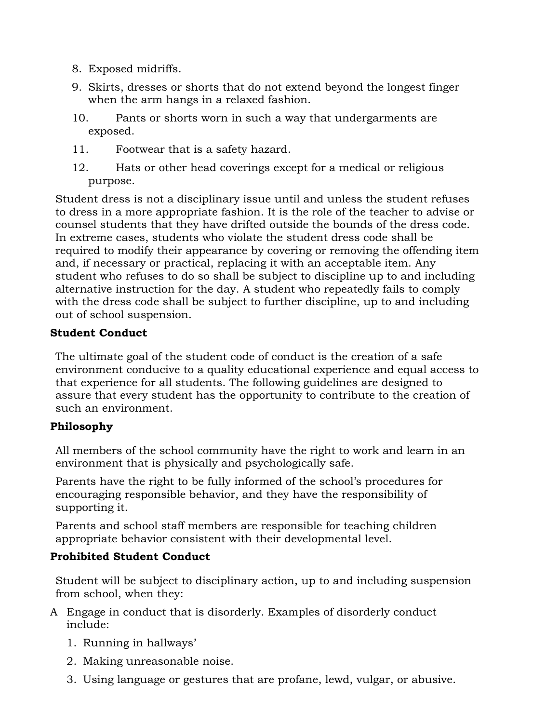- 8. Exposed midriffs.
- 9. Skirts, dresses or shorts that do not extend beyond the longest finger when the arm hangs in a relaxed fashion.
- 10. Pants or shorts worn in such a way that undergarments are exposed.
- 11. Footwear that is a safety hazard.
- 12. Hats or other head coverings except for a medical or religious purpose.

Student dress is not a disciplinary issue until and unless the student refuses to dress in a more appropriate fashion. It is the role of the teacher to advise or counsel students that they have drifted outside the bounds of the dress code. In extreme cases, students who violate the student dress code shall be required to modify their appearance by covering or removing the offending item and, if necessary or practical, replacing it with an acceptable item. Any student who refuses to do so shall be subject to discipline up to and including alternative instruction for the day. A student who repeatedly fails to comply with the dress code shall be subject to further discipline, up to and including out of school suspension.

# **Student Conduct**

The ultimate goal of the student code of conduct is the creation of a safe environment conducive to a quality educational experience and equal access to that experience for all students. The following guidelines are designed to assure that every student has the opportunity to contribute to the creation of such an environment.

# **Philosophy**

All members of the school community have the right to work and learn in an environment that is physically and psychologically safe.

Parents have the right to be fully informed of the school's procedures for encouraging responsible behavior, and they have the responsibility of supporting it.

Parents and school staff members are responsible for teaching children appropriate behavior consistent with their developmental level.

# **Prohibited Student Conduct**

Student will be subject to disciplinary action, up to and including suspension from school, when they:

- A Engage in conduct that is disorderly. Examples of disorderly conduct include:
	- 1. Running in hallways'
	- 2. Making unreasonable noise.
	- 3. Using language or gestures that are profane, lewd, vulgar, or abusive.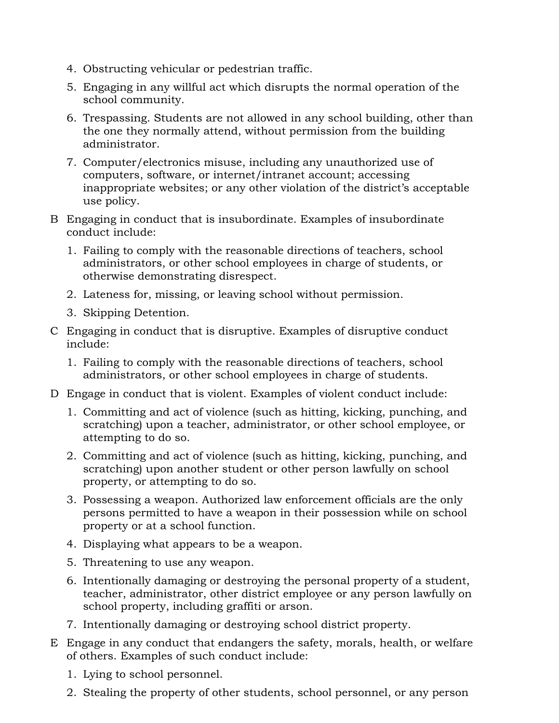- 4. Obstructing vehicular or pedestrian traffic.
- 5. Engaging in any willful act which disrupts the normal operation of the school community.
- 6. Trespassing. Students are not allowed in any school building, other than the one they normally attend, without permission from the building administrator.
- 7. Computer/electronics misuse, including any unauthorized use of computers, software, or internet/intranet account; accessing inappropriate websites; or any other violation of the district's acceptable use policy.
- B Engaging in conduct that is insubordinate. Examples of insubordinate conduct include:
	- 1. Failing to comply with the reasonable directions of teachers, school administrators, or other school employees in charge of students, or otherwise demonstrating disrespect.
	- 2. Lateness for, missing, or leaving school without permission.
	- 3. Skipping Detention.
- C Engaging in conduct that is disruptive. Examples of disruptive conduct include:
	- 1. Failing to comply with the reasonable directions of teachers, school administrators, or other school employees in charge of students.
- D Engage in conduct that is violent. Examples of violent conduct include:
	- 1. Committing and act of violence (such as hitting, kicking, punching, and scratching) upon a teacher, administrator, or other school employee, or attempting to do so.
	- 2. Committing and act of violence (such as hitting, kicking, punching, and scratching) upon another student or other person lawfully on school property, or attempting to do so.
	- 3. Possessing a weapon. Authorized law enforcement officials are the only persons permitted to have a weapon in their possession while on school property or at a school function.
	- 4. Displaying what appears to be a weapon.
	- 5. Threatening to use any weapon.
	- 6. Intentionally damaging or destroying the personal property of a student, teacher, administrator, other district employee or any person lawfully on school property, including graffiti or arson.
	- 7. Intentionally damaging or destroying school district property.
- E Engage in any conduct that endangers the safety, morals, health, or welfare of others. Examples of such conduct include:
	- 1. Lying to school personnel.
	- 2. Stealing the property of other students, school personnel, or any person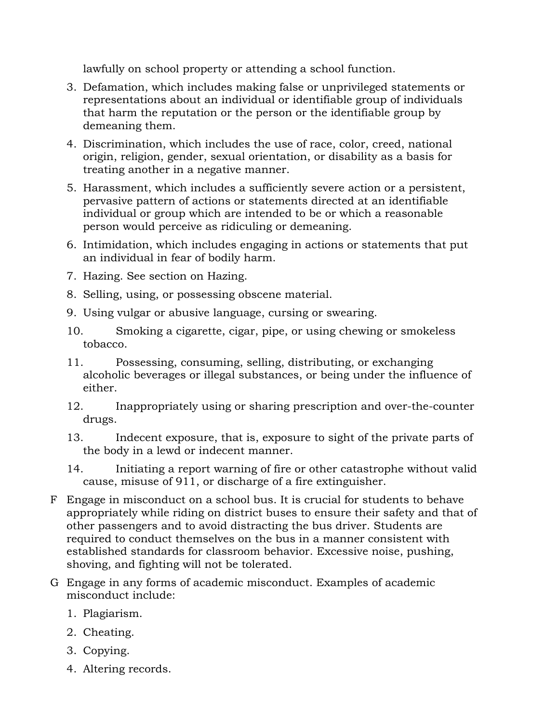lawfully on school property or attending a school function.

- 3. Defamation, which includes making false or unprivileged statements or representations about an individual or identifiable group of individuals that harm the reputation or the person or the identifiable group by demeaning them.
- 4. Discrimination, which includes the use of race, color, creed, national origin, religion, gender, sexual orientation, or disability as a basis for treating another in a negative manner.
- 5. Harassment, which includes a sufficiently severe action or a persistent, pervasive pattern of actions or statements directed at an identifiable individual or group which are intended to be or which a reasonable person would perceive as ridiculing or demeaning.
- 6. Intimidation, which includes engaging in actions or statements that put an individual in fear of bodily harm.
- 7. Hazing. See section on Hazing.
- 8. Selling, using, or possessing obscene material.
- 9. Using vulgar or abusive language, cursing or swearing.
- 10. Smoking a cigarette, cigar, pipe, or using chewing or smokeless tobacco.
- 11. Possessing, consuming, selling, distributing, or exchanging alcoholic beverages or illegal substances, or being under the influence of either.
- 12. Inappropriately using or sharing prescription and over-the-counter drugs.
- 13. Indecent exposure, that is, exposure to sight of the private parts of the body in a lewd or indecent manner.
- 14. Initiating a report warning of fire or other catastrophe without valid cause, misuse of 911, or discharge of a fire extinguisher.
- F Engage in misconduct on a school bus. It is crucial for students to behave appropriately while riding on district buses to ensure their safety and that of other passengers and to avoid distracting the bus driver. Students are required to conduct themselves on the bus in a manner consistent with established standards for classroom behavior. Excessive noise, pushing, shoving, and fighting will not be tolerated.
- G Engage in any forms of academic misconduct. Examples of academic misconduct include:
	- 1. Plagiarism.
	- 2. Cheating.
	- 3. Copying.
	- 4. Altering records.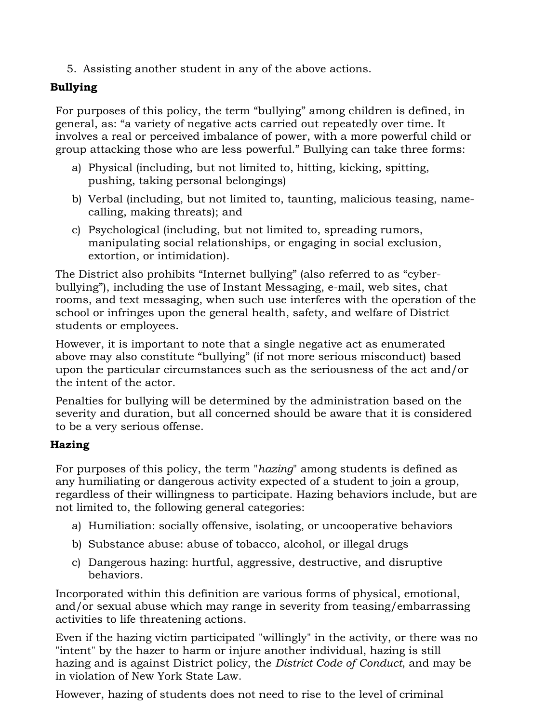5. Assisting another student in any of the above actions.

# **Bullying**

For purposes of this policy, the term "bullying" among children is defined, in general, as: "a variety of negative acts carried out repeatedly over time. It involves a real or perceived imbalance of power, with a more powerful child or group attacking those who are less powerful." Bullying can take three forms:

- a) Physical (including, but not limited to, hitting, kicking, spitting, pushing, taking personal belongings)
- b) Verbal (including, but not limited to, taunting, malicious teasing, namecalling, making threats); and
- c) Psychological (including, but not limited to, spreading rumors, manipulating social relationships, or engaging in social exclusion, extortion, or intimidation).

The District also prohibits "Internet bullying" (also referred to as "cyberbullying"), including the use of Instant Messaging, e-mail, web sites, chat rooms, and text messaging, when such use interferes with the operation of the school or infringes upon the general health, safety, and welfare of District students or employees.

However, it is important to note that a single negative act as enumerated above may also constitute "bullying" (if not more serious misconduct) based upon the particular circumstances such as the seriousness of the act and/or the intent of the actor.

Penalties for bullying will be determined by the administration based on the severity and duration, but all concerned should be aware that it is considered to be a very serious offense.

# **Hazing**

For purposes of this policy, the term "*hazing*" among students is defined as any humiliating or dangerous activity expected of a student to join a group, regardless of their willingness to participate. Hazing behaviors include, but are not limited to, the following general categories:

- a) Humiliation: socially offensive, isolating, or uncooperative behaviors
- b) Substance abuse: abuse of tobacco, alcohol, or illegal drugs
- c) Dangerous hazing: hurtful, aggressive, destructive, and disruptive behaviors.

Incorporated within this definition are various forms of physical, emotional, and/or sexual abuse which may range in severity from teasing/embarrassing activities to life threatening actions.

Even if the hazing victim participated "willingly" in the activity, or there was no "intent" by the hazer to harm or injure another individual, hazing is still hazing and is against District policy, the *District Code of Conduct*, and may be in violation of New York State Law.

However, hazing of students does not need to rise to the level of criminal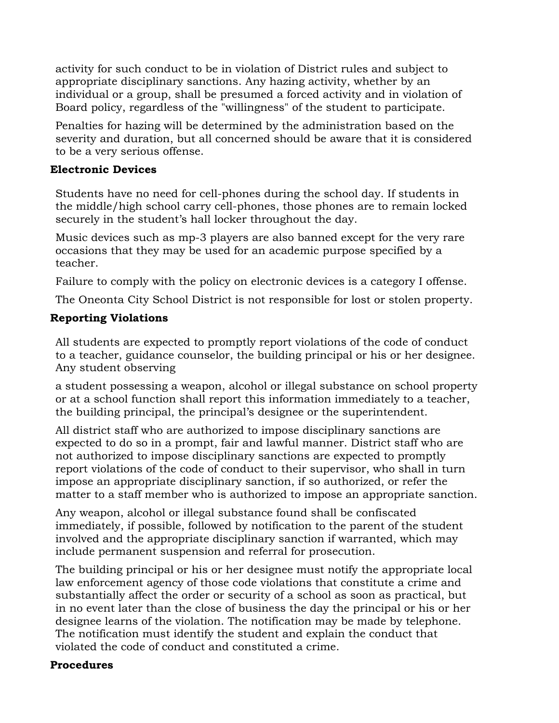activity for such conduct to be in violation of District rules and subject to appropriate disciplinary sanctions. Any hazing activity, whether by an individual or a group, shall be presumed a forced activity and in violation of Board policy, regardless of the "willingness" of the student to participate.

Penalties for hazing will be determined by the administration based on the severity and duration, but all concerned should be aware that it is considered to be a very serious offense.

#### **Electronic Devices**

Students have no need for cell-phones during the school day. If students in the middle/high school carry cell-phones, those phones are to remain locked securely in the student's hall locker throughout the day.

Music devices such as mp-3 players are also banned except for the very rare occasions that they may be used for an academic purpose specified by a teacher.

Failure to comply with the policy on electronic devices is a category I offense.

The Oneonta City School District is not responsible for lost or stolen property.

# **Reporting Violations**

All students are expected to promptly report violations of the code of conduct to a teacher, guidance counselor, the building principal or his or her designee. Any student observing

a student possessing a weapon, alcohol or illegal substance on school property or at a school function shall report this information immediately to a teacher, the building principal, the principal's designee or the superintendent.

All district staff who are authorized to impose disciplinary sanctions are expected to do so in a prompt, fair and lawful manner. District staff who are not authorized to impose disciplinary sanctions are expected to promptly report violations of the code of conduct to their supervisor, who shall in turn impose an appropriate disciplinary sanction, if so authorized, or refer the matter to a staff member who is authorized to impose an appropriate sanction.

Any weapon, alcohol or illegal substance found shall be confiscated immediately, if possible, followed by notification to the parent of the student involved and the appropriate disciplinary sanction if warranted, which may include permanent suspension and referral for prosecution.

The building principal or his or her designee must notify the appropriate local law enforcement agency of those code violations that constitute a crime and substantially affect the order or security of a school as soon as practical, but in no event later than the close of business the day the principal or his or her designee learns of the violation. The notification may be made by telephone. The notification must identify the student and explain the conduct that violated the code of conduct and constituted a crime.

# **Procedures**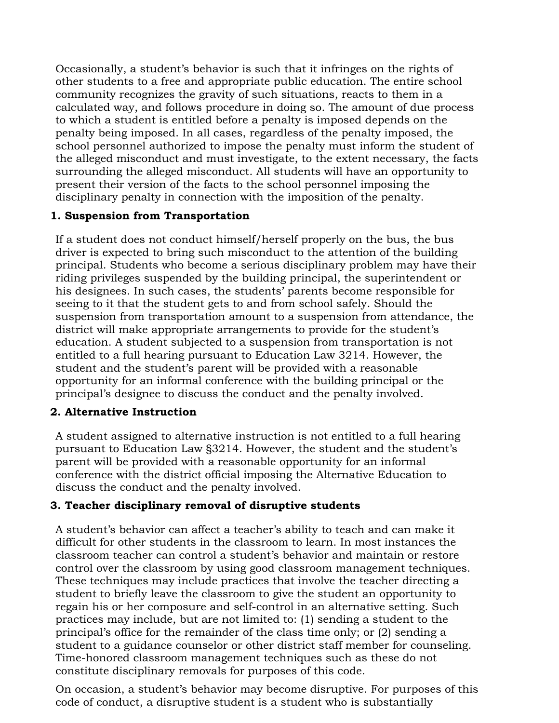Occasionally, a student's behavior is such that it infringes on the rights of other students to a free and appropriate public education. The entire school community recognizes the gravity of such situations, reacts to them in a calculated way, and follows procedure in doing so. The amount of due process to which a student is entitled before a penalty is imposed depends on the penalty being imposed. In all cases, regardless of the penalty imposed, the school personnel authorized to impose the penalty must inform the student of the alleged misconduct and must investigate, to the extent necessary, the facts surrounding the alleged misconduct. All students will have an opportunity to present their version of the facts to the school personnel imposing the disciplinary penalty in connection with the imposition of the penalty.

## **1. Suspension from Transportation**

If a student does not conduct himself/herself properly on the bus, the bus driver is expected to bring such misconduct to the attention of the building principal. Students who become a serious disciplinary problem may have their riding privileges suspended by the building principal, the superintendent or his designees. In such cases, the students' parents become responsible for seeing to it that the student gets to and from school safely. Should the suspension from transportation amount to a suspension from attendance, the district will make appropriate arrangements to provide for the student's education. A student subjected to a suspension from transportation is not entitled to a full hearing pursuant to Education Law 3214. However, the student and the student's parent will be provided with a reasonable opportunity for an informal conference with the building principal or the principal's designee to discuss the conduct and the penalty involved.

# **2. Alternative Instruction**

A student assigned to alternative instruction is not entitled to a full hearing pursuant to Education Law §3214. However, the student and the student's parent will be provided with a reasonable opportunity for an informal conference with the district official imposing the Alternative Education to discuss the conduct and the penalty involved.

# **3. Teacher disciplinary removal of disruptive students**

A student's behavior can affect a teacher's ability to teach and can make it difficult for other students in the classroom to learn. In most instances the classroom teacher can control a student's behavior and maintain or restore control over the classroom by using good classroom management techniques. These techniques may include practices that involve the teacher directing a student to briefly leave the classroom to give the student an opportunity to regain his or her composure and self-control in an alternative setting. Such practices may include, but are not limited to: (1) sending a student to the principal's office for the remainder of the class time only; or (2) sending a student to a guidance counselor or other district staff member for counseling. Time-honored classroom management techniques such as these do not constitute disciplinary removals for purposes of this code.

On occasion, a student's behavior may become disruptive. For purposes of this code of conduct, a disruptive student is a student who is substantially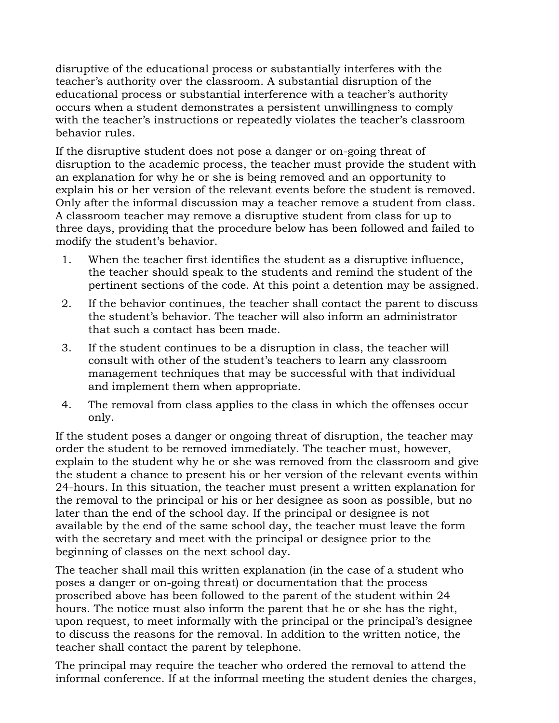disruptive of the educational process or substantially interferes with the teacher's authority over the classroom. A substantial disruption of the educational process or substantial interference with a teacher's authority occurs when a student demonstrates a persistent unwillingness to comply with the teacher's instructions or repeatedly violates the teacher's classroom behavior rules.

If the disruptive student does not pose a danger or on-going threat of disruption to the academic process, the teacher must provide the student with an explanation for why he or she is being removed and an opportunity to explain his or her version of the relevant events before the student is removed. Only after the informal discussion may a teacher remove a student from class. A classroom teacher may remove a disruptive student from class for up to three days, providing that the procedure below has been followed and failed to modify the student's behavior.

- 1. When the teacher first identifies the student as a disruptive influence, the teacher should speak to the students and remind the student of the pertinent sections of the code. At this point a detention may be assigned.
- 2. If the behavior continues, the teacher shall contact the parent to discuss the student's behavior. The teacher will also inform an administrator that such a contact has been made.
- 3. If the student continues to be a disruption in class, the teacher will consult with other of the student's teachers to learn any classroom management techniques that may be successful with that individual and implement them when appropriate.
- 4. The removal from class applies to the class in which the offenses occur only.

If the student poses a danger or ongoing threat of disruption, the teacher may order the student to be removed immediately. The teacher must, however, explain to the student why he or she was removed from the classroom and give the student a chance to present his or her version of the relevant events within 24-hours. In this situation, the teacher must present a written explanation for the removal to the principal or his or her designee as soon as possible, but no later than the end of the school day. If the principal or designee is not available by the end of the same school day, the teacher must leave the form with the secretary and meet with the principal or designee prior to the beginning of classes on the next school day.

The teacher shall mail this written explanation (in the case of a student who poses a danger or on-going threat) or documentation that the process proscribed above has been followed to the parent of the student within 24 hours. The notice must also inform the parent that he or she has the right, upon request, to meet informally with the principal or the principal's designee to discuss the reasons for the removal. In addition to the written notice, the teacher shall contact the parent by telephone.

The principal may require the teacher who ordered the removal to attend the informal conference. If at the informal meeting the student denies the charges,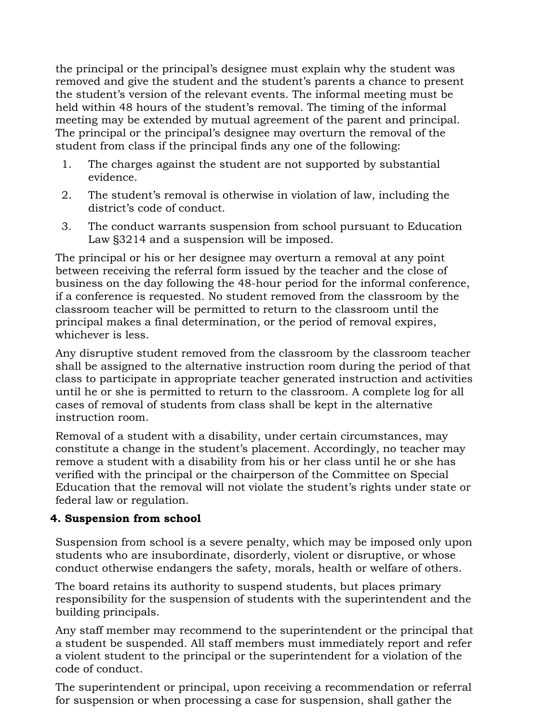the principal or the principal's designee must explain why the student was removed and give the student and the student's parents a chance to present the student's version of the relevant events. The informal meeting must be held within 48 hours of the student's removal. The timing of the informal meeting may be extended by mutual agreement of the parent and principal. The principal or the principal's designee may overturn the removal of the student from class if the principal finds any one of the following:

- 1. The charges against the student are not supported by substantial evidence.
- 2. The student's removal is otherwise in violation of law, including the district's code of conduct.
- 3. The conduct warrants suspension from school pursuant to Education Law §3214 and a suspension will be imposed.

The principal or his or her designee may overturn a removal at any point between receiving the referral form issued by the teacher and the close of business on the day following the 48-hour period for the informal conference, if a conference is requested. No student removed from the classroom by the classroom teacher will be permitted to return to the classroom until the principal makes a final determination, or the period of removal expires, whichever is less.

Any disruptive student removed from the classroom by the classroom teacher shall be assigned to the alternative instruction room during the period of that class to participate in appropriate teacher generated instruction and activities until he or she is permitted to return to the classroom. A complete log for all cases of removal of students from class shall be kept in the alternative instruction room.

Removal of a student with a disability, under certain circumstances, may constitute a change in the student's placement. Accordingly, no teacher may remove a student with a disability from his or her class until he or she has verified with the principal or the chairperson of the Committee on Special Education that the removal will not violate the student's rights under state or federal law or regulation.

# **4. Suspension from school**

Suspension from school is a severe penalty, which may be imposed only upon students who are insubordinate, disorderly, violent or disruptive, or whose conduct otherwise endangers the safety, morals, health or welfare of others.

The board retains its authority to suspend students, but places primary responsibility for the suspension of students with the superintendent and the building principals.

Any staff member may recommend to the superintendent or the principal that a student be suspended. All staff members must immediately report and refer a violent student to the principal or the superintendent for a violation of the code of conduct.

The superintendent or principal, upon receiving a recommendation or referral for suspension or when processing a case for suspension, shall gather the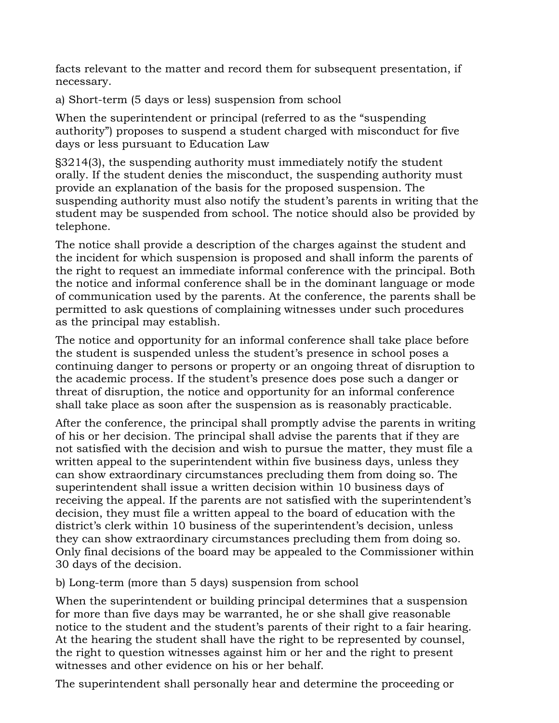facts relevant to the matter and record them for subsequent presentation, if necessary.

a) Short-term (5 days or less) suspension from school

When the superintendent or principal (referred to as the "suspending authority") proposes to suspend a student charged with misconduct for five days or less pursuant to Education Law

§3214(3), the suspending authority must immediately notify the student orally. If the student denies the misconduct, the suspending authority must provide an explanation of the basis for the proposed suspension. The suspending authority must also notify the student's parents in writing that the student may be suspended from school. The notice should also be provided by telephone.

The notice shall provide a description of the charges against the student and the incident for which suspension is proposed and shall inform the parents of the right to request an immediate informal conference with the principal. Both the notice and informal conference shall be in the dominant language or mode of communication used by the parents. At the conference, the parents shall be permitted to ask questions of complaining witnesses under such procedures as the principal may establish.

The notice and opportunity for an informal conference shall take place before the student is suspended unless the student's presence in school poses a continuing danger to persons or property or an ongoing threat of disruption to the academic process. If the student's presence does pose such a danger or threat of disruption, the notice and opportunity for an informal conference shall take place as soon after the suspension as is reasonably practicable.

After the conference, the principal shall promptly advise the parents in writing of his or her decision. The principal shall advise the parents that if they are not satisfied with the decision and wish to pursue the matter, they must file a written appeal to the superintendent within five business days, unless they can show extraordinary circumstances precluding them from doing so. The superintendent shall issue a written decision within 10 business days of receiving the appeal. If the parents are not satisfied with the superintendent's decision, they must file a written appeal to the board of education with the district's clerk within 10 business of the superintendent's decision, unless they can show extraordinary circumstances precluding them from doing so. Only final decisions of the board may be appealed to the Commissioner within 30 days of the decision.

b) Long-term (more than 5 days) suspension from school

When the superintendent or building principal determines that a suspension for more than five days may be warranted, he or she shall give reasonable notice to the student and the student's parents of their right to a fair hearing. At the hearing the student shall have the right to be represented by counsel, the right to question witnesses against him or her and the right to present witnesses and other evidence on his or her behalf.

The superintendent shall personally hear and determine the proceeding or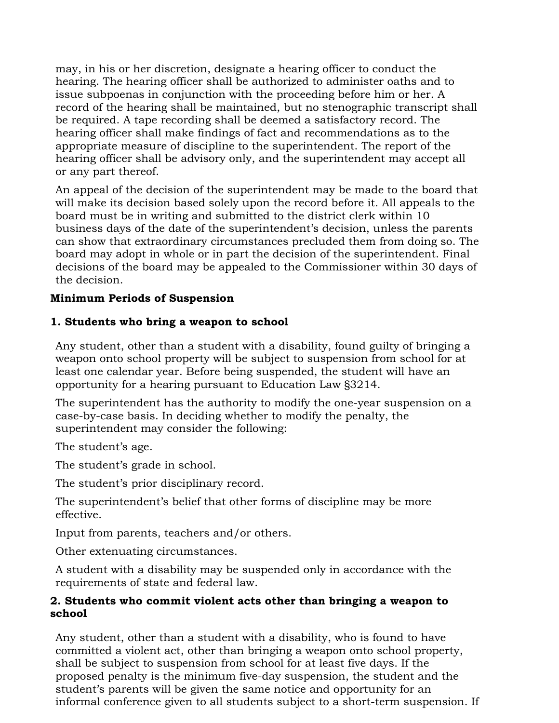may, in his or her discretion, designate a hearing officer to conduct the hearing. The hearing officer shall be authorized to administer oaths and to issue subpoenas in conjunction with the proceeding before him or her. A record of the hearing shall be maintained, but no stenographic transcript shall be required. A tape recording shall be deemed a satisfactory record. The hearing officer shall make findings of fact and recommendations as to the appropriate measure of discipline to the superintendent. The report of the hearing officer shall be advisory only, and the superintendent may accept all or any part thereof.

An appeal of the decision of the superintendent may be made to the board that will make its decision based solely upon the record before it. All appeals to the board must be in writing and submitted to the district clerk within 10 business days of the date of the superintendent's decision, unless the parents can show that extraordinary circumstances precluded them from doing so. The board may adopt in whole or in part the decision of the superintendent. Final decisions of the board may be appealed to the Commissioner within 30 days of the decision.

## **Minimum Periods of Suspension**

#### **1. Students who bring a weapon to school**

Any student, other than a student with a disability, found guilty of bringing a weapon onto school property will be subject to suspension from school for at least one calendar year. Before being suspended, the student will have an opportunity for a hearing pursuant to Education Law §3214.

The superintendent has the authority to modify the one-year suspension on a case-by-case basis. In deciding whether to modify the penalty, the superintendent may consider the following:

The student's age.

The student's grade in school.

The student's prior disciplinary record.

The superintendent's belief that other forms of discipline may be more effective.

Input from parents, teachers and/or others.

Other extenuating circumstances.

A student with a disability may be suspended only in accordance with the requirements of state and federal law.

## **2. Students who commit violent acts other than bringing a weapon to school**

Any student, other than a student with a disability, who is found to have committed a violent act, other than bringing a weapon onto school property, shall be subject to suspension from school for at least five days. If the proposed penalty is the minimum five-day suspension, the student and the student's parents will be given the same notice and opportunity for an informal conference given to all students subject to a short-term suspension. If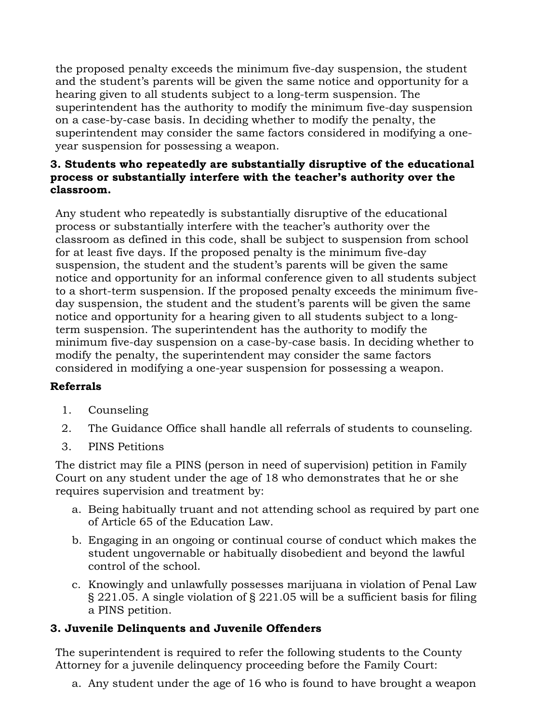the proposed penalty exceeds the minimum five-day suspension, the student and the student's parents will be given the same notice and opportunity for a hearing given to all students subject to a long-term suspension. The superintendent has the authority to modify the minimum five-day suspension on a case-by-case basis. In deciding whether to modify the penalty, the superintendent may consider the same factors considered in modifying a oneyear suspension for possessing a weapon.

# **3. Students who repeatedly are substantially disruptive of the educational process or substantially interfere with the teacher's authority over the classroom.**

Any student who repeatedly is substantially disruptive of the educational process or substantially interfere with the teacher's authority over the classroom as defined in this code, shall be subject to suspension from school for at least five days. If the proposed penalty is the minimum five-day suspension, the student and the student's parents will be given the same notice and opportunity for an informal conference given to all students subject to a short-term suspension. If the proposed penalty exceeds the minimum fiveday suspension, the student and the student's parents will be given the same notice and opportunity for a hearing given to all students subject to a longterm suspension. The superintendent has the authority to modify the minimum five-day suspension on a case-by-case basis. In deciding whether to modify the penalty, the superintendent may consider the same factors considered in modifying a one-year suspension for possessing a weapon.

# **Referrals**

- 1. Counseling
- 2. The Guidance Office shall handle all referrals of students to counseling.
- 3. PINS Petitions

The district may file a PINS (person in need of supervision) petition in Family Court on any student under the age of 18 who demonstrates that he or she requires supervision and treatment by:

- a. Being habitually truant and not attending school as required by part one of Article 65 of the Education Law.
- b. Engaging in an ongoing or continual course of conduct which makes the student ungovernable or habitually disobedient and beyond the lawful control of the school.
- c. Knowingly and unlawfully possesses marijuana in violation of Penal Law § 221.05. A single violation of § 221.05 will be a sufficient basis for filing a PINS petition.

# **3. Juvenile Delinquents and Juvenile Offenders**

The superintendent is required to refer the following students to the County Attorney for a juvenile delinquency proceeding before the Family Court:

a. Any student under the age of 16 who is found to have brought a weapon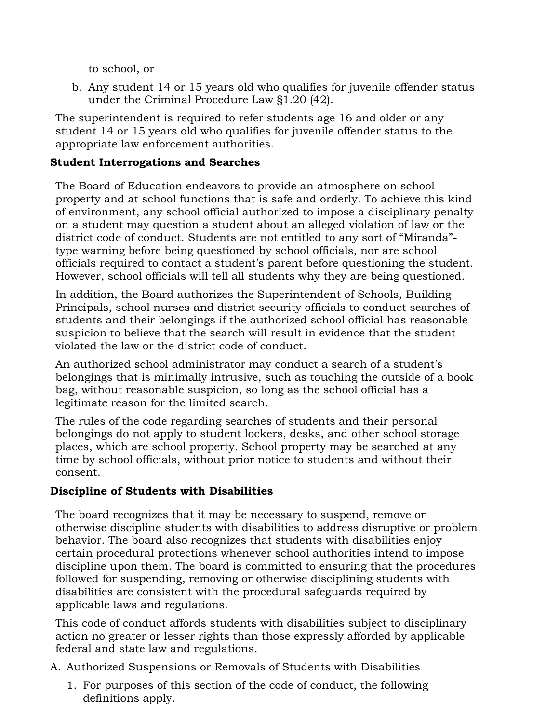to school, or

b. Any student 14 or 15 years old who qualifies for juvenile offender status under the Criminal Procedure Law §1.20 (42).

The superintendent is required to refer students age 16 and older or any student 14 or 15 years old who qualifies for juvenile offender status to the appropriate law enforcement authorities.

# **Student Interrogations and Searches**

The Board of Education endeavors to provide an atmosphere on school property and at school functions that is safe and orderly. To achieve this kind of environment, any school official authorized to impose a disciplinary penalty on a student may question a student about an alleged violation of law or the district code of conduct. Students are not entitled to any sort of "Miranda" type warning before being questioned by school officials, nor are school officials required to contact a student's parent before questioning the student. However, school officials will tell all students why they are being questioned.

In addition, the Board authorizes the Superintendent of Schools, Building Principals, school nurses and district security officials to conduct searches of students and their belongings if the authorized school official has reasonable suspicion to believe that the search will result in evidence that the student violated the law or the district code of conduct.

An authorized school administrator may conduct a search of a student's belongings that is minimally intrusive, such as touching the outside of a book bag, without reasonable suspicion, so long as the school official has a legitimate reason for the limited search.

The rules of the code regarding searches of students and their personal belongings do not apply to student lockers, desks, and other school storage places, which are school property. School property may be searched at any time by school officials, without prior notice to students and without their consent.

# **Discipline of Students with Disabilities**

The board recognizes that it may be necessary to suspend, remove or otherwise discipline students with disabilities to address disruptive or problem behavior. The board also recognizes that students with disabilities enjoy certain procedural protections whenever school authorities intend to impose discipline upon them. The board is committed to ensuring that the procedures followed for suspending, removing or otherwise disciplining students with disabilities are consistent with the procedural safeguards required by applicable laws and regulations.

This code of conduct affords students with disabilities subject to disciplinary action no greater or lesser rights than those expressly afforded by applicable federal and state law and regulations.

A. Authorized Suspensions or Removals of Students with Disabilities

1. For purposes of this section of the code of conduct, the following definitions apply.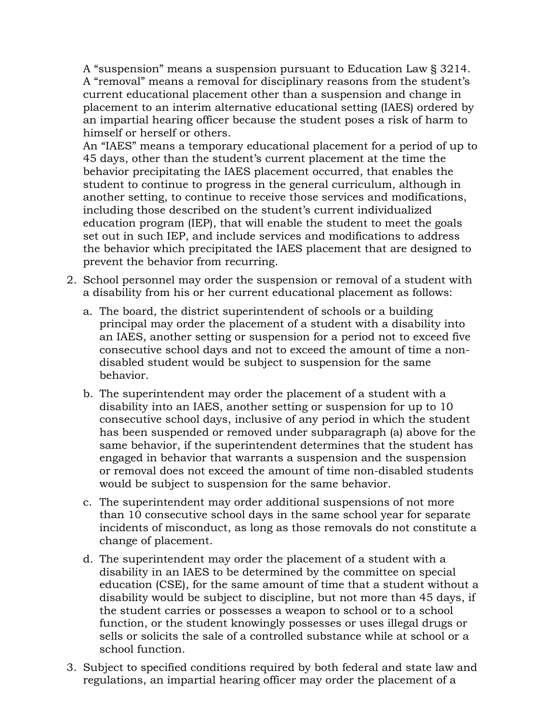A "suspension" means a suspension pursuant to Education Law § 3214. A "removal" means a removal for disciplinary reasons from the student's current educational placement other than a suspension and change in placement to an interim alternative educational setting (IAES) ordered by an impartial hearing officer because the student poses a risk of harm to himself or herself or others.

An "IAES" means a temporary educational placement for a period of up to 45 days, other than the student's current placement at the time the behavior precipitating the IAES placement occurred, that enables the student to continue to progress in the general curriculum, although in another setting, to continue to receive those services and modifications, including those described on the student's current individualized education program (IEP), that will enable the student to meet the goals set out in such IEP, and include services and modifications to address the behavior which precipitated the IAES placement that are designed to prevent the behavior from recurring.

- 2. School personnel may order the suspension or removal of a student with a disability from his or her current educational placement as follows:
	- a. The board, the district superintendent of schools or a building principal may order the placement of a student with a disability into an IAES, another setting or suspension for a period not to exceed five consecutive school days and not to exceed the amount of time a nondisabled student would be subject to suspension for the same behavior.
	- b. The superintendent may order the placement of a student with a disability into an IAES, another setting or suspension for up to 10 consecutive school days, inclusive of any period in which the student has been suspended or removed under subparagraph (a) above for the same behavior, if the superintendent determines that the student has engaged in behavior that warrants a suspension and the suspension or removal does not exceed the amount of time non-disabled students would be subject to suspension for the same behavior.
	- c. The superintendent may order additional suspensions of not more than 10 consecutive school days in the same school year for separate incidents of misconduct, as long as those removals do not constitute a change of placement.
	- d. The superintendent may order the placement of a student with a disability in an IAES to be determined by the committee on special education (CSE), for the same amount of time that a student without a disability would be subject to discipline, but not more than 45 days, if the student carries or possesses a weapon to school or to a school function, or the student knowingly possesses or uses illegal drugs or sells or solicits the sale of a controlled substance while at school or a school function.
- 3. Subject to specified conditions required by both federal and state law and regulations, an impartial hearing officer may order the placement of a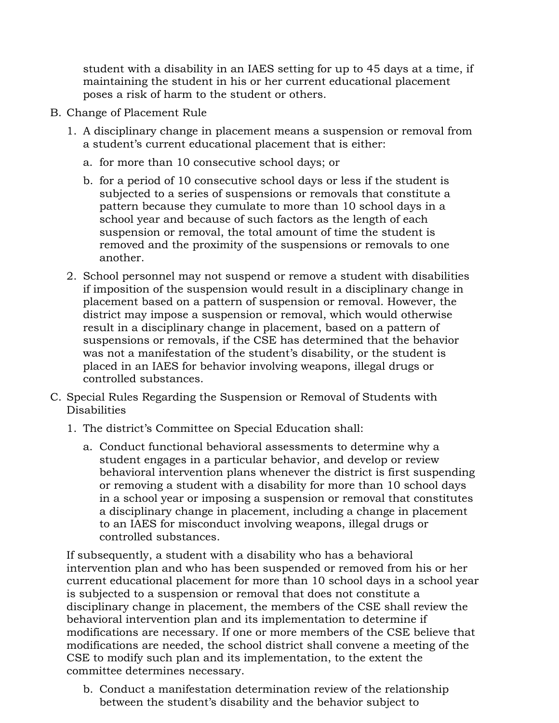student with a disability in an IAES setting for up to 45 days at a time, if maintaining the student in his or her current educational placement poses a risk of harm to the student or others.

- B. Change of Placement Rule
	- 1. A disciplinary change in placement means a suspension or removal from a student's current educational placement that is either:
		- a. for more than 10 consecutive school days; or
		- b. for a period of 10 consecutive school days or less if the student is subjected to a series of suspensions or removals that constitute a pattern because they cumulate to more than 10 school days in a school year and because of such factors as the length of each suspension or removal, the total amount of time the student is removed and the proximity of the suspensions or removals to one another.
	- 2. School personnel may not suspend or remove a student with disabilities if imposition of the suspension would result in a disciplinary change in placement based on a pattern of suspension or removal. However, the district may impose a suspension or removal, which would otherwise result in a disciplinary change in placement, based on a pattern of suspensions or removals, if the CSE has determined that the behavior was not a manifestation of the student's disability, or the student is placed in an IAES for behavior involving weapons, illegal drugs or controlled substances.
- C. Special Rules Regarding the Suspension or Removal of Students with Disabilities
	- 1. The district's Committee on Special Education shall:
		- a. Conduct functional behavioral assessments to determine why a student engages in a particular behavior, and develop or review behavioral intervention plans whenever the district is first suspending or removing a student with a disability for more than 10 school days in a school year or imposing a suspension or removal that constitutes a disciplinary change in placement, including a change in placement to an IAES for misconduct involving weapons, illegal drugs or controlled substances.

If subsequently, a student with a disability who has a behavioral intervention plan and who has been suspended or removed from his or her current educational placement for more than 10 school days in a school year is subjected to a suspension or removal that does not constitute a disciplinary change in placement, the members of the CSE shall review the behavioral intervention plan and its implementation to determine if modifications are necessary. If one or more members of the CSE believe that modifications are needed, the school district shall convene a meeting of the CSE to modify such plan and its implementation, to the extent the committee determines necessary.

b. Conduct a manifestation determination review of the relationship between the student's disability and the behavior subject to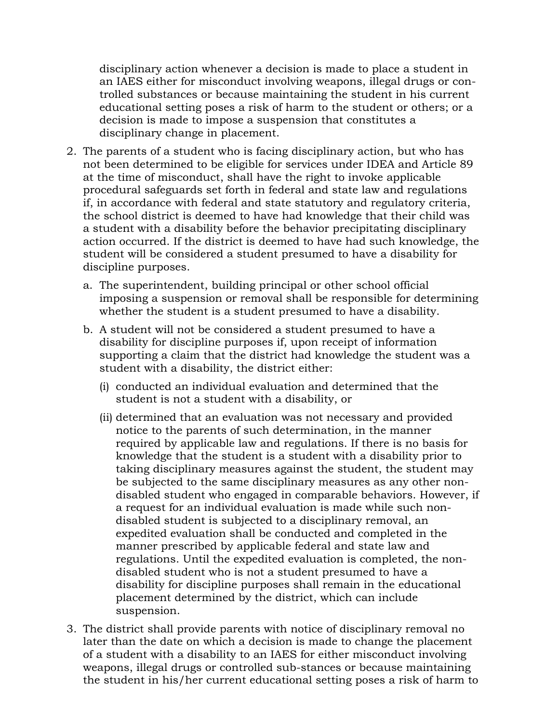disciplinary action whenever a decision is made to place a student in an IAES either for misconduct involving weapons, illegal drugs or controlled substances or because maintaining the student in his current educational setting poses a risk of harm to the student or others; or a decision is made to impose a suspension that constitutes a disciplinary change in placement.

- 2. The parents of a student who is facing disciplinary action, but who has not been determined to be eligible for services under IDEA and Article 89 at the time of misconduct, shall have the right to invoke applicable procedural safeguards set forth in federal and state law and regulations if, in accordance with federal and state statutory and regulatory criteria, the school district is deemed to have had knowledge that their child was a student with a disability before the behavior precipitating disciplinary action occurred. If the district is deemed to have had such knowledge, the student will be considered a student presumed to have a disability for discipline purposes.
	- a. The superintendent, building principal or other school official imposing a suspension or removal shall be responsible for determining whether the student is a student presumed to have a disability.
	- b. A student will not be considered a student presumed to have a disability for discipline purposes if, upon receipt of information supporting a claim that the district had knowledge the student was a student with a disability, the district either:
		- (i) conducted an individual evaluation and determined that the student is not a student with a disability, or
		- (ii) determined that an evaluation was not necessary and provided notice to the parents of such determination, in the manner required by applicable law and regulations. If there is no basis for knowledge that the student is a student with a disability prior to taking disciplinary measures against the student, the student may be subjected to the same disciplinary measures as any other nondisabled student who engaged in comparable behaviors. However, if a request for an individual evaluation is made while such nondisabled student is subjected to a disciplinary removal, an expedited evaluation shall be conducted and completed in the manner prescribed by applicable federal and state law and regulations. Until the expedited evaluation is completed, the nondisabled student who is not a student presumed to have a disability for discipline purposes shall remain in the educational placement determined by the district, which can include suspension.
- 3. The district shall provide parents with notice of disciplinary removal no later than the date on which a decision is made to change the placement of a student with a disability to an IAES for either misconduct involving weapons, illegal drugs or controlled sub-stances or because maintaining the student in his/her current educational setting poses a risk of harm to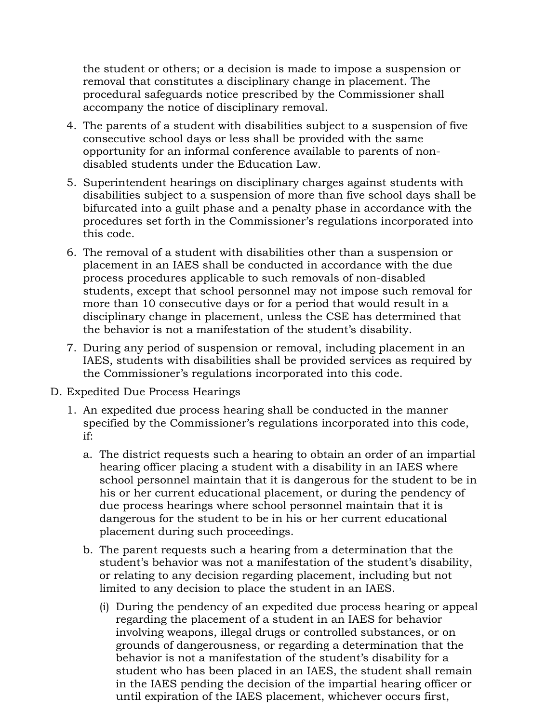the student or others; or a decision is made to impose a suspension or removal that constitutes a disciplinary change in placement. The procedural safeguards notice prescribed by the Commissioner shall accompany the notice of disciplinary removal.

- 4. The parents of a student with disabilities subject to a suspension of five consecutive school days or less shall be provided with the same opportunity for an informal conference available to parents of nondisabled students under the Education Law.
- 5. Superintendent hearings on disciplinary charges against students with disabilities subject to a suspension of more than five school days shall be bifurcated into a guilt phase and a penalty phase in accordance with the procedures set forth in the Commissioner's regulations incorporated into this code.
- 6. The removal of a student with disabilities other than a suspension or placement in an IAES shall be conducted in accordance with the due process procedures applicable to such removals of non-disabled students, except that school personnel may not impose such removal for more than 10 consecutive days or for a period that would result in a disciplinary change in placement, unless the CSE has determined that the behavior is not a manifestation of the student's disability.
- 7. During any period of suspension or removal, including placement in an IAES, students with disabilities shall be provided services as required by the Commissioner's regulations incorporated into this code.
- D. Expedited Due Process Hearings
	- 1. An expedited due process hearing shall be conducted in the manner specified by the Commissioner's regulations incorporated into this code, if:
		- a. The district requests such a hearing to obtain an order of an impartial hearing officer placing a student with a disability in an IAES where school personnel maintain that it is dangerous for the student to be in his or her current educational placement, or during the pendency of due process hearings where school personnel maintain that it is dangerous for the student to be in his or her current educational placement during such proceedings.
		- b. The parent requests such a hearing from a determination that the student's behavior was not a manifestation of the student's disability, or relating to any decision regarding placement, including but not limited to any decision to place the student in an IAES.
			- (i) During the pendency of an expedited due process hearing or appeal regarding the placement of a student in an IAES for behavior involving weapons, illegal drugs or controlled substances, or on grounds of dangerousness, or regarding a determination that the behavior is not a manifestation of the student's disability for a student who has been placed in an IAES, the student shall remain in the IAES pending the decision of the impartial hearing officer or until expiration of the IAES placement, whichever occurs first,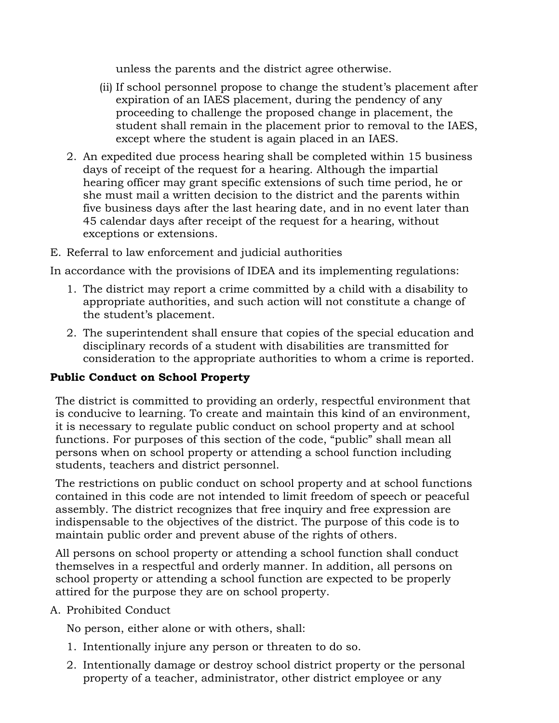unless the parents and the district agree otherwise.

- (ii) If school personnel propose to change the student's placement after expiration of an IAES placement, during the pendency of any proceeding to challenge the proposed change in placement, the student shall remain in the placement prior to removal to the IAES, except where the student is again placed in an IAES.
- 2. An expedited due process hearing shall be completed within 15 business days of receipt of the request for a hearing. Although the impartial hearing officer may grant specific extensions of such time period, he or she must mail a written decision to the district and the parents within five business days after the last hearing date, and in no event later than 45 calendar days after receipt of the request for a hearing, without exceptions or extensions.
- E. Referral to law enforcement and judicial authorities

In accordance with the provisions of IDEA and its implementing regulations:

- 1. The district may report a crime committed by a child with a disability to appropriate authorities, and such action will not constitute a change of the student's placement.
- 2. The superintendent shall ensure that copies of the special education and disciplinary records of a student with disabilities are transmitted for consideration to the appropriate authorities to whom a crime is reported.

# **Public Conduct on School Property**

The district is committed to providing an orderly, respectful environment that is conducive to learning. To create and maintain this kind of an environment, it is necessary to regulate public conduct on school property and at school functions. For purposes of this section of the code, "public" shall mean all persons when on school property or attending a school function including students, teachers and district personnel.

The restrictions on public conduct on school property and at school functions contained in this code are not intended to limit freedom of speech or peaceful assembly. The district recognizes that free inquiry and free expression are indispensable to the objectives of the district. The purpose of this code is to maintain public order and prevent abuse of the rights of others.

All persons on school property or attending a school function shall conduct themselves in a respectful and orderly manner. In addition, all persons on school property or attending a school function are expected to be properly attired for the purpose they are on school property.

A. Prohibited Conduct

No person, either alone or with others, shall:

- 1. Intentionally injure any person or threaten to do so.
- 2. Intentionally damage or destroy school district property or the personal property of a teacher, administrator, other district employee or any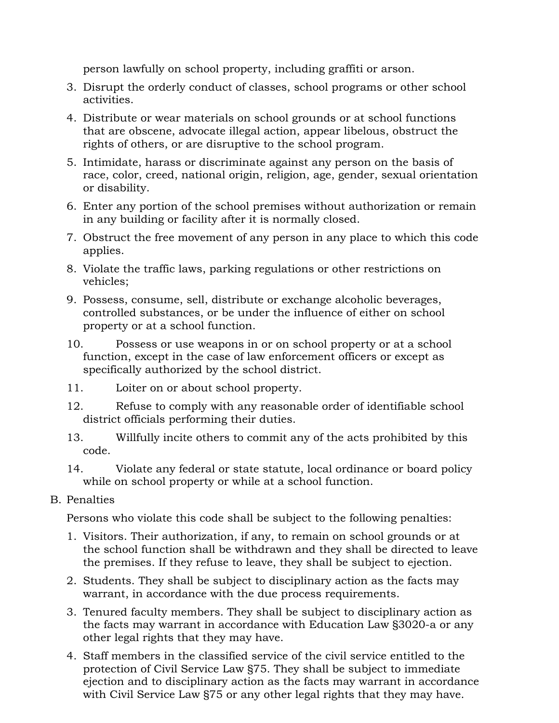person lawfully on school property, including graffiti or arson.

- 3. Disrupt the orderly conduct of classes, school programs or other school activities.
- 4. Distribute or wear materials on school grounds or at school functions that are obscene, advocate illegal action, appear libelous, obstruct the rights of others, or are disruptive to the school program.
- 5. Intimidate, harass or discriminate against any person on the basis of race, color, creed, national origin, religion, age, gender, sexual orientation or disability.
- 6. Enter any portion of the school premises without authorization or remain in any building or facility after it is normally closed.
- 7. Obstruct the free movement of any person in any place to which this code applies.
- 8. Violate the traffic laws, parking regulations or other restrictions on vehicles;
- 9. Possess, consume, sell, distribute or exchange alcoholic beverages, controlled substances, or be under the influence of either on school property or at a school function.
- 10. Possess or use weapons in or on school property or at a school function, except in the case of law enforcement officers or except as specifically authorized by the school district.
- 11. Loiter on or about school property.
- 12. Refuse to comply with any reasonable order of identifiable school district officials performing their duties.
- 13. Willfully incite others to commit any of the acts prohibited by this code.
- 14. Violate any federal or state statute, local ordinance or board policy while on school property or while at a school function.
- B. Penalties

Persons who violate this code shall be subject to the following penalties:

- 1. Visitors. Their authorization, if any, to remain on school grounds or at the school function shall be withdrawn and they shall be directed to leave the premises. If they refuse to leave, they shall be subject to ejection.
- 2. Students. They shall be subject to disciplinary action as the facts may warrant, in accordance with the due process requirements.
- 3. Tenured faculty members. They shall be subject to disciplinary action as the facts may warrant in accordance with Education Law §3020-a or any other legal rights that they may have.
- 4. Staff members in the classified service of the civil service entitled to the protection of Civil Service Law §75. They shall be subject to immediate ejection and to disciplinary action as the facts may warrant in accordance with Civil Service Law §75 or any other legal rights that they may have.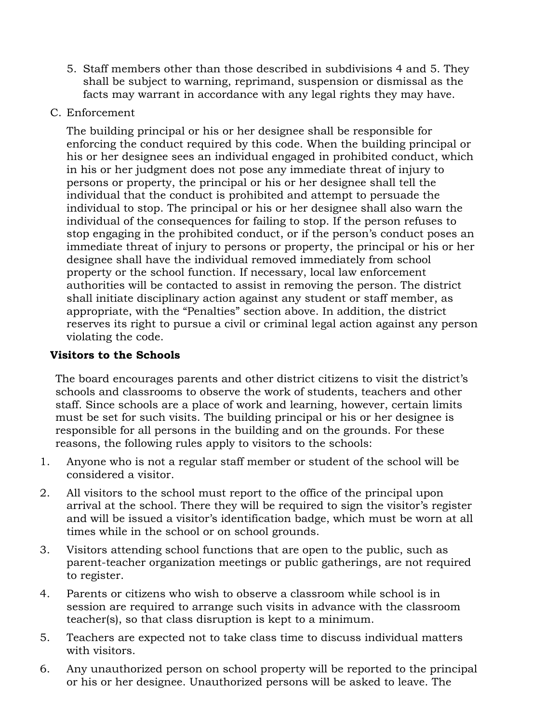- 5. Staff members other than those described in subdivisions 4 and 5. They shall be subject to warning, reprimand, suspension or dismissal as the facts may warrant in accordance with any legal rights they may have.
- C. Enforcement

The building principal or his or her designee shall be responsible for enforcing the conduct required by this code. When the building principal or his or her designee sees an individual engaged in prohibited conduct, which in his or her judgment does not pose any immediate threat of injury to persons or property, the principal or his or her designee shall tell the individual that the conduct is prohibited and attempt to persuade the individual to stop. The principal or his or her designee shall also warn the individual of the consequences for failing to stop. If the person refuses to stop engaging in the prohibited conduct, or if the person's conduct poses an immediate threat of injury to persons or property, the principal or his or her designee shall have the individual removed immediately from school property or the school function. If necessary, local law enforcement authorities will be contacted to assist in removing the person. The district shall initiate disciplinary action against any student or staff member, as appropriate, with the "Penalties" section above. In addition, the district reserves its right to pursue a civil or criminal legal action against any person violating the code.

## **Visitors to the Schools**

The board encourages parents and other district citizens to visit the district's schools and classrooms to observe the work of students, teachers and other staff. Since schools are a place of work and learning, however, certain limits must be set for such visits. The building principal or his or her designee is responsible for all persons in the building and on the grounds. For these reasons, the following rules apply to visitors to the schools:

- 1. Anyone who is not a regular staff member or student of the school will be considered a visitor.
- 2. All visitors to the school must report to the office of the principal upon arrival at the school. There they will be required to sign the visitor's register and will be issued a visitor's identification badge, which must be worn at all times while in the school or on school grounds.
- 3. Visitors attending school functions that are open to the public, such as parent-teacher organization meetings or public gatherings, are not required to register.
- 4. Parents or citizens who wish to observe a classroom while school is in session are required to arrange such visits in advance with the classroom teacher(s), so that class disruption is kept to a minimum.
- 5. Teachers are expected not to take class time to discuss individual matters with visitors.
- 6. Any unauthorized person on school property will be reported to the principal or his or her designee. Unauthorized persons will be asked to leave. The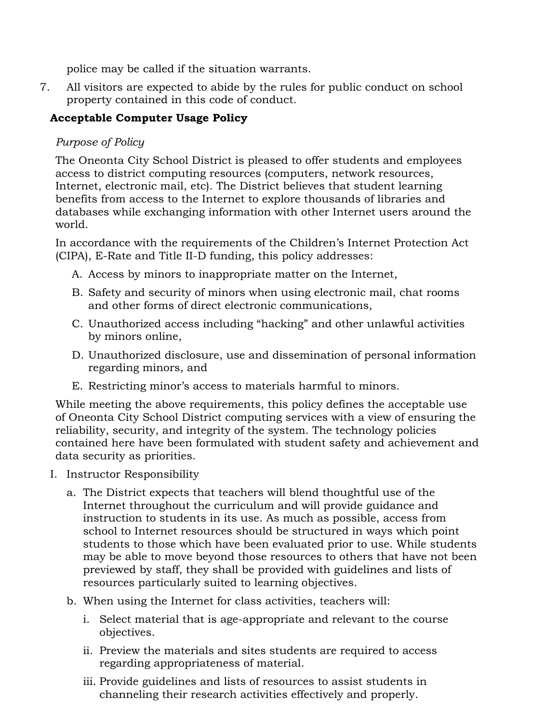police may be called if the situation warrants.

7. All visitors are expected to abide by the rules for public conduct on school property contained in this code of conduct.

# **Acceptable Computer Usage Policy**

# *Purpose of Policy*

The Oneonta City School District is pleased to offer students and employees access to district computing resources (computers, network resources, Internet, electronic mail, etc). The District believes that student learning benefits from access to the Internet to explore thousands of libraries and databases while exchanging information with other Internet users around the world.

In accordance with the requirements of the Children's Internet Protection Act (CIPA), E-Rate and Title II-D funding, this policy addresses:

- A. Access by minors to inappropriate matter on the Internet,
- B. Safety and security of minors when using electronic mail, chat rooms and other forms of direct electronic communications,
- C. Unauthorized access including "hacking" and other unlawful activities by minors online,
- D. Unauthorized disclosure, use and dissemination of personal information regarding minors, and
- E. Restricting minor's access to materials harmful to minors.

While meeting the above requirements, this policy defines the acceptable use of Oneonta City School District computing services with a view of ensuring the reliability, security, and integrity of the system. The technology policies contained here have been formulated with student safety and achievement and data security as priorities.

- I. Instructor Responsibility
	- a. The District expects that teachers will blend thoughtful use of the Internet throughout the curriculum and will provide guidance and instruction to students in its use. As much as possible, access from school to Internet resources should be structured in ways which point students to those which have been evaluated prior to use. While students may be able to move beyond those resources to others that have not been previewed by staff, they shall be provided with guidelines and lists of resources particularly suited to learning objectives.
	- b. When using the Internet for class activities, teachers will:
		- i. Select material that is age-appropriate and relevant to the course objectives.
		- ii. Preview the materials and sites students are required to access regarding appropriateness of material.
		- iii. Provide guidelines and lists of resources to assist students in channeling their research activities effectively and properly.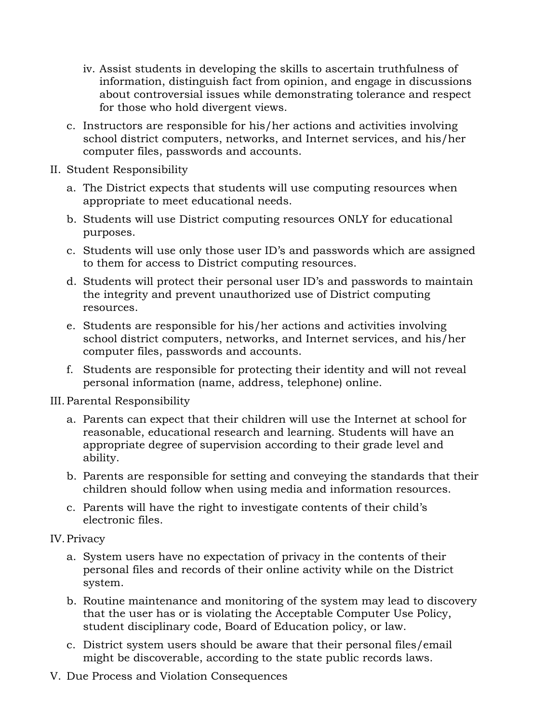- iv. Assist students in developing the skills to ascertain truthfulness of information, distinguish fact from opinion, and engage in discussions about controversial issues while demonstrating tolerance and respect for those who hold divergent views.
- c. Instructors are responsible for his/her actions and activities involving school district computers, networks, and Internet services, and his/her computer files, passwords and accounts.
- II. Student Responsibility
	- a. The District expects that students will use computing resources when appropriate to meet educational needs.
	- b. Students will use District computing resources ONLY for educational purposes.
	- c. Students will use only those user ID's and passwords which are assigned to them for access to District computing resources.
	- d. Students will protect their personal user ID's and passwords to maintain the integrity and prevent unauthorized use of District computing resources.
	- e. Students are responsible for his/her actions and activities involving school district computers, networks, and Internet services, and his/her computer files, passwords and accounts.
	- f. Students are responsible for protecting their identity and will not reveal personal information (name, address, telephone) online.

III.Parental Responsibility

- a. Parents can expect that their children will use the Internet at school for reasonable, educational research and learning. Students will have an appropriate degree of supervision according to their grade level and ability.
- b. Parents are responsible for setting and conveying the standards that their children should follow when using media and information resources.
- c. Parents will have the right to investigate contents of their child's electronic files.

# IV.Privacy

- a. System users have no expectation of privacy in the contents of their personal files and records of their online activity while on the District system.
- b. Routine maintenance and monitoring of the system may lead to discovery that the user has or is violating the Acceptable Computer Use Policy, student disciplinary code, Board of Education policy, or law.
- c. District system users should be aware that their personal files/email might be discoverable, according to the state public records laws.
- V. Due Process and Violation Consequences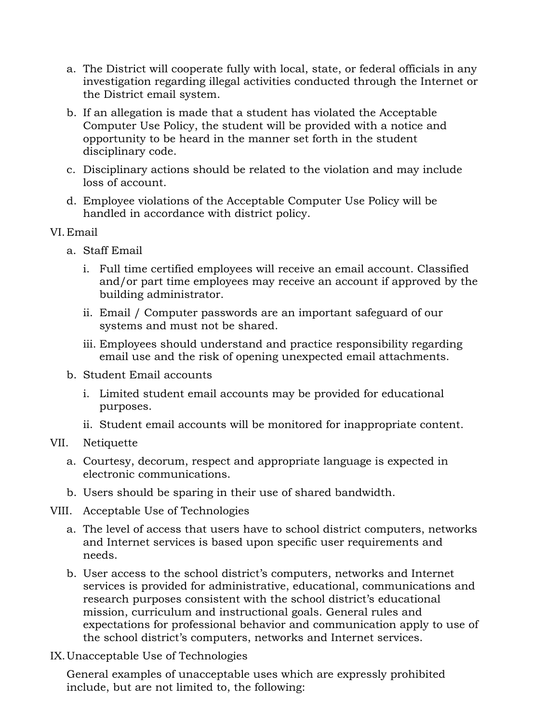- a. The District will cooperate fully with local, state, or federal officials in any investigation regarding illegal activities conducted through the Internet or the District email system.
- b. If an allegation is made that a student has violated the Acceptable Computer Use Policy, the student will be provided with a notice and opportunity to be heard in the manner set forth in the student disciplinary code.
- c. Disciplinary actions should be related to the violation and may include loss of account.
- d. Employee violations of the Acceptable Computer Use Policy will be handled in accordance with district policy.
- VI.Email
	- a. Staff Email
		- i. Full time certified employees will receive an email account. Classified and/or part time employees may receive an account if approved by the building administrator.
		- ii. Email / Computer passwords are an important safeguard of our systems and must not be shared.
		- iii. Employees should understand and practice responsibility regarding email use and the risk of opening unexpected email attachments.
	- b. Student Email accounts
		- i. Limited student email accounts may be provided for educational purposes.
		- ii. Student email accounts will be monitored for inappropriate content.
- VII. Netiquette
	- a. Courtesy, decorum, respect and appropriate language is expected in electronic communications.
	- b. Users should be sparing in their use of shared bandwidth.
- VIII. Acceptable Use of Technologies
	- a. The level of access that users have to school district computers, networks and Internet services is based upon specific user requirements and needs.
	- b. User access to the school district's computers, networks and Internet services is provided for administrative, educational, communications and research purposes consistent with the school district's educational mission, curriculum and instructional goals. General rules and expectations for professional behavior and communication apply to use of the school district's computers, networks and Internet services.
- IX.Unacceptable Use of Technologies

General examples of unacceptable uses which are expressly prohibited include, but are not limited to, the following: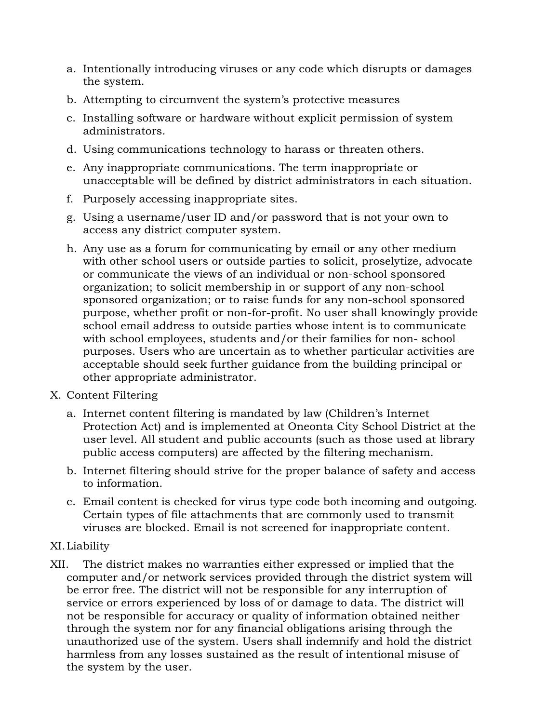- a. Intentionally introducing viruses or any code which disrupts or damages the system.
- b. Attempting to circumvent the system's protective measures
- c. Installing software or hardware without explicit permission of system administrators.
- d. Using communications technology to harass or threaten others.
- e. Any inappropriate communications. The term inappropriate or unacceptable will be defined by district administrators in each situation.
- f. Purposely accessing inappropriate sites.
- g. Using a username/user ID and/or password that is not your own to access any district computer system.
- h. Any use as a forum for communicating by email or any other medium with other school users or outside parties to solicit, proselytize, advocate or communicate the views of an individual or non-school sponsored organization; to solicit membership in or support of any non-school sponsored organization; or to raise funds for any non-school sponsored purpose, whether profit or non-for-profit. No user shall knowingly provide school email address to outside parties whose intent is to communicate with school employees, students and/or their families for non- school purposes. Users who are uncertain as to whether particular activities are acceptable should seek further guidance from the building principal or other appropriate administrator.
- X. Content Filtering
	- a. Internet content filtering is mandated by law (Children's Internet Protection Act) and is implemented at Oneonta City School District at the user level. All student and public accounts (such as those used at library public access computers) are affected by the filtering mechanism.
	- b. Internet filtering should strive for the proper balance of safety and access to information.
	- c. Email content is checked for virus type code both incoming and outgoing. Certain types of file attachments that are commonly used to transmit viruses are blocked. Email is not screened for inappropriate content.

# XI.Liability

XII. The district makes no warranties either expressed or implied that the computer and/or network services provided through the district system will be error free. The district will not be responsible for any interruption of service or errors experienced by loss of or damage to data. The district will not be responsible for accuracy or quality of information obtained neither through the system nor for any financial obligations arising through the unauthorized use of the system. Users shall indemnify and hold the district harmless from any losses sustained as the result of intentional misuse of the system by the user.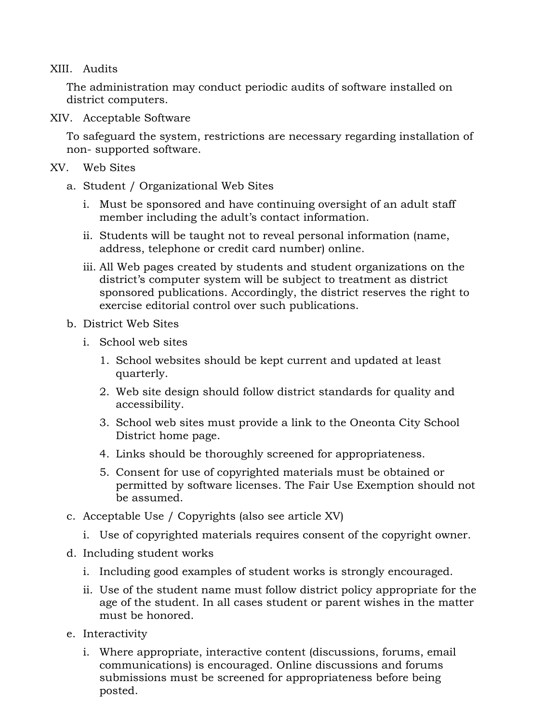## XIII. Audits

The administration may conduct periodic audits of software installed on district computers.

XIV. Acceptable Software

To safeguard the system, restrictions are necessary regarding installation of non- supported software.

- XV. Web Sites
	- a. Student / Organizational Web Sites
		- i. Must be sponsored and have continuing oversight of an adult staff member including the adult's contact information.
		- ii. Students will be taught not to reveal personal information (name, address, telephone or credit card number) online.
		- iii. All Web pages created by students and student organizations on the district's computer system will be subject to treatment as district sponsored publications. Accordingly, the district reserves the right to exercise editorial control over such publications.
	- b. District Web Sites
		- i. School web sites
			- 1. School websites should be kept current and updated at least quarterly.
			- 2. Web site design should follow district standards for quality and accessibility.
			- 3. School web sites must provide a link to the Oneonta City School District home page.
			- 4. Links should be thoroughly screened for appropriateness.
			- 5. Consent for use of copyrighted materials must be obtained or permitted by software licenses. The Fair Use Exemption should not be assumed.
	- c. Acceptable Use / Copyrights (also see article XV)
		- i. Use of copyrighted materials requires consent of the copyright owner.
	- d. Including student works
		- i. Including good examples of student works is strongly encouraged.
		- ii. Use of the student name must follow district policy appropriate for the age of the student. In all cases student or parent wishes in the matter must be honored.
	- e. Interactivity
		- i. Where appropriate, interactive content (discussions, forums, email communications) is encouraged. Online discussions and forums submissions must be screened for appropriateness before being posted.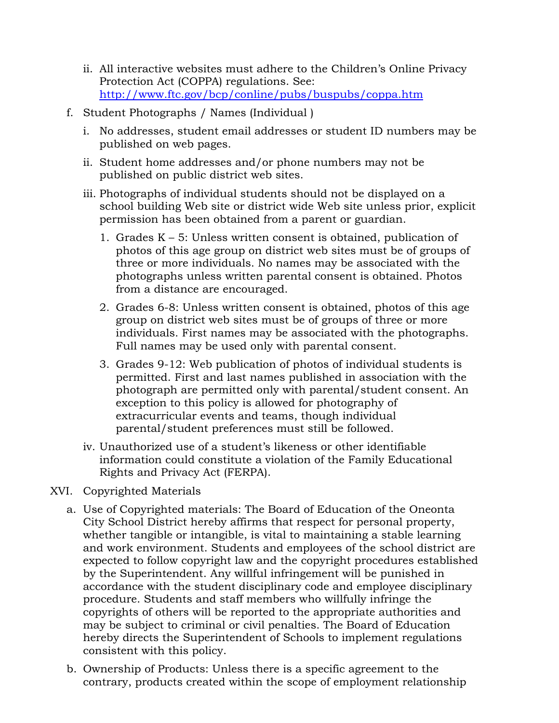- ii. All interactive websites must adhere to the Children's Online Privacy Protection Act (COPPA) regulations. See: <http://www.ftc.gov/bcp/conline/pubs/buspubs/coppa.htm>
- f. Student Photographs / Names (Individual )
	- i. No addresses, student email addresses or student ID numbers may be published on web pages.
	- ii. Student home addresses and/or phone numbers may not be published on public district web sites.
	- iii. Photographs of individual students should not be displayed on a school building Web site or district wide Web site unless prior, explicit permission has been obtained from a parent or guardian.
		- 1. Grades K 5: Unless written consent is obtained, publication of photos of this age group on district web sites must be of groups of three or more individuals. No names may be associated with the photographs unless written parental consent is obtained. Photos from a distance are encouraged.
		- 2. Grades 6-8: Unless written consent is obtained, photos of this age group on district web sites must be of groups of three or more individuals. First names may be associated with the photographs. Full names may be used only with parental consent.
		- 3. Grades 9-12: Web publication of photos of individual students is permitted. First and last names published in association with the photograph are permitted only with parental/student consent. An exception to this policy is allowed for photography of extracurricular events and teams, though individual parental/student preferences must still be followed.
	- iv. Unauthorized use of a student's likeness or other identifiable information could constitute a violation of the Family Educational Rights and Privacy Act (FERPA).

# XVI. Copyrighted Materials

- a. Use of Copyrighted materials: The Board of Education of the Oneonta City School District hereby affirms that respect for personal property, whether tangible or intangible, is vital to maintaining a stable learning and work environment. Students and employees of the school district are expected to follow copyright law and the copyright procedures established by the Superintendent. Any willful infringement will be punished in accordance with the student disciplinary code and employee disciplinary procedure. Students and staff members who willfully infringe the copyrights of others will be reported to the appropriate authorities and may be subject to criminal or civil penalties. The Board of Education hereby directs the Superintendent of Schools to implement regulations consistent with this policy.
- b. Ownership of Products: Unless there is a specific agreement to the contrary, products created within the scope of employment relationship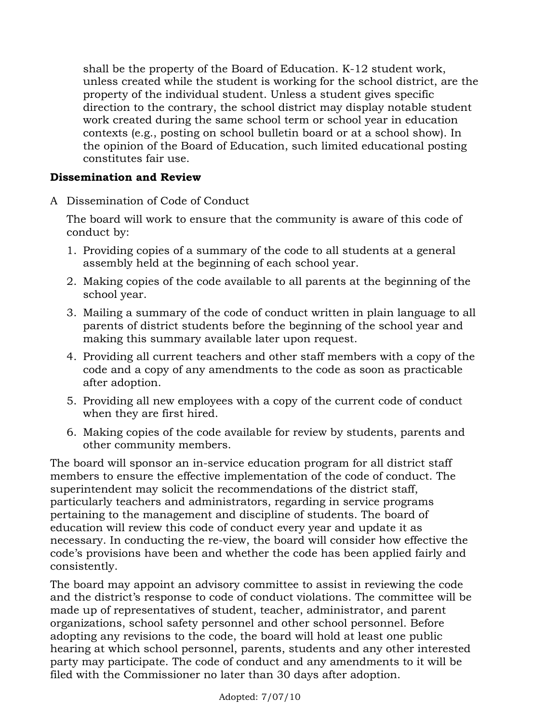shall be the property of the Board of Education. K-12 student work, unless created while the student is working for the school district, are the property of the individual student. Unless a student gives specific direction to the contrary, the school district may display notable student work created during the same school term or school year in education contexts (e.g., posting on school bulletin board or at a school show). In the opinion of the Board of Education, such limited educational posting constitutes fair use.

#### **Dissemination and Review**

A Dissemination of Code of Conduct

The board will work to ensure that the community is aware of this code of conduct by:

- 1. Providing copies of a summary of the code to all students at a general assembly held at the beginning of each school year.
- 2. Making copies of the code available to all parents at the beginning of the school year.
- 3. Mailing a summary of the code of conduct written in plain language to all parents of district students before the beginning of the school year and making this summary available later upon request.
- 4. Providing all current teachers and other staff members with a copy of the code and a copy of any amendments to the code as soon as practicable after adoption.
- 5. Providing all new employees with a copy of the current code of conduct when they are first hired.
- 6. Making copies of the code available for review by students, parents and other community members.

The board will sponsor an in-service education program for all district staff members to ensure the effective implementation of the code of conduct. The superintendent may solicit the recommendations of the district staff, particularly teachers and administrators, regarding in service programs pertaining to the management and discipline of students. The board of education will review this code of conduct every year and update it as necessary. In conducting the re-view, the board will consider how effective the code's provisions have been and whether the code has been applied fairly and consistently.

The board may appoint an advisory committee to assist in reviewing the code and the district's response to code of conduct violations. The committee will be made up of representatives of student, teacher, administrator, and parent organizations, school safety personnel and other school personnel. Before adopting any revisions to the code, the board will hold at least one public hearing at which school personnel, parents, students and any other interested party may participate. The code of conduct and any amendments to it will be filed with the Commissioner no later than 30 days after adoption.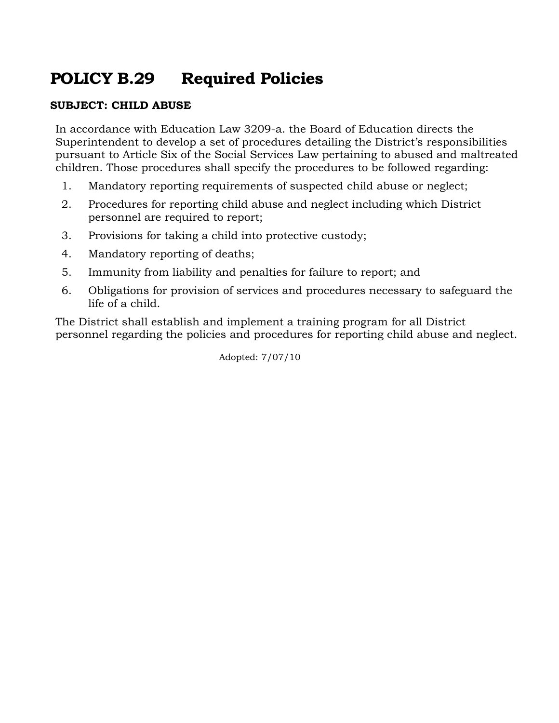# **POLICY B.29 Required Policies**

## **SUBJECT: CHILD ABUSE**

In accordance with Education Law 3209-a. the Board of Education directs the Superintendent to develop a set of procedures detailing the District's responsibilities pursuant to Article Six of the Social Services Law pertaining to abused and maltreated children. Those procedures shall specify the procedures to be followed regarding:

- 1. Mandatory reporting requirements of suspected child abuse or neglect;
- 2. Procedures for reporting child abuse and neglect including which District personnel are required to report;
- 3. Provisions for taking a child into protective custody;
- 4. Mandatory reporting of deaths;
- 5. Immunity from liability and penalties for failure to report; and
- 6. Obligations for provision of services and procedures necessary to safeguard the life of a child.

The District shall establish and implement a training program for all District personnel regarding the policies and procedures for reporting child abuse and neglect.

Adopted: 7/07/10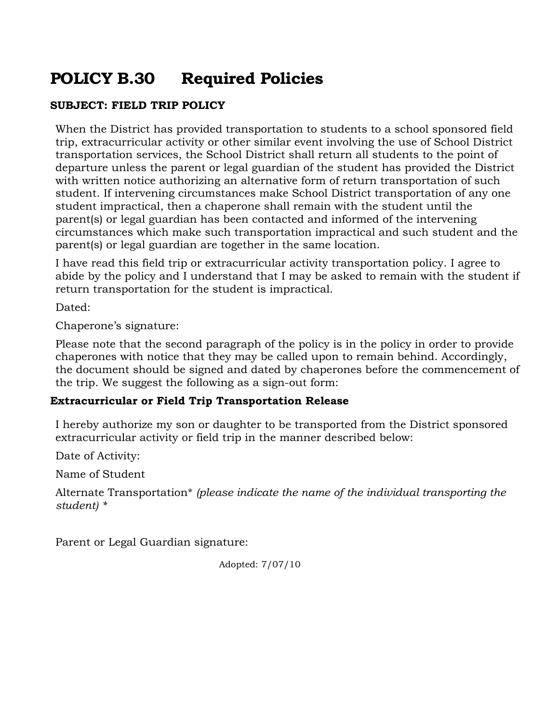# **POLICY B.30 Required Policies**

# **SUBJECT: FIELD TRIP POLICY**

When the District has provided transportation to students to a school sponsored field trip, extracurricular activity or other similar event involving the use of School District transportation services, the School District shall return all students to the point of departure unless the parent or legal guardian of the student has provided the District with written notice authorizing an alternative form of return transportation of such student. If intervening circumstances make School District transportation of any one student impractical, then a chaperone shall remain with the student until the parent(s) or legal guardian has been contacted and informed of the intervening circumstances which make such transportation impractical and such student and the parent(s) or legal guardian are together in the same location.

I have read this field trip or extracurricular activity transportation policy. I agree to abide by the policy and I understand that I may be asked to remain with the student if return transportation for the student is impractical.

Dated:

Chaperone's signature:

Please note that the second paragraph of the policy is in the policy in order to provide chaperones with notice that they may be called upon to remain behind. Accordingly, the document should be signed and dated by chaperones before the commencement of the trip. We suggest the following as a sign-out form:

# **Extracurricular or Field Trip Transportation Release**

I hereby authorize my son or daughter to be transported from the District sponsored extracurricular activity or field trip in the manner described below:

Date of Activity:

Name of Student

Alternate Transportation\* *(please indicate the name of the individual transporting the student) \**

Parent or Legal Guardian signature:

Adopted: 7/07/10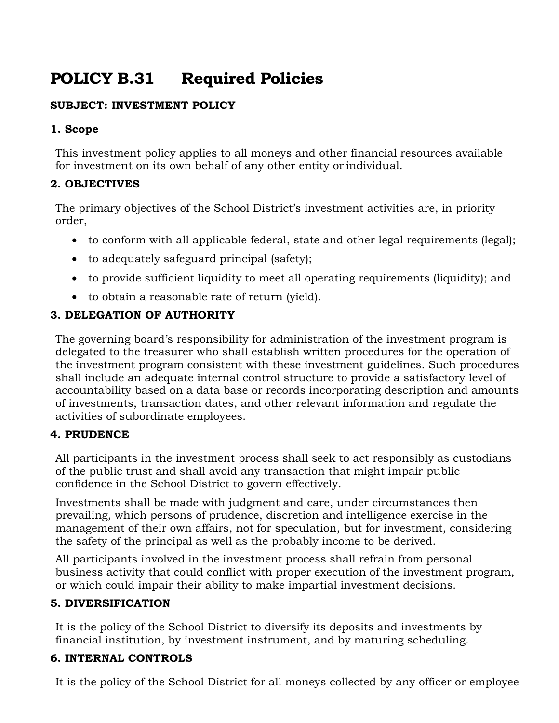# **POLICY B.31 Required Policies**

# **SUBJECT: INVESTMENT POLICY**

## **1. Scope**

This investment policy applies to all moneys and other financial resources available for investment on its own behalf of any other entity or individual.

# **2. OBJECTIVES**

The primary objectives of the School District's investment activities are, in priority order,

- to conform with all applicable federal, state and other legal requirements (legal);
- to adequately safeguard principal (safety);
- to provide sufficient liquidity to meet all operating requirements (liquidity); and
- to obtain a reasonable rate of return (yield).

# **3. DELEGATION OF AUTHORITY**

The governing board's responsibility for administration of the investment program is delegated to the treasurer who shall establish written procedures for the operation of the investment program consistent with these investment guidelines. Such procedures shall include an adequate internal control structure to provide a satisfactory level of accountability based on a data base or records incorporating description and amounts of investments, transaction dates, and other relevant information and regulate the activities of subordinate employees.

# **4. PRUDENCE**

All participants in the investment process shall seek to act responsibly as custodians of the public trust and shall avoid any transaction that might impair public confidence in the School District to govern effectively.

Investments shall be made with judgment and care, under circumstances then prevailing, which persons of prudence, discretion and intelligence exercise in the management of their own affairs, not for speculation, but for investment, considering the safety of the principal as well as the probably income to be derived.

All participants involved in the investment process shall refrain from personal business activity that could conflict with proper execution of the investment program, or which could impair their ability to make impartial investment decisions.

# **5. DIVERSIFICATION**

It is the policy of the School District to diversify its deposits and investments by financial institution, by investment instrument, and by maturing scheduling.

# **6. INTERNAL CONTROLS**

It is the policy of the School District for all moneys collected by any officer or employee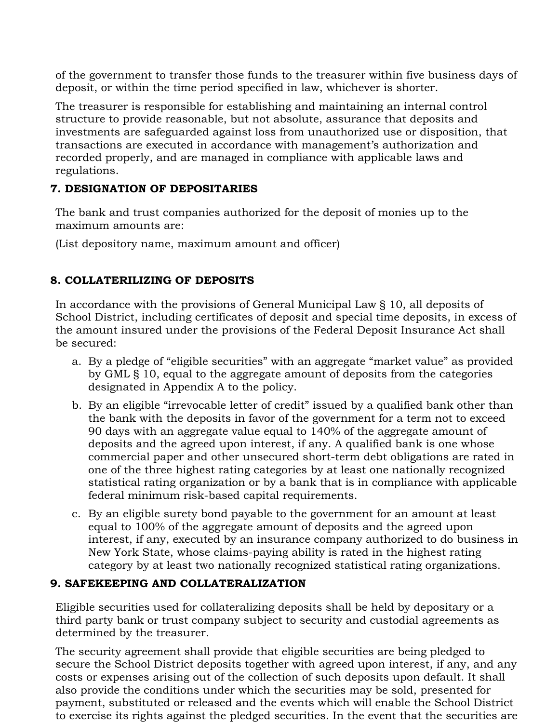of the government to transfer those funds to the treasurer within five business days of deposit, or within the time period specified in law, whichever is shorter.

The treasurer is responsible for establishing and maintaining an internal control structure to provide reasonable, but not absolute, assurance that deposits and investments are safeguarded against loss from unauthorized use or disposition, that transactions are executed in accordance with management's authorization and recorded properly, and are managed in compliance with applicable laws and regulations.

## **7. DESIGNATION OF DEPOSITARIES**

The bank and trust companies authorized for the deposit of monies up to the maximum amounts are:

(List depository name, maximum amount and officer)

# **8. COLLATERILIZING OF DEPOSITS**

In accordance with the provisions of General Municipal Law § 10, all deposits of School District, including certificates of deposit and special time deposits, in excess of the amount insured under the provisions of the Federal Deposit Insurance Act shall be secured:

- a. By a pledge of "eligible securities" with an aggregate "market value" as provided by GML § 10, equal to the aggregate amount of deposits from the categories designated in Appendix A to the policy.
- b. By an eligible "irrevocable letter of credit" issued by a qualified bank other than the bank with the deposits in favor of the government for a term not to exceed 90 days with an aggregate value equal to 140% of the aggregate amount of deposits and the agreed upon interest, if any. A qualified bank is one whose commercial paper and other unsecured short-term debt obligations are rated in one of the three highest rating categories by at least one nationally recognized statistical rating organization or by a bank that is in compliance with applicable federal minimum risk-based capital requirements.
- c. By an eligible surety bond payable to the government for an amount at least equal to 100% of the aggregate amount of deposits and the agreed upon interest, if any, executed by an insurance company authorized to do business in New York State, whose claims-paying ability is rated in the highest rating category by at least two nationally recognized statistical rating organizations.

#### **9. SAFEKEEPING AND COLLATERALIZATION**

Eligible securities used for collateralizing deposits shall be held by depositary or a third party bank or trust company subject to security and custodial agreements as determined by the treasurer.

The security agreement shall provide that eligible securities are being pledged to secure the School District deposits together with agreed upon interest, if any, and any costs or expenses arising out of the collection of such deposits upon default. It shall also provide the conditions under which the securities may be sold, presented for payment, substituted or released and the events which will enable the School District to exercise its rights against the pledged securities. In the event that the securities are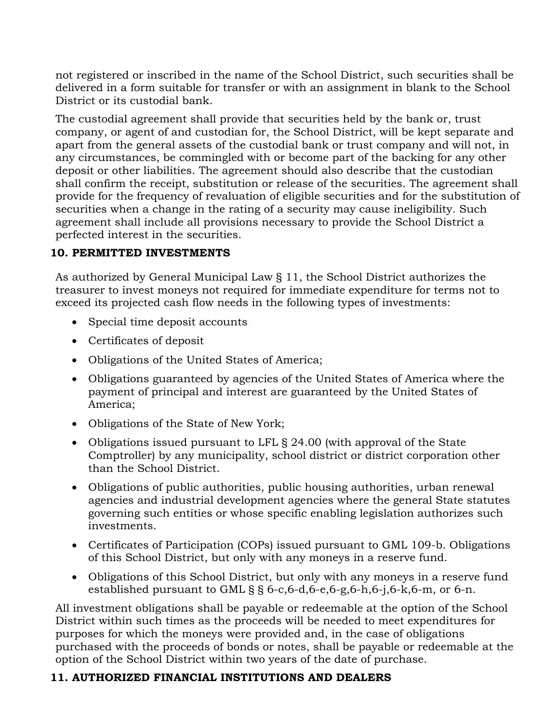not registered or inscribed in the name of the School District, such securities shall be delivered in a form suitable for transfer or with an assignment in blank to the School District or its custodial bank.

The custodial agreement shall provide that securities held by the bank or, trust company, or agent of and custodian for, the School District, will be kept separate and apart from the general assets of the custodial bank or trust company and will not, in any circumstances, be commingled with or become part of the backing for any other deposit or other liabilities. The agreement should also describe that the custodian shall confirm the receipt, substitution or release of the securities. The agreement shall provide for the frequency of revaluation of eligible securities and for the substitution of securities when a change in the rating of a security may cause ineligibility. Such agreement shall include all provisions necessary to provide the School District a perfected interest in the securities.

## **10. PERMITTED INVESTMENTS**

As authorized by General Municipal Law § 11, the School District authorizes the treasurer to invest moneys not required for immediate expenditure for terms not to exceed its projected cash flow needs in the following types of investments:

- Special time deposit accounts
- Certificates of deposit
- Obligations of the United States of America;
- Obligations guaranteed by agencies of the United States of America where the payment of principal and interest are guaranteed by the United States of America;
- Obligations of the State of New York;
- Obligations issued pursuant to LFL § 24.00 (with approval of the State Comptroller) by any municipality, school district or district corporation other than the School District.
- Obligations of public authorities, public housing authorities, urban renewal agencies and industrial development agencies where the general State statutes governing such entities or whose specific enabling legislation authorizes such investments.
- Certificates of Participation (COPs) issued pursuant to GML 109-b. Obligations of this School District, but only with any moneys in a reserve fund.
- Obligations of this School District, but only with any moneys in a reserve fund established pursuant to GML  $\S$   $\S$  6-c, 6-d, 6-e, 6-g, 6-h, 6-j, 6-k, 6-m, or 6-n.

All investment obligations shall be payable or redeemable at the option of the School District within such times as the proceeds will be needed to meet expenditures for purposes for which the moneys were provided and, in the case of obligations purchased with the proceeds of bonds or notes, shall be payable or redeemable at the option of the School District within two years of the date of purchase.

# **11. AUTHORIZED FINANCIAL INSTITUTIONS AND DEALERS**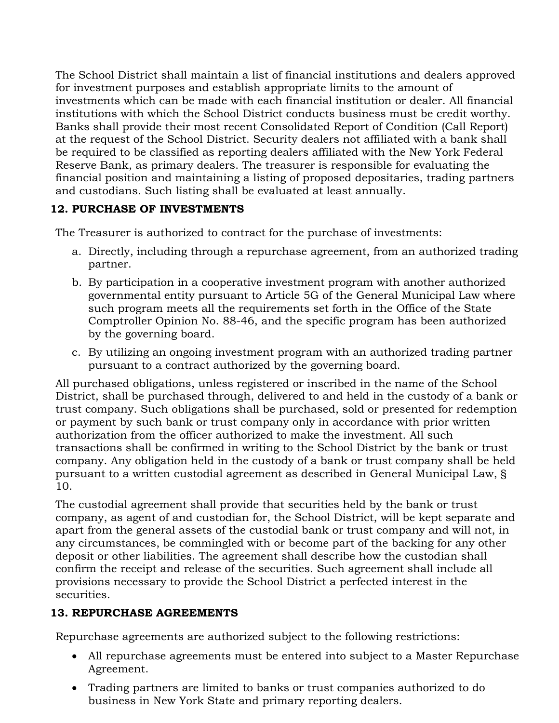The School District shall maintain a list of financial institutions and dealers approved for investment purposes and establish appropriate limits to the amount of investments which can be made with each financial institution or dealer. All financial institutions with which the School District conducts business must be credit worthy. Banks shall provide their most recent Consolidated Report of Condition (Call Report) at the request of the School District. Security dealers not affiliated with a bank shall be required to be classified as reporting dealers affiliated with the New York Federal Reserve Bank, as primary dealers. The treasurer is responsible for evaluating the financial position and maintaining a listing of proposed depositaries, trading partners and custodians. Such listing shall be evaluated at least annually.

# **12. PURCHASE OF INVESTMENTS**

The Treasurer is authorized to contract for the purchase of investments:

- a. Directly, including through a repurchase agreement, from an authorized trading partner.
- b. By participation in a cooperative investment program with another authorized governmental entity pursuant to Article 5G of the General Municipal Law where such program meets all the requirements set forth in the Office of the State Comptroller Opinion No. 88-46, and the specific program has been authorized by the governing board.
- c. By utilizing an ongoing investment program with an authorized trading partner pursuant to a contract authorized by the governing board.

All purchased obligations, unless registered or inscribed in the name of the School District, shall be purchased through, delivered to and held in the custody of a bank or trust company. Such obligations shall be purchased, sold or presented for redemption or payment by such bank or trust company only in accordance with prior written authorization from the officer authorized to make the investment. All such transactions shall be confirmed in writing to the School District by the bank or trust company. Any obligation held in the custody of a bank or trust company shall be held pursuant to a written custodial agreement as described in General Municipal Law, § 10.

The custodial agreement shall provide that securities held by the bank or trust company, as agent of and custodian for, the School District, will be kept separate and apart from the general assets of the custodial bank or trust company and will not, in any circumstances, be commingled with or become part of the backing for any other deposit or other liabilities. The agreement shall describe how the custodian shall confirm the receipt and release of the securities. Such agreement shall include all provisions necessary to provide the School District a perfected interest in the securities.

# **13. REPURCHASE AGREEMENTS**

Repurchase agreements are authorized subject to the following restrictions:

- All repurchase agreements must be entered into subject to a Master Repurchase Agreement.
- Trading partners are limited to banks or trust companies authorized to do business in New York State and primary reporting dealers.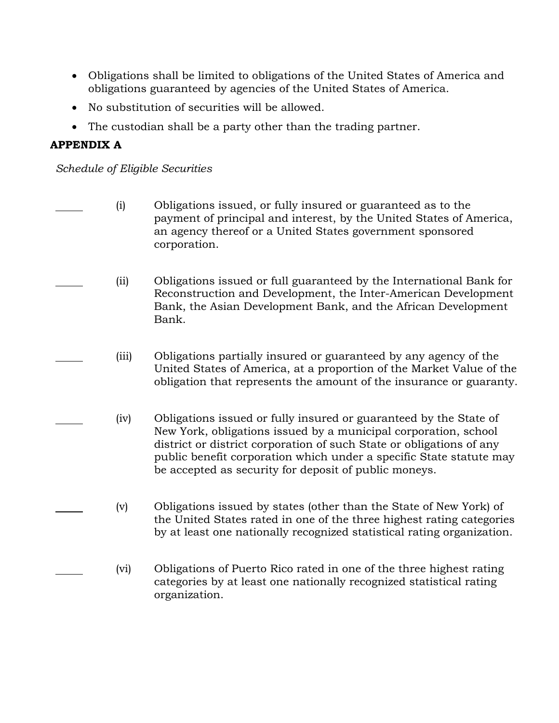- Obligations shall be limited to obligations of the United States of America and obligations guaranteed by agencies of the United States of America.
- No substitution of securities will be allowed.
- The custodian shall be a party other than the trading partner.

## **APPENDIX A**

*Schedule of Eligible Securities*

- (i) Obligations issued, or fully insured or guaranteed as to the payment of principal and interest, by the United States of America, an agency thereof or a United States government sponsored corporation.
	- (ii) Obligations issued or full guaranteed by the International Bank for Reconstruction and Development, the Inter-American Development Bank, the Asian Development Bank, and the African Development Bank.
	- (iii) Obligations partially insured or guaranteed by any agency of the United States of America, at a proportion of the Market Value of the obligation that represents the amount of the insurance or guaranty.
	- (iv) Obligations issued or fully insured or guaranteed by the State of New York, obligations issued by a municipal corporation, school district or district corporation of such State or obligations of any public benefit corporation which under a specific State statute may be accepted as security for deposit of public moneys.
	- (v) Obligations issued by states (other than the State of New York) of the United States rated in one of the three highest rating categories by at least one nationally recognized statistical rating organization.
	- (vi) Obligations of Puerto Rico rated in one of the three highest rating categories by at least one nationally recognized statistical rating organization.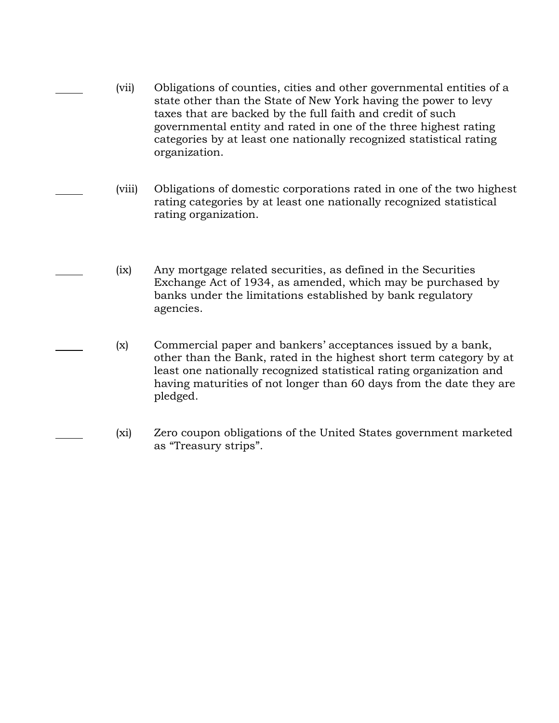- (vii) Obligations of counties, cities and other governmental entities of a state other than the State of New York having the power to levy taxes that are backed by the full faith and credit of such governmental entity and rated in one of the three highest rating categories by at least one nationally recognized statistical rating organization.
- (viii) Obligations of domestic corporations rated in one of the two highest rating categories by at least one nationally recognized statistical rating organization.
- (ix) Any mortgage related securities, as defined in the Securities Exchange Act of 1934, as amended, which may be purchased by banks under the limitations established by bank regulatory agencies.
- (x) Commercial paper and bankers' acceptances issued by a bank, other than the Bank, rated in the highest short term category by at least one nationally recognized statistical rating organization and having maturities of not longer than 60 days from the date they are pledged.
	- (xi) Zero coupon obligations of the United States government marketed as "Treasury strips".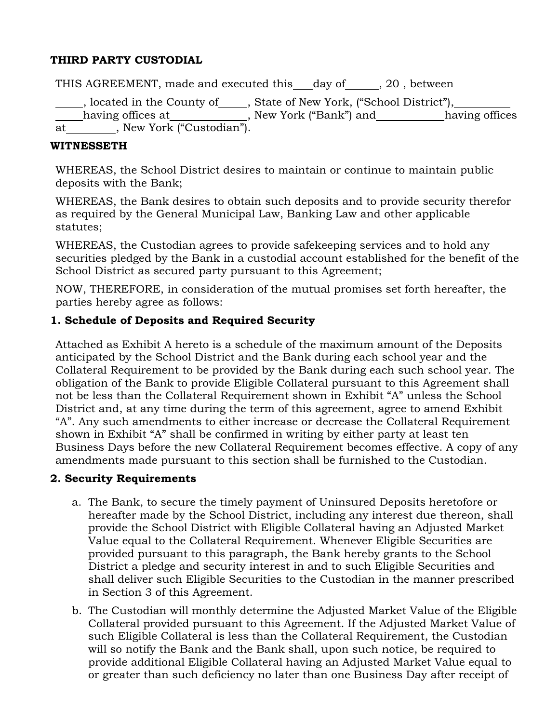#### **THIRD PARTY CUSTODIAL**

THIS AGREEMENT, made and executed this day of , 20, between

Lacktrian (School District"), Located in the County of Lacktrian , State of New York, ("School District"), having offices at \_\_\_\_\_\_\_\_\_\_\_\_\_, New York ("Bank") and \_\_\_\_\_\_\_\_\_\_having offices  $\overline{at}$  , New York ("Custodian").

#### **WITNESSETH**

WHEREAS, the School District desires to maintain or continue to maintain public deposits with the Bank;

WHEREAS, the Bank desires to obtain such deposits and to provide security therefor as required by the General Municipal Law, Banking Law and other applicable statutes;

WHEREAS, the Custodian agrees to provide safekeeping services and to hold any securities pledged by the Bank in a custodial account established for the benefit of the School District as secured party pursuant to this Agreement;

NOW, THEREFORE, in consideration of the mutual promises set forth hereafter, the parties hereby agree as follows:

#### **1. Schedule of Deposits and Required Security**

Attached as Exhibit A hereto is a schedule of the maximum amount of the Deposits anticipated by the School District and the Bank during each school year and the Collateral Requirement to be provided by the Bank during each such school year. The obligation of the Bank to provide Eligible Collateral pursuant to this Agreement shall not be less than the Collateral Requirement shown in Exhibit "A" unless the School District and, at any time during the term of this agreement, agree to amend Exhibit "A". Any such amendments to either increase or decrease the Collateral Requirement shown in Exhibit "A" shall be confirmed in writing by either party at least ten Business Days before the new Collateral Requirement becomes effective. A copy of any amendments made pursuant to this section shall be furnished to the Custodian.

#### **2. Security Requirements**

- a. The Bank, to secure the timely payment of Uninsured Deposits heretofore or hereafter made by the School District, including any interest due thereon, shall provide the School District with Eligible Collateral having an Adjusted Market Value equal to the Collateral Requirement. Whenever Eligible Securities are provided pursuant to this paragraph, the Bank hereby grants to the School District a pledge and security interest in and to such Eligible Securities and shall deliver such Eligible Securities to the Custodian in the manner prescribed in Section 3 of this Agreement.
- b. The Custodian will monthly determine the Adjusted Market Value of the Eligible Collateral provided pursuant to this Agreement. If the Adjusted Market Value of such Eligible Collateral is less than the Collateral Requirement, the Custodian will so notify the Bank and the Bank shall, upon such notice, be required to provide additional Eligible Collateral having an Adjusted Market Value equal to or greater than such deficiency no later than one Business Day after receipt of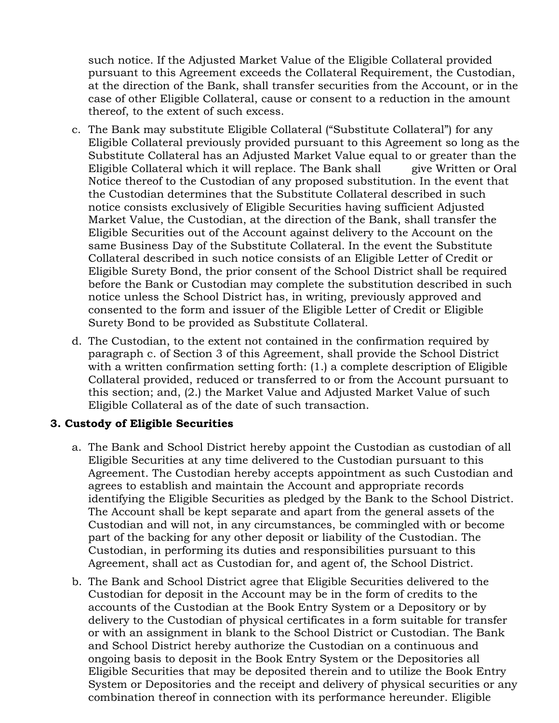such notice. If the Adjusted Market Value of the Eligible Collateral provided pursuant to this Agreement exceeds the Collateral Requirement, the Custodian, at the direction of the Bank, shall transfer securities from the Account, or in the case of other Eligible Collateral, cause or consent to a reduction in the amount thereof, to the extent of such excess.

- c. The Bank may substitute Eligible Collateral ("Substitute Collateral") for any Eligible Collateral previously provided pursuant to this Agreement so long as the Substitute Collateral has an Adjusted Market Value equal to or greater than the Eligible Collateral which it will replace. The Bank shall give Written or Oral Notice thereof to the Custodian of any proposed substitution. In the event that the Custodian determines that the Substitute Collateral described in such notice consists exclusively of Eligible Securities having sufficient Adjusted Market Value, the Custodian, at the direction of the Bank, shall transfer the Eligible Securities out of the Account against delivery to the Account on the same Business Day of the Substitute Collateral. In the event the Substitute Collateral described in such notice consists of an Eligible Letter of Credit or Eligible Surety Bond, the prior consent of the School District shall be required before the Bank or Custodian may complete the substitution described in such notice unless the School District has, in writing, previously approved and consented to the form and issuer of the Eligible Letter of Credit or Eligible Surety Bond to be provided as Substitute Collateral.
- d. The Custodian, to the extent not contained in the confirmation required by paragraph c. of Section 3 of this Agreement, shall provide the School District with a written confirmation setting forth: (1.) a complete description of Eligible Collateral provided, reduced or transferred to or from the Account pursuant to this section; and, (2.) the Market Value and Adjusted Market Value of such Eligible Collateral as of the date of such transaction.

#### **3. Custody of Eligible Securities**

- a. The Bank and School District hereby appoint the Custodian as custodian of all Eligible Securities at any time delivered to the Custodian pursuant to this Agreement. The Custodian hereby accepts appointment as such Custodian and agrees to establish and maintain the Account and appropriate records identifying the Eligible Securities as pledged by the Bank to the School District. The Account shall be kept separate and apart from the general assets of the Custodian and will not, in any circumstances, be commingled with or become part of the backing for any other deposit or liability of the Custodian. The Custodian, in performing its duties and responsibilities pursuant to this Agreement, shall act as Custodian for, and agent of, the School District.
- b. The Bank and School District agree that Eligible Securities delivered to the Custodian for deposit in the Account may be in the form of credits to the accounts of the Custodian at the Book Entry System or a Depository or by delivery to the Custodian of physical certificates in a form suitable for transfer or with an assignment in blank to the School District or Custodian. The Bank and School District hereby authorize the Custodian on a continuous and ongoing basis to deposit in the Book Entry System or the Depositories all Eligible Securities that may be deposited therein and to utilize the Book Entry System or Depositories and the receipt and delivery of physical securities or any combination thereof in connection with its performance hereunder. Eligible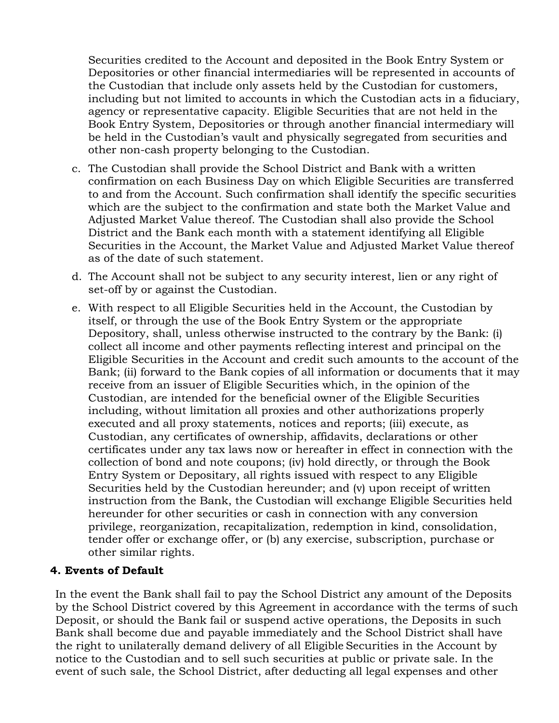Securities credited to the Account and deposited in the Book Entry System or Depositories or other financial intermediaries will be represented in accounts of the Custodian that include only assets held by the Custodian for customers, including but not limited to accounts in which the Custodian acts in a fiduciary, agency or representative capacity. Eligible Securities that are not held in the Book Entry System, Depositories or through another financial intermediary will be held in the Custodian's vault and physically segregated from securities and other non-cash property belonging to the Custodian.

- c. The Custodian shall provide the School District and Bank with a written confirmation on each Business Day on which Eligible Securities are transferred to and from the Account. Such confirmation shall identify the specific securities which are the subject to the confirmation and state both the Market Value and Adjusted Market Value thereof. The Custodian shall also provide the School District and the Bank each month with a statement identifying all Eligible Securities in the Account, the Market Value and Adjusted Market Value thereof as of the date of such statement.
- d. The Account shall not be subject to any security interest, lien or any right of set-off by or against the Custodian.
- e. With respect to all Eligible Securities held in the Account, the Custodian by itself, or through the use of the Book Entry System or the appropriate Depository, shall, unless otherwise instructed to the contrary by the Bank: (i) collect all income and other payments reflecting interest and principal on the Eligible Securities in the Account and credit such amounts to the account of the Bank; (ii) forward to the Bank copies of all information or documents that it may receive from an issuer of Eligible Securities which, in the opinion of the Custodian, are intended for the beneficial owner of the Eligible Securities including, without limitation all proxies and other authorizations properly executed and all proxy statements, notices and reports; (iii) execute, as Custodian, any certificates of ownership, affidavits, declarations or other certificates under any tax laws now or hereafter in effect in connection with the collection of bond and note coupons; (iv) hold directly, or through the Book Entry System or Depositary, all rights issued with respect to any Eligible Securities held by the Custodian hereunder; and (v) upon receipt of written instruction from the Bank, the Custodian will exchange Eligible Securities held hereunder for other securities or cash in connection with any conversion privilege, reorganization, recapitalization, redemption in kind, consolidation, tender offer or exchange offer, or (b) any exercise, subscription, purchase or other similar rights.

#### **4. Events of Default**

In the event the Bank shall fail to pay the School District any amount of the Deposits by the School District covered by this Agreement in accordance with the terms of such Deposit, or should the Bank fail or suspend active operations, the Deposits in such Bank shall become due and payable immediately and the School District shall have the right to unilaterally demand delivery of all Eligible Securities in the Account by notice to the Custodian and to sell such securities at public or private sale. In the event of such sale, the School District, after deducting all legal expenses and other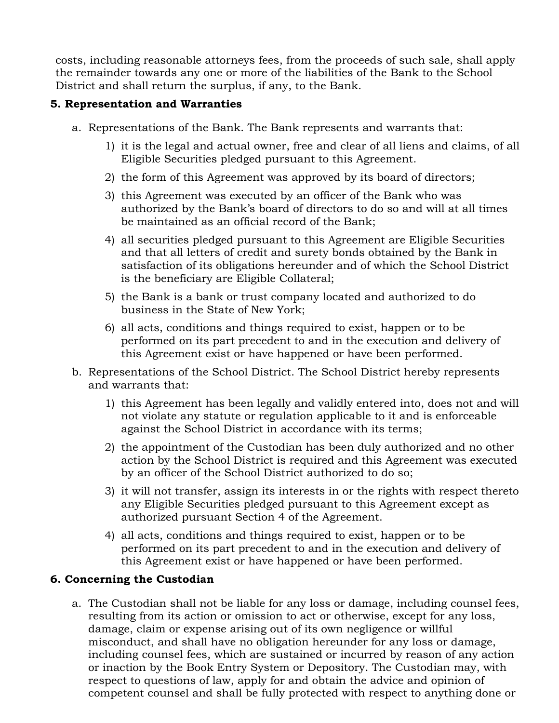costs, including reasonable attorneys fees, from the proceeds of such sale, shall apply the remainder towards any one or more of the liabilities of the Bank to the School District and shall return the surplus, if any, to the Bank.

#### **5. Representation and Warranties**

- a. Representations of the Bank. The Bank represents and warrants that:
	- 1) it is the legal and actual owner, free and clear of all liens and claims, of all Eligible Securities pledged pursuant to this Agreement.
	- 2) the form of this Agreement was approved by its board of directors;
	- 3) this Agreement was executed by an officer of the Bank who was authorized by the Bank's board of directors to do so and will at all times be maintained as an official record of the Bank;
	- 4) all securities pledged pursuant to this Agreement are Eligible Securities and that all letters of credit and surety bonds obtained by the Bank in satisfaction of its obligations hereunder and of which the School District is the beneficiary are Eligible Collateral;
	- 5) the Bank is a bank or trust company located and authorized to do business in the State of New York;
	- 6) all acts, conditions and things required to exist, happen or to be performed on its part precedent to and in the execution and delivery of this Agreement exist or have happened or have been performed.
- b. Representations of the School District. The School District hereby represents and warrants that:
	- 1) this Agreement has been legally and validly entered into, does not and will not violate any statute or regulation applicable to it and is enforceable against the School District in accordance with its terms;
	- 2) the appointment of the Custodian has been duly authorized and no other action by the School District is required and this Agreement was executed by an officer of the School District authorized to do so;
	- 3) it will not transfer, assign its interests in or the rights with respect thereto any Eligible Securities pledged pursuant to this Agreement except as authorized pursuant Section 4 of the Agreement.
	- 4) all acts, conditions and things required to exist, happen or to be performed on its part precedent to and in the execution and delivery of this Agreement exist or have happened or have been performed.

#### **6. Concerning the Custodian**

a. The Custodian shall not be liable for any loss or damage, including counsel fees, resulting from its action or omission to act or otherwise, except for any loss, damage, claim or expense arising out of its own negligence or willful misconduct, and shall have no obligation hereunder for any loss or damage, including counsel fees, which are sustained or incurred by reason of any action or inaction by the Book Entry System or Depository. The Custodian may, with respect to questions of law, apply for and obtain the advice and opinion of competent counsel and shall be fully protected with respect to anything done or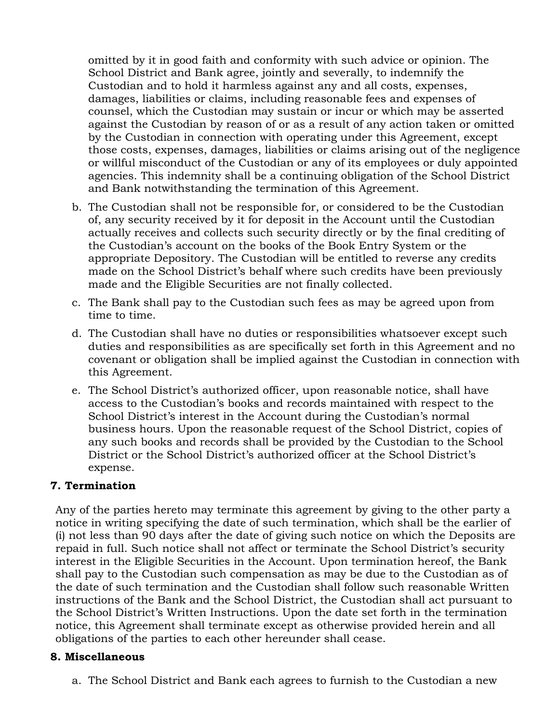omitted by it in good faith and conformity with such advice or opinion. The School District and Bank agree, jointly and severally, to indemnify the Custodian and to hold it harmless against any and all costs, expenses, damages, liabilities or claims, including reasonable fees and expenses of counsel, which the Custodian may sustain or incur or which may be asserted against the Custodian by reason of or as a result of any action taken or omitted by the Custodian in connection with operating under this Agreement, except those costs, expenses, damages, liabilities or claims arising out of the negligence or willful misconduct of the Custodian or any of its employees or duly appointed agencies. This indemnity shall be a continuing obligation of the School District and Bank notwithstanding the termination of this Agreement.

- b. The Custodian shall not be responsible for, or considered to be the Custodian of, any security received by it for deposit in the Account until the Custodian actually receives and collects such security directly or by the final crediting of the Custodian's account on the books of the Book Entry System or the appropriate Depository. The Custodian will be entitled to reverse any credits made on the School District's behalf where such credits have been previously made and the Eligible Securities are not finally collected.
- c. The Bank shall pay to the Custodian such fees as may be agreed upon from time to time.
- d. The Custodian shall have no duties or responsibilities whatsoever except such duties and responsibilities as are specifically set forth in this Agreement and no covenant or obligation shall be implied against the Custodian in connection with this Agreement.
- e. The School District's authorized officer, upon reasonable notice, shall have access to the Custodian's books and records maintained with respect to the School District's interest in the Account during the Custodian's normal business hours. Upon the reasonable request of the School District, copies of any such books and records shall be provided by the Custodian to the School District or the School District's authorized officer at the School District's expense.

#### **7. Termination**

Any of the parties hereto may terminate this agreement by giving to the other party a notice in writing specifying the date of such termination, which shall be the earlier of (i) not less than 90 days after the date of giving such notice on which the Deposits are repaid in full. Such notice shall not affect or terminate the School District's security interest in the Eligible Securities in the Account. Upon termination hereof, the Bank shall pay to the Custodian such compensation as may be due to the Custodian as of the date of such termination and the Custodian shall follow such reasonable Written instructions of the Bank and the School District, the Custodian shall act pursuant to the School District's Written Instructions. Upon the date set forth in the termination notice, this Agreement shall terminate except as otherwise provided herein and all obligations of the parties to each other hereunder shall cease.

#### **8. Miscellaneous**

a. The School District and Bank each agrees to furnish to the Custodian a new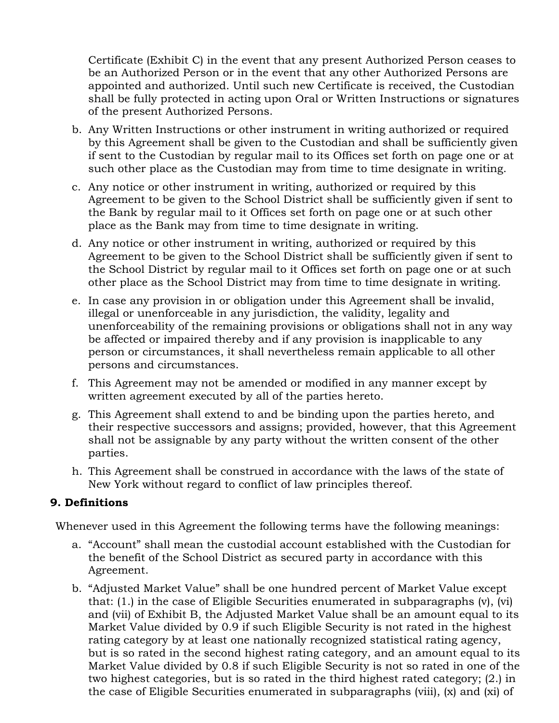Certificate (Exhibit C) in the event that any present Authorized Person ceases to be an Authorized Person or in the event that any other Authorized Persons are appointed and authorized. Until such new Certificate is received, the Custodian shall be fully protected in acting upon Oral or Written Instructions or signatures of the present Authorized Persons.

- b. Any Written Instructions or other instrument in writing authorized or required by this Agreement shall be given to the Custodian and shall be sufficiently given if sent to the Custodian by regular mail to its Offices set forth on page one or at such other place as the Custodian may from time to time designate in writing.
- c. Any notice or other instrument in writing, authorized or required by this Agreement to be given to the School District shall be sufficiently given if sent to the Bank by regular mail to it Offices set forth on page one or at such other place as the Bank may from time to time designate in writing.
- d. Any notice or other instrument in writing, authorized or required by this Agreement to be given to the School District shall be sufficiently given if sent to the School District by regular mail to it Offices set forth on page one or at such other place as the School District may from time to time designate in writing.
- e. In case any provision in or obligation under this Agreement shall be invalid, illegal or unenforceable in any jurisdiction, the validity, legality and unenforceability of the remaining provisions or obligations shall not in any way be affected or impaired thereby and if any provision is inapplicable to any person or circumstances, it shall nevertheless remain applicable to all other persons and circumstances.
- f. This Agreement may not be amended or modified in any manner except by written agreement executed by all of the parties hereto.
- g. This Agreement shall extend to and be binding upon the parties hereto, and their respective successors and assigns; provided, however, that this Agreement shall not be assignable by any party without the written consent of the other parties.
- h. This Agreement shall be construed in accordance with the laws of the state of New York without regard to conflict of law principles thereof.

#### **9. Definitions**

Whenever used in this Agreement the following terms have the following meanings:

- a. "Account" shall mean the custodial account established with the Custodian for the benefit of the School District as secured party in accordance with this Agreement.
- b. "Adjusted Market Value" shall be one hundred percent of Market Value except that: (1.) in the case of Eligible Securities enumerated in subparagraphs (v), (vi) and (vii) of Exhibit B, the Adjusted Market Value shall be an amount equal to its Market Value divided by 0.9 if such Eligible Security is not rated in the highest rating category by at least one nationally recognized statistical rating agency, but is so rated in the second highest rating category, and an amount equal to its Market Value divided by 0.8 if such Eligible Security is not so rated in one of the two highest categories, but is so rated in the third highest rated category; (2.) in the case of Eligible Securities enumerated in subparagraphs (viii), (x) and (xi) of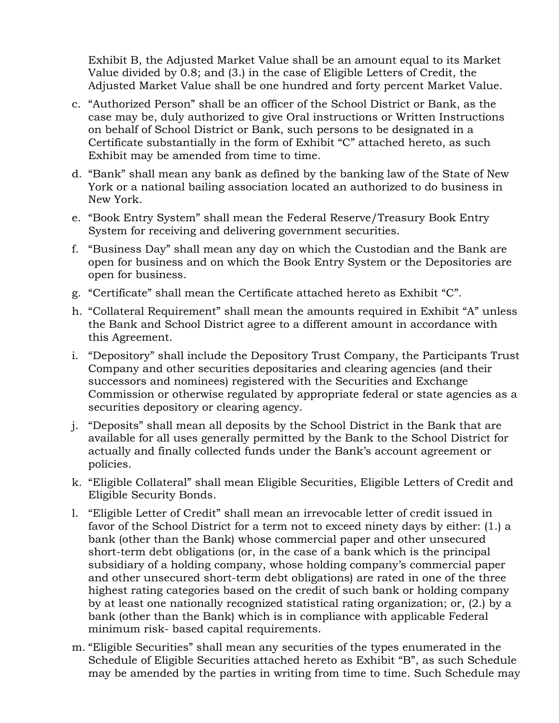Exhibit B, the Adjusted Market Value shall be an amount equal to its Market Value divided by 0.8; and (3.) in the case of Eligible Letters of Credit, the Adjusted Market Value shall be one hundred and forty percent Market Value.

- c. "Authorized Person" shall be an officer of the School District or Bank, as the case may be, duly authorized to give Oral instructions or Written Instructions on behalf of School District or Bank, such persons to be designated in a Certificate substantially in the form of Exhibit "C" attached hereto, as such Exhibit may be amended from time to time.
- d. "Bank" shall mean any bank as defined by the banking law of the State of New York or a national bailing association located an authorized to do business in New York.
- e. "Book Entry System" shall mean the Federal Reserve/Treasury Book Entry System for receiving and delivering government securities.
- f. "Business Day" shall mean any day on which the Custodian and the Bank are open for business and on which the Book Entry System or the Depositories are open for business.
- g. "Certificate" shall mean the Certificate attached hereto as Exhibit "C".
- h. "Collateral Requirement" shall mean the amounts required in Exhibit "A" unless the Bank and School District agree to a different amount in accordance with this Agreement.
- i. "Depository" shall include the Depository Trust Company, the Participants Trust Company and other securities depositaries and clearing agencies (and their successors and nominees) registered with the Securities and Exchange Commission or otherwise regulated by appropriate federal or state agencies as a securities depository or clearing agency.
- j. "Deposits" shall mean all deposits by the School District in the Bank that are available for all uses generally permitted by the Bank to the School District for actually and finally collected funds under the Bank's account agreement or policies.
- k. "Eligible Collateral" shall mean Eligible Securities, Eligible Letters of Credit and Eligible Security Bonds.
- l. "Eligible Letter of Credit" shall mean an irrevocable letter of credit issued in favor of the School District for a term not to exceed ninety days by either: (1.) a bank (other than the Bank) whose commercial paper and other unsecured short-term debt obligations (or, in the case of a bank which is the principal subsidiary of a holding company, whose holding company's commercial paper and other unsecured short-term debt obligations) are rated in one of the three highest rating categories based on the credit of such bank or holding company by at least one nationally recognized statistical rating organization; or, (2.) by a bank (other than the Bank) which is in compliance with applicable Federal minimum risk- based capital requirements.
- m. "Eligible Securities" shall mean any securities of the types enumerated in the Schedule of Eligible Securities attached hereto as Exhibit "B", as such Schedule may be amended by the parties in writing from time to time. Such Schedule may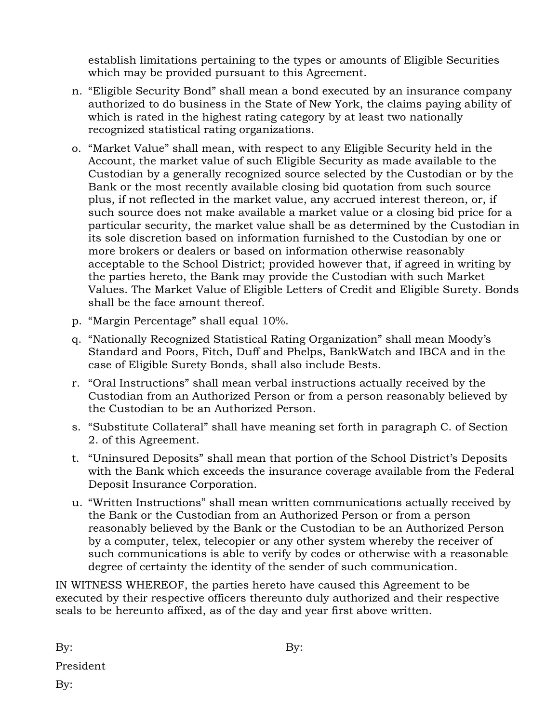establish limitations pertaining to the types or amounts of Eligible Securities which may be provided pursuant to this Agreement.

- n. "Eligible Security Bond" shall mean a bond executed by an insurance company authorized to do business in the State of New York, the claims paying ability of which is rated in the highest rating category by at least two nationally recognized statistical rating organizations.
- o. "Market Value" shall mean, with respect to any Eligible Security held in the Account, the market value of such Eligible Security as made available to the Custodian by a generally recognized source selected by the Custodian or by the Bank or the most recently available closing bid quotation from such source plus, if not reflected in the market value, any accrued interest thereon, or, if such source does not make available a market value or a closing bid price for a particular security, the market value shall be as determined by the Custodian in its sole discretion based on information furnished to the Custodian by one or more brokers or dealers or based on information otherwise reasonably acceptable to the School District; provided however that, if agreed in writing by the parties hereto, the Bank may provide the Custodian with such Market Values. The Market Value of Eligible Letters of Credit and Eligible Surety. Bonds shall be the face amount thereof.
- p. "Margin Percentage" shall equal 10%.
- q. "Nationally Recognized Statistical Rating Organization" shall mean Moody's Standard and Poors, Fitch, Duff and Phelps, BankWatch and IBCA and in the case of Eligible Surety Bonds, shall also include Bests.
- r. "Oral Instructions" shall mean verbal instructions actually received by the Custodian from an Authorized Person or from a person reasonably believed by the Custodian to be an Authorized Person.
- s. "Substitute Collateral" shall have meaning set forth in paragraph C. of Section 2. of this Agreement.
- t. "Uninsured Deposits" shall mean that portion of the School District's Deposits with the Bank which exceeds the insurance coverage available from the Federal Deposit Insurance Corporation.
- u. "Written Instructions" shall mean written communications actually received by the Bank or the Custodian from an Authorized Person or from a person reasonably believed by the Bank or the Custodian to be an Authorized Person by a computer, telex, telecopier or any other system whereby the receiver of such communications is able to verify by codes or otherwise with a reasonable degree of certainty the identity of the sender of such communication.

IN WITNESS WHEREOF, the parties hereto have caused this Agreement to be executed by their respective officers thereunto duly authorized and their respective seals to be hereunto affixed, as of the day and year first above written.

By:

President

By: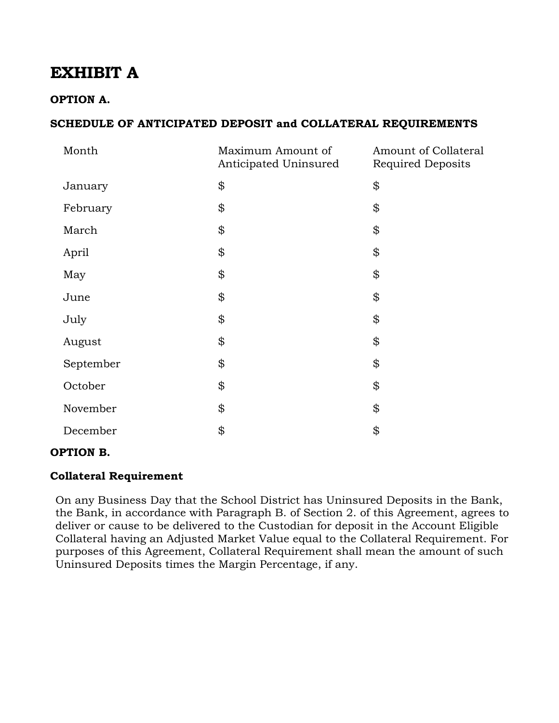### **EXHIBIT A**

#### **OPTION A.**

#### **SCHEDULE OF ANTICIPATED DEPOSIT and COLLATERAL REQUIREMENTS**

| Month     | Maximum Amount of<br>Anticipated Uninsured | Amount of Collateral<br><b>Required Deposits</b> |  |
|-----------|--------------------------------------------|--------------------------------------------------|--|
| January   | \$                                         | \$                                               |  |
| February  | \$                                         | \$                                               |  |
| March     | \$                                         | \$                                               |  |
| April     | \$                                         | \$                                               |  |
| May       | \$                                         | \$                                               |  |
| June      | \$                                         | \$                                               |  |
| July      | \$                                         | \$                                               |  |
| August    | \$                                         | \$                                               |  |
| September | \$                                         | \$                                               |  |
| October   | \$                                         | \$                                               |  |
| November  | \$                                         | \$                                               |  |
| December  | \$                                         | \$                                               |  |

#### **OPTION B.**

#### **Collateral Requirement**

On any Business Day that the School District has Uninsured Deposits in the Bank, the Bank, in accordance with Paragraph B. of Section 2. of this Agreement, agrees to deliver or cause to be delivered to the Custodian for deposit in the Account Eligible Collateral having an Adjusted Market Value equal to the Collateral Requirement. For purposes of this Agreement, Collateral Requirement shall mean the amount of such Uninsured Deposits times the Margin Percentage, if any.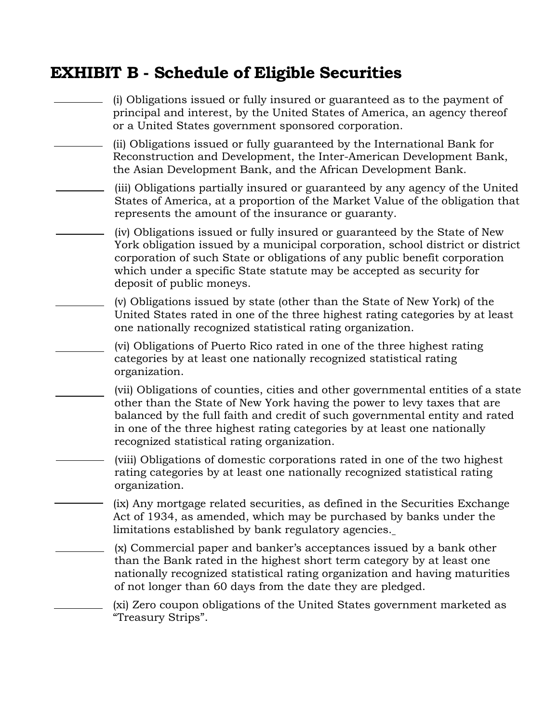### **EXHIBIT B - Schedule of Eligible Securities**

(i) Obligations issued or fully insured or guaranteed as to the payment of principal and interest, by the United States of America, an agency thereof or a United States government sponsored corporation. (ii) Obligations issued or fully guaranteed by the International Bank for Reconstruction and Development, the Inter-American Development Bank, the Asian Development Bank, and the African Development Bank. (iii) Obligations partially insured or guaranteed by any agency of the United States of America, at a proportion of the Market Value of the obligation that represents the amount of the insurance or guaranty. (iv) Obligations issued or fully insured or guaranteed by the State of New York obligation issued by a municipal corporation, school district or district corporation of such State or obligations of any public benefit corporation which under a specific State statute may be accepted as security for deposit of public moneys. (v) Obligations issued by state (other than the State of New York) of the United States rated in one of the three highest rating categories by at least one nationally recognized statistical rating organization. (vi) Obligations of Puerto Rico rated in one of the three highest rating categories by at least one nationally recognized statistical rating organization. (vii) Obligations of counties, cities and other governmental entities of a state other than the State of New York having the power to levy taxes that are balanced by the full faith and credit of such governmental entity and rated in one of the three highest rating categories by at least one nationally recognized statistical rating organization. (viii) Obligations of domestic corporations rated in one of the two highest rating categories by at least one nationally recognized statistical rating organization. (ix) Any mortgage related securities, as defined in the Securities Exchange Act of 1934, as amended, which may be purchased by banks under the limitations established by bank regulatory agencies. (x) Commercial paper and banker's acceptances issued by a bank other than the Bank rated in the highest short term category by at least one nationally recognized statistical rating organization and having maturities of not longer than 60 days from the date they are pledged. (xi) Zero coupon obligations of the United States government marketed as "Treasury Strips".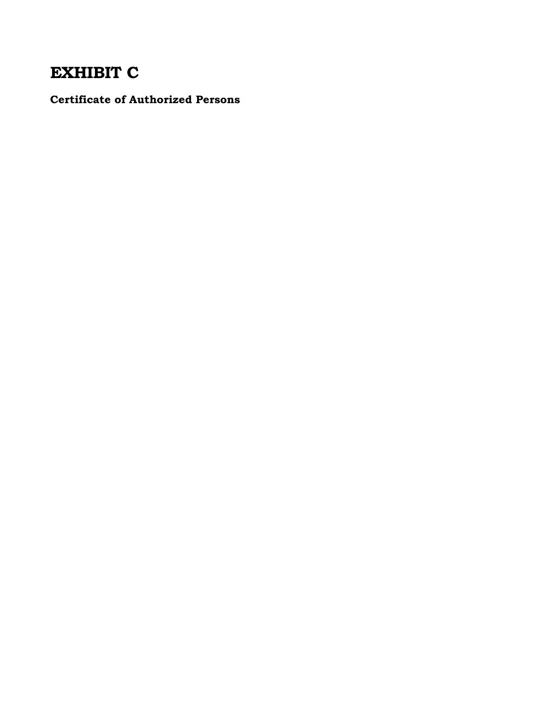# **EXHIBIT C**

**Certificate of Authorized Persons**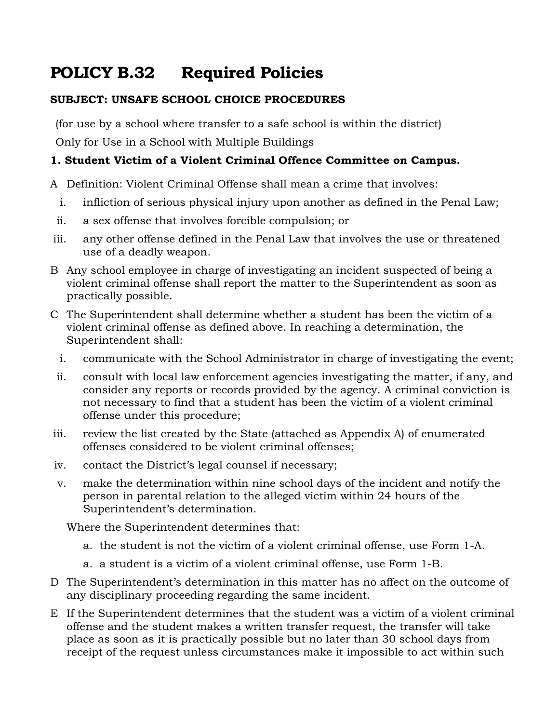# **POLICY B.32 Required Policies**

#### **SUBJECT: UNSAFE SCHOOL CHOICE PROCEDURES**

(for use by a school where transfer to a safe school is within the district)

Only for Use in a School with Multiple Buildings

#### **1. Student Victim of a Violent Criminal Offence Committee on Campus.**

A Definition: Violent Criminal Offense shall mean a crime that involves:

- i. infliction of serious physical injury upon another as defined in the Penal Law;
- ii. a sex offense that involves forcible compulsion; or
- iii. any other offense defined in the Penal Law that involves the use or threatened use of a deadly weapon.
- B Any school employee in charge of investigating an incident suspected of being a violent criminal offense shall report the matter to the Superintendent as soon as practically possible.
- C The Superintendent shall determine whether a student has been the victim of a violent criminal offense as defined above. In reaching a determination, the Superintendent shall:
	- i. communicate with the School Administrator in charge of investigating the event;
- ii. consult with local law enforcement agencies investigating the matter, if any, and consider any reports or records provided by the agency. A criminal conviction is not necessary to find that a student has been the victim of a violent criminal offense under this procedure;
- iii. review the list created by the State (attached as Appendix A) of enumerated offenses considered to be violent criminal offenses;
- iv. contact the District's legal counsel if necessary;
- v. make the determination within nine school days of the incident and notify the person in parental relation to the alleged victim within 24 hours of the Superintendent's determination.

Where the Superintendent determines that:

- a. the student is not the victim of a violent criminal offense, use Form 1-A.
- a. a student is a victim of a violent criminal offense, use Form 1-B.
- D The Superintendent's determination in this matter has no affect on the outcome of any disciplinary proceeding regarding the same incident.
- E If the Superintendent determines that the student was a victim of a violent criminal offense and the student makes a written transfer request, the transfer will take place as soon as it is practically possible but no later than 30 school days from receipt of the request unless circumstances make it impossible to act within such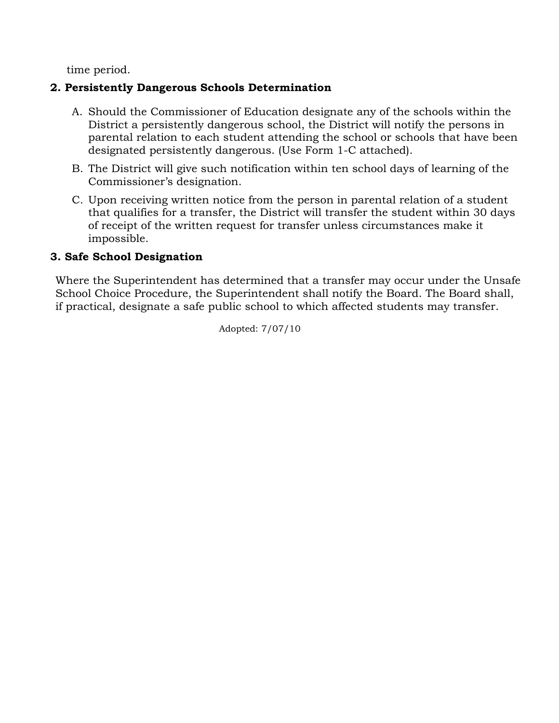time period.

#### **2. Persistently Dangerous Schools Determination**

- A. Should the Commissioner of Education designate any of the schools within the District a persistently dangerous school, the District will notify the persons in parental relation to each student attending the school or schools that have been designated persistently dangerous. (Use Form 1-C attached).
- B. The District will give such notification within ten school days of learning of the Commissioner's designation.
- C. Upon receiving written notice from the person in parental relation of a student that qualifies for a transfer, the District will transfer the student within 30 days of receipt of the written request for transfer unless circumstances make it impossible.

#### **3. Safe School Designation**

Where the Superintendent has determined that a transfer may occur under the Unsafe School Choice Procedure, the Superintendent shall notify the Board. The Board shall, if practical, designate a safe public school to which affected students may transfer.

Adopted: 7/07/10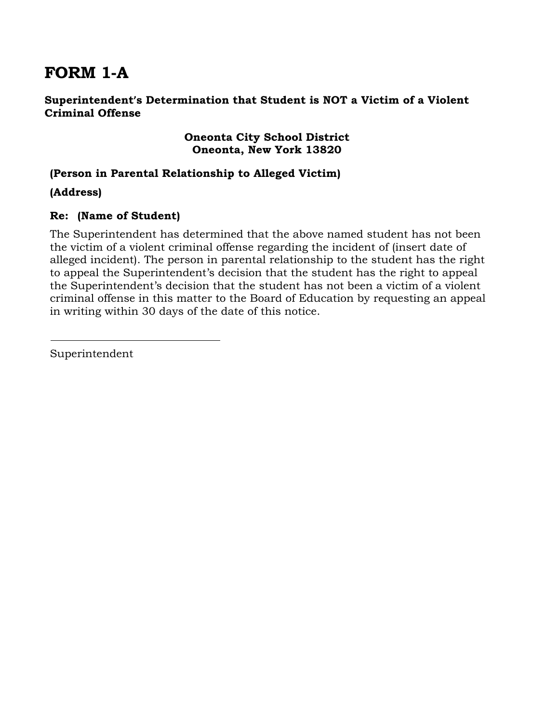### **FORM 1-A**

#### **Superintendent's Determination that Student is NOT a Victim of a Violent Criminal Offense**

#### **Oneonta City School District Oneonta, New York 13820**

#### **(Person in Parental Relationship to Alleged Victim)**

**(Address)**

#### **Re: (Name of Student)**

The Superintendent has determined that the above named student has not been the victim of a violent criminal offense regarding the incident of (insert date of alleged incident). The person in parental relationship to the student has the right to appeal the Superintendent's decision that the student has the right to appeal the Superintendent's decision that the student has not been a victim of a violent criminal offense in this matter to the Board of Education by requesting an appeal in writing within 30 days of the date of this notice.

Superintendent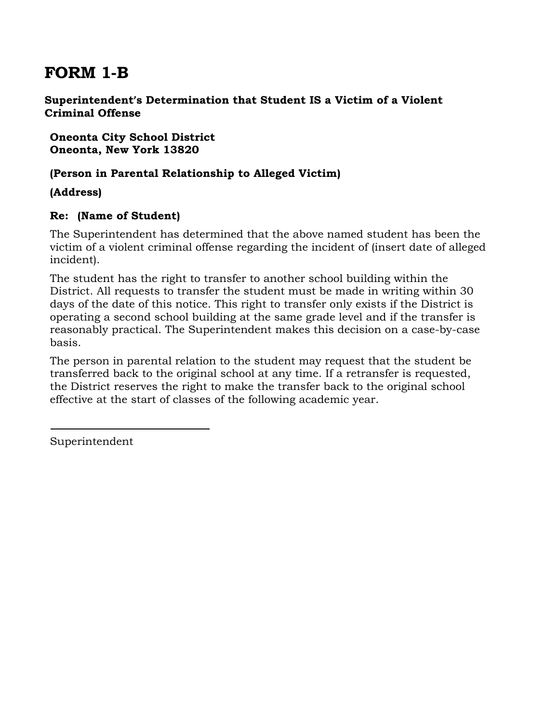### **FORM 1-B**

#### **Superintendent's Determination that Student IS a Victim of a Violent Criminal Offense**

**Oneonta City School District Oneonta, New York 13820**

#### **(Person in Parental Relationship to Alleged Victim)**

**(Address)**

#### **Re: (Name of Student)**

The Superintendent has determined that the above named student has been the victim of a violent criminal offense regarding the incident of (insert date of alleged incident).

The student has the right to transfer to another school building within the District. All requests to transfer the student must be made in writing within 30 days of the date of this notice. This right to transfer only exists if the District is operating a second school building at the same grade level and if the transfer is reasonably practical. The Superintendent makes this decision on a case-by-case basis.

The person in parental relation to the student may request that the student be transferred back to the original school at any time. If a retransfer is requested, the District reserves the right to make the transfer back to the original school effective at the start of classes of the following academic year.

Superintendent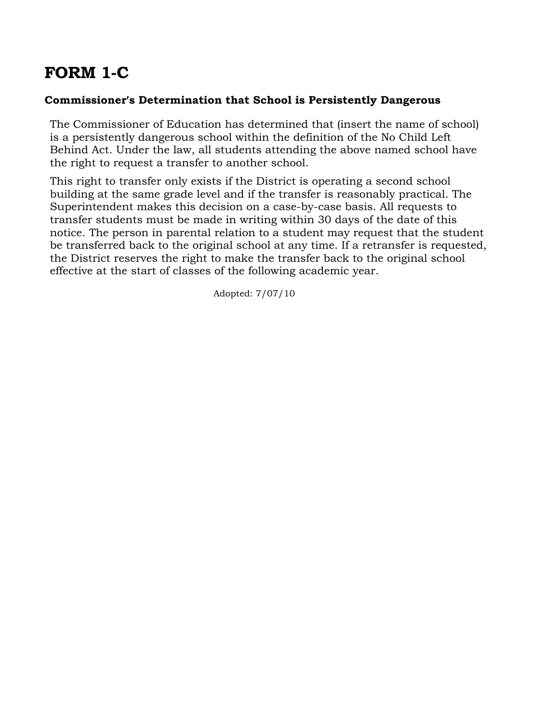# **FORM 1-C**

#### **Commissioner's Determination that School is Persistently Dangerous**

The Commissioner of Education has determined that (insert the name of school) is a persistently dangerous school within the definition of the No Child Left Behind Act. Under the law, all students attending the above named school have the right to request a transfer to another school.

This right to transfer only exists if the District is operating a second school building at the same grade level and if the transfer is reasonably practical. The Superintendent makes this decision on a case-by-case basis. All requests to transfer students must be made in writing within 30 days of the date of this notice. The person in parental relation to a student may request that the student be transferred back to the original school at any time. If a retransfer is requested, the District reserves the right to make the transfer back to the original school effective at the start of classes of the following academic year.

Adopted: 7/07/10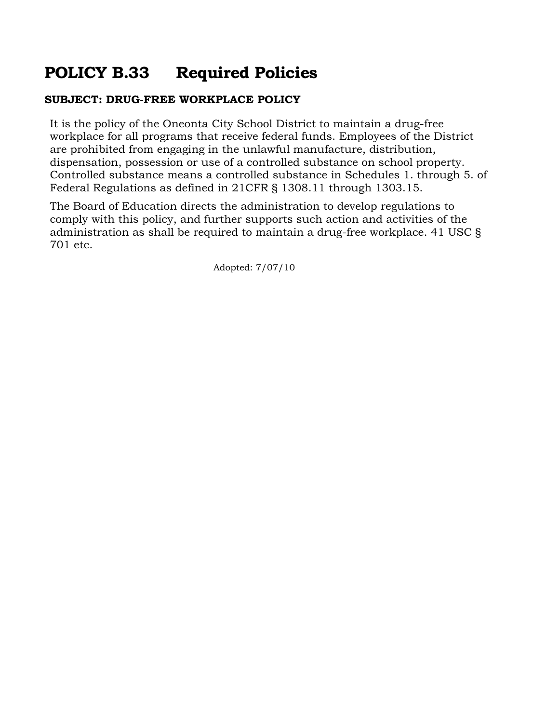### **POLICY B.33 Required Policies**

#### **SUBJECT: DRUG-FREE WORKPLACE POLICY**

It is the policy of the Oneonta City School District to maintain a drug-free workplace for all programs that receive federal funds. Employees of the District are prohibited from engaging in the unlawful manufacture, distribution, dispensation, possession or use of a controlled substance on school property. Controlled substance means a controlled substance in Schedules 1. through 5. of Federal Regulations as defined in 21CFR § 1308.11 through 1303.15.

The Board of Education directs the administration to develop regulations to comply with this policy, and further supports such action and activities of the administration as shall be required to maintain a drug-free workplace. 41 USC § 701 etc.

Adopted: 7/07/10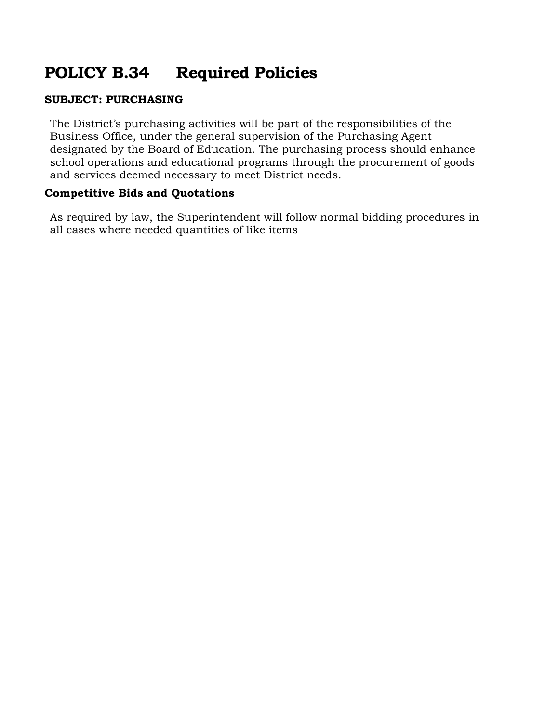# **POLICY B.34 Required Policies**

#### **SUBJECT: PURCHASING**

The District's purchasing activities will be part of the responsibilities of the Business Office, under the general supervision of the Purchasing Agent designated by the Board of Education. The purchasing process should enhance school operations and educational programs through the procurement of goods and services deemed necessary to meet District needs.

#### **Competitive Bids and Quotations**

As required by law, the Superintendent will follow normal bidding procedures in all cases where needed quantities of like items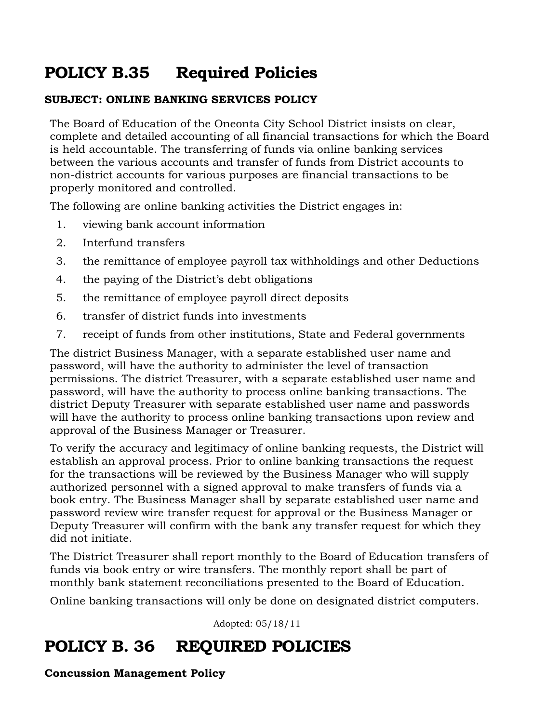# **POLICY B.35 Required Policies**

#### **SUBJECT: ONLINE BANKING SERVICES POLICY**

The Board of Education of the Oneonta City School District insists on clear, complete and detailed accounting of all financial transactions for which the Board is held accountable. The transferring of funds via online banking services between the various accounts and transfer of funds from District accounts to non-district accounts for various purposes are financial transactions to be properly monitored and controlled.

The following are online banking activities the District engages in:

- 1. viewing bank account information
- 2. Interfund transfers
- 3. the remittance of employee payroll tax withholdings and other Deductions
- 4. the paying of the District's debt obligations
- 5. the remittance of employee payroll direct deposits
- 6. transfer of district funds into investments
- 7. receipt of funds from other institutions, State and Federal governments

The district Business Manager, with a separate established user name and password, will have the authority to administer the level of transaction permissions. The district Treasurer, with a separate established user name and password, will have the authority to process online banking transactions. The district Deputy Treasurer with separate established user name and passwords will have the authority to process online banking transactions upon review and approval of the Business Manager or Treasurer.

To verify the accuracy and legitimacy of online banking requests, the District will establish an approval process. Prior to online banking transactions the request for the transactions will be reviewed by the Business Manager who will supply authorized personnel with a signed approval to make transfers of funds via a book entry. The Business Manager shall by separate established user name and password review wire transfer request for approval or the Business Manager or Deputy Treasurer will confirm with the bank any transfer request for which they did not initiate.

The District Treasurer shall report monthly to the Board of Education transfers of funds via book entry or wire transfers. The monthly report shall be part of monthly bank statement reconciliations presented to the Board of Education.

Online banking transactions will only be done on designated district computers.

Adopted: 05/18/11

### **POLICY B. 36 REQUIRED POLICIES**

**Concussion Management Policy**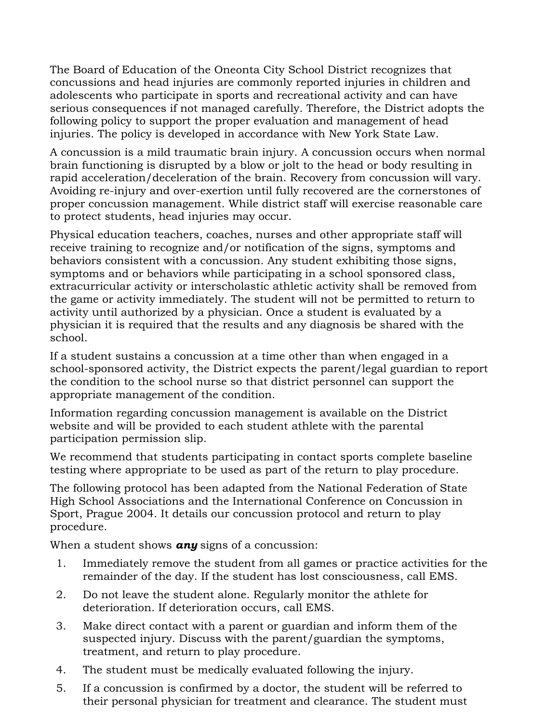The Board of Education of the Oneonta City School District recognizes that concussions and head injuries are commonly reported injuries in children and adolescents who participate in sports and recreational activity and can have serious consequences if not managed carefully. Therefore, the District adopts the following policy to support the proper evaluation and management of head injuries. The policy is developed in accordance with New York State Law.

A concussion is a mild traumatic brain injury. A concussion occurs when normal brain functioning is disrupted by a blow or jolt to the head or body resulting in rapid acceleration/deceleration of the brain. Recovery from concussion will vary. Avoiding re-injury and over-exertion until fully recovered are the cornerstones of proper concussion management. While district staff will exercise reasonable care to protect students, head injuries may occur.

Physical education teachers, coaches, nurses and other appropriate staff will receive training to recognize and/or notification of the signs, symptoms and behaviors consistent with a concussion. Any student exhibiting those signs, symptoms and or behaviors while participating in a school sponsored class, extracurricular activity or interscholastic athletic activity shall be removed from the game or activity immediately. The student will not be permitted to return to activity until authorized by a physician. Once a student is evaluated by a physician it is required that the results and any diagnosis be shared with the school.

If a student sustains a concussion at a time other than when engaged in a school-sponsored activity, the District expects the parent/legal guardian to report the condition to the school nurse so that district personnel can support the appropriate management of the condition.

Information regarding concussion management is available on the District website and will be provided to each student athlete with the parental participation permission slip.

We recommend that students participating in contact sports complete baseline testing where appropriate to be used as part of the return to play procedure.

The following protocol has been adapted from the National Federation of State High School Associations and the International Conference on Concussion in Sport, Prague 2004. It details our concussion protocol and return to play procedure.

When a student shows *any* signs of a concussion:

- 1. Immediately remove the student from all games or practice activities for the remainder of the day. If the student has lost consciousness, call EMS.
- 2. Do not leave the student alone. Regularly monitor the athlete for deterioration. If deterioration occurs, call EMS.
- 3. Make direct contact with a parent or guardian and inform them of the suspected injury. Discuss with the parent/guardian the symptoms, treatment, and return to play procedure.
- 4. The student must be medically evaluated following the injury.
- 5. If a concussion is confirmed by a doctor, the student will be referred to their personal physician for treatment and clearance. The student must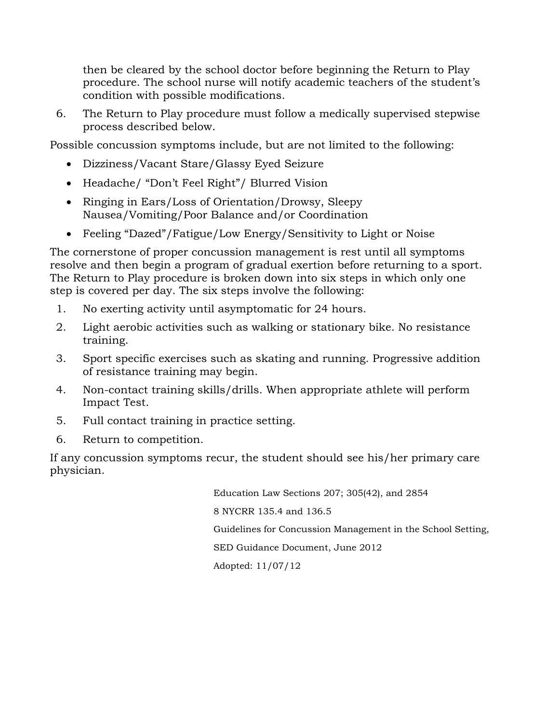then be cleared by the school doctor before beginning the Return to Play procedure. The school nurse will notify academic teachers of the student's condition with possible modifications.

6. The Return to Play procedure must follow a medically supervised stepwise process described below.

Possible concussion symptoms include, but are not limited to the following:

- Dizziness/Vacant Stare/Glassy Eyed Seizure
- Headache/ "Don't Feel Right"/ Blurred Vision
- Ringing in Ears/Loss of Orientation/Drowsy, Sleepy Nausea/Vomiting/Poor Balance and/or Coordination
- Feeling "Dazed"/Fatigue/Low Energy/Sensitivity to Light or Noise

The cornerstone of proper concussion management is rest until all symptoms resolve and then begin a program of gradual exertion before returning to a sport. The Return to Play procedure is broken down into six steps in which only one step is covered per day. The six steps involve the following:

- 1. No exerting activity until asymptomatic for 24 hours.
- 2. Light aerobic activities such as walking or stationary bike. No resistance training.
- 3. Sport specific exercises such as skating and running. Progressive addition of resistance training may begin.
- 4. Non-contact training skills/drills. When appropriate athlete will perform Impact Test.
- 5. Full contact training in practice setting.
- 6. Return to competition.

If any concussion symptoms recur, the student should see his/her primary care physician.

> Education Law Sections 207; 305(42), and 2854 8 NYCRR 135.4 and 136.5 Guidelines for Concussion Management in the School Setting, SED Guidance Document, June 2012 Adopted: 11/07/12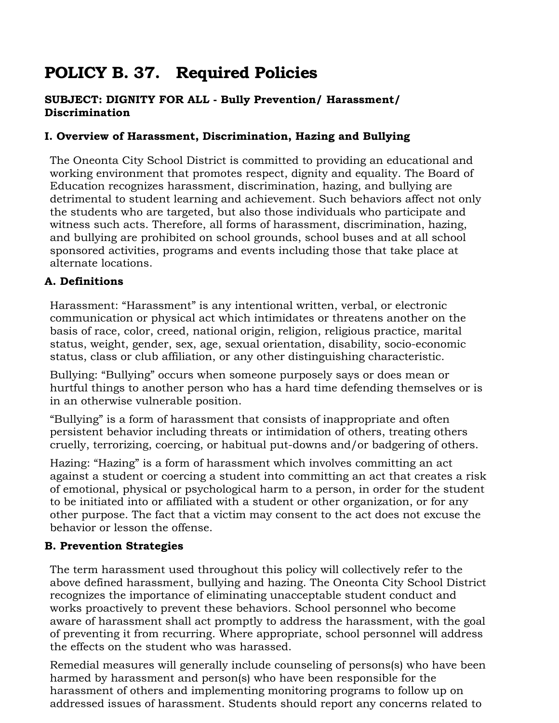# **POLICY B. 37. Required Policies**

#### **SUBJECT: DIGNITY FOR ALL - Bully Prevention/ Harassment/ Discrimination**

#### **I. Overview of Harassment, Discrimination, Hazing and Bullying**

The Oneonta City School District is committed to providing an educational and working environment that promotes respect, dignity and equality. The Board of Education recognizes harassment, discrimination, hazing, and bullying are detrimental to student learning and achievement. Such behaviors affect not only the students who are targeted, but also those individuals who participate and witness such acts. Therefore, all forms of harassment, discrimination, hazing, and bullying are prohibited on school grounds, school buses and at all school sponsored activities, programs and events including those that take place at alternate locations.

#### **A. Definitions**

Harassment: "Harassment" is any intentional written, verbal, or electronic communication or physical act which intimidates or threatens another on the basis of race, color, creed, national origin, religion, religious practice, marital status, weight, gender, sex, age, sexual orientation, disability, socio-economic status, class or club affiliation, or any other distinguishing characteristic.

Bullying: "Bullying" occurs when someone purposely says or does mean or hurtful things to another person who has a hard time defending themselves or is in an otherwise vulnerable position.

"Bullying" is a form of harassment that consists of inappropriate and often persistent behavior including threats or intimidation of others, treating others cruelly, terrorizing, coercing, or habitual put-downs and/or badgering of others.

Hazing: "Hazing" is a form of harassment which involves committing an act against a student or coercing a student into committing an act that creates a risk of emotional, physical or psychological harm to a person, in order for the student to be initiated into or affiliated with a student or other organization, or for any other purpose. The fact that a victim may consent to the act does not excuse the behavior or lesson the offense.

#### **B. Prevention Strategies**

The term harassment used throughout this policy will collectively refer to the above defined harassment, bullying and hazing. The Oneonta City School District recognizes the importance of eliminating unacceptable student conduct and works proactively to prevent these behaviors. School personnel who become aware of harassment shall act promptly to address the harassment, with the goal of preventing it from recurring. Where appropriate, school personnel will address the effects on the student who was harassed.

Remedial measures will generally include counseling of persons(s) who have been harmed by harassment and person(s) who have been responsible for the harassment of others and implementing monitoring programs to follow up on addressed issues of harassment. Students should report any concerns related to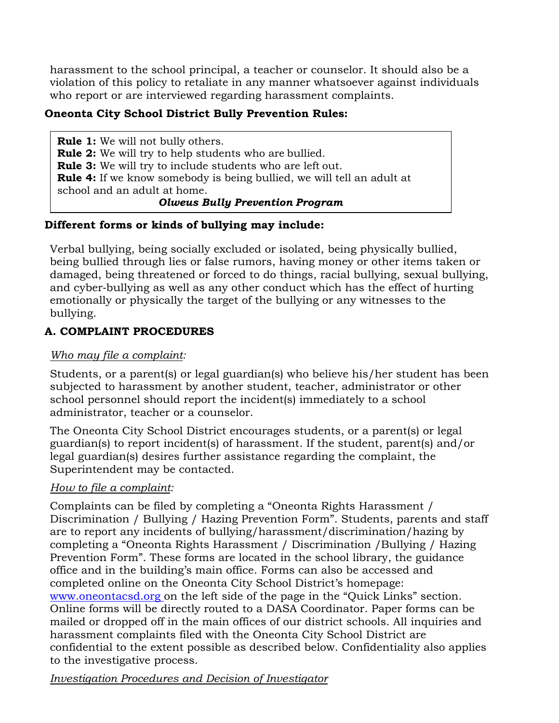harassment to the school principal, a teacher or counselor. It should also be a violation of this policy to retaliate in any manner whatsoever against individuals who report or are interviewed regarding harassment complaints.

#### **Oneonta City School District Bully Prevention Rules:**

**Rule 1:** We will not bully others. **Rule 2:** We will try to help students who are bullied. **Rule 3:** We will try to include students who are left out. **Rule 4:** If we know somebody is being bullied, we will tell an adult at school and an adult at home. *Olweus Bully Prevention Program*

#### **Different forms or kinds of bullying may include:**

Verbal bullying, being socially excluded or isolated, being physically bullied, being bullied through lies or false rumors, having money or other items taken or damaged, being threatened or forced to do things, racial bullying, sexual bullying, and cyber‐bullying as well as any other conduct which has the effect of hurting emotionally or physically the target of the bullying or any witnesses to the bullying.

#### **A. COMPLAINT PROCEDURES**

#### *Who may file a complaint:*

Students, or a parent(s) or legal guardian(s) who believe his/her student has been subjected to harassment by another student, teacher, administrator or other school personnel should report the incident(s) immediately to a school administrator, teacher or a counselor.

The Oneonta City School District encourages students, or a parent(s) or legal guardian(s) to report incident(s) of harassment. If the student, parent(s) and/or legal guardian(s) desires further assistance regarding the complaint, the Superintendent may be contacted.

#### *How to file a complaint:*

Complaints can be filed by completing a "Oneonta Rights Harassment / Discrimination / Bullying / Hazing Prevention Form". Students, parents and staff are to report any incidents of bullying/harassment/discrimination/hazing by completing a "Oneonta Rights Harassment / Discrimination /Bullying / Hazing Prevention Form". These forms are located in the school library, the guidance office and in the building's main office. Forms can also be accessed and completed online on the Oneonta City School District's homepage: [www.oneontacsd.org o](http://www.oneontacsd.org/)n the left side of the page in the "Quick Links" section. Online forms will be directly routed to a DASA Coordinator. Paper forms can be mailed or dropped off in the main offices of our district schools. All inquiries and harassment complaints filed with the Oneonta City School District are confidential to the extent possible as described below. Confidentiality also applies to the investigative process.

*Investigation Procedures and Decision of Investigator*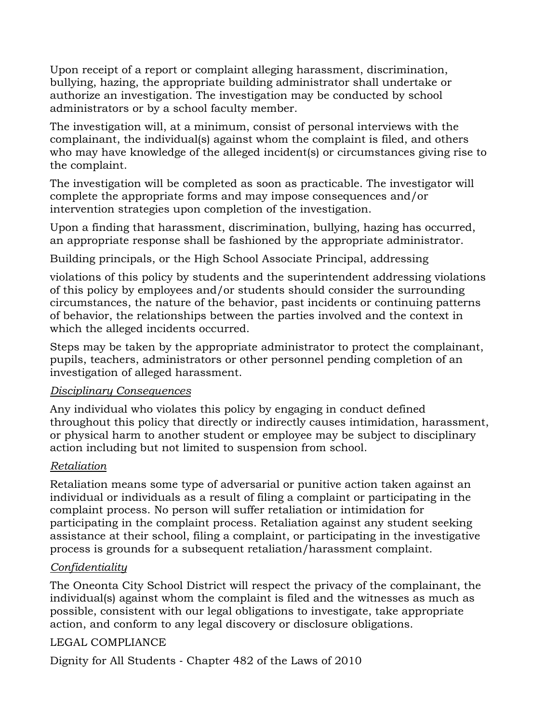Upon receipt of a report or complaint alleging harassment, discrimination, bullying, hazing, the appropriate building administrator shall undertake or authorize an investigation. The investigation may be conducted by school administrators or by a school faculty member.

The investigation will, at a minimum, consist of personal interviews with the complainant, the individual(s) against whom the complaint is filed, and others who may have knowledge of the alleged incident(s) or circumstances giving rise to the complaint.

The investigation will be completed as soon as practicable. The investigator will complete the appropriate forms and may impose consequences and/or intervention strategies upon completion of the investigation.

Upon a finding that harassment, discrimination, bullying, hazing has occurred, an appropriate response shall be fashioned by the appropriate administrator.

Building principals, or the High School Associate Principal, addressing

violations of this policy by students and the superintendent addressing violations of this policy by employees and/or students should consider the surrounding circumstances, the nature of the behavior, past incidents or continuing patterns of behavior, the relationships between the parties involved and the context in which the alleged incidents occurred.

Steps may be taken by the appropriate administrator to protect the complainant, pupils, teachers, administrators or other personnel pending completion of an investigation of alleged harassment.

#### *Disciplinary Consequences*

Any individual who violates this policy by engaging in conduct defined throughout this policy that directly or indirectly causes intimidation, harassment, or physical harm to another student or employee may be subject to disciplinary action including but not limited to suspension from school.

#### *Retaliation*

Retaliation means some type of adversarial or punitive action taken against an individual or individuals as a result of filing a complaint or participating in the complaint process. No person will suffer retaliation or intimidation for participating in the complaint process. Retaliation against any student seeking assistance at their school, filing a complaint, or participating in the investigative process is grounds for a subsequent retaliation/harassment complaint.

#### *Confidentiality*

The Oneonta City School District will respect the privacy of the complainant, the individual(s) against whom the complaint is filed and the witnesses as much as possible, consistent with our legal obligations to investigate, take appropriate action, and conform to any legal discovery or disclosure obligations.

#### LEGAL COMPLIANCE

Dignity for All Students ‐ Chapter 482 of the Laws of 2010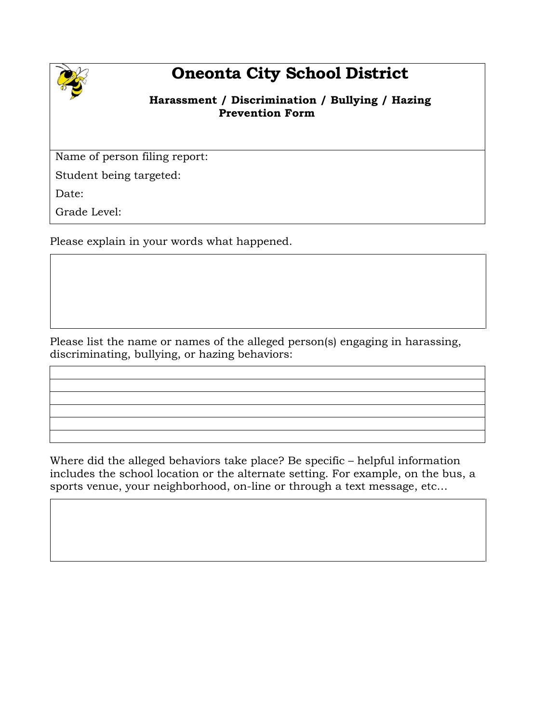

# **Oneonta City School District**

#### **Harassment / Discrimination / Bullying / Hazing Prevention Form**

Name of person filing report:

Student being targeted:

Date:

Grade Level:

Please explain in your words what happened.

Please list the name or names of the alleged person(s) engaging in harassing, discriminating, bullying, or hazing behaviors:

Where did the alleged behaviors take place? Be specific – helpful information includes the school location or the alternate setting. For example, on the bus, a sports venue, your neighborhood, on-line or through a text message, etc…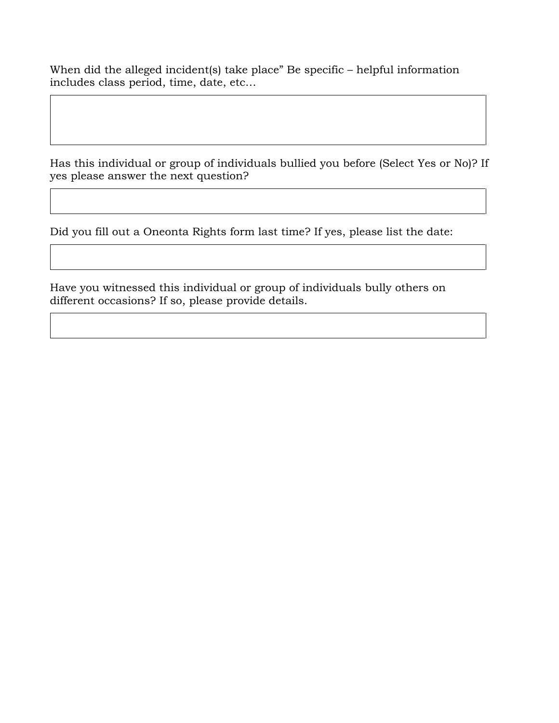When did the alleged incident(s) take place" Be specific – helpful information includes class period, time, date, etc…

Has this individual or group of individuals bullied you before (Select Yes or No)? If yes please answer the next question?

Did you fill out a Oneonta Rights form last time? If yes, please list the date:

Have you witnessed this individual or group of individuals bully others on different occasions? If so, please provide details.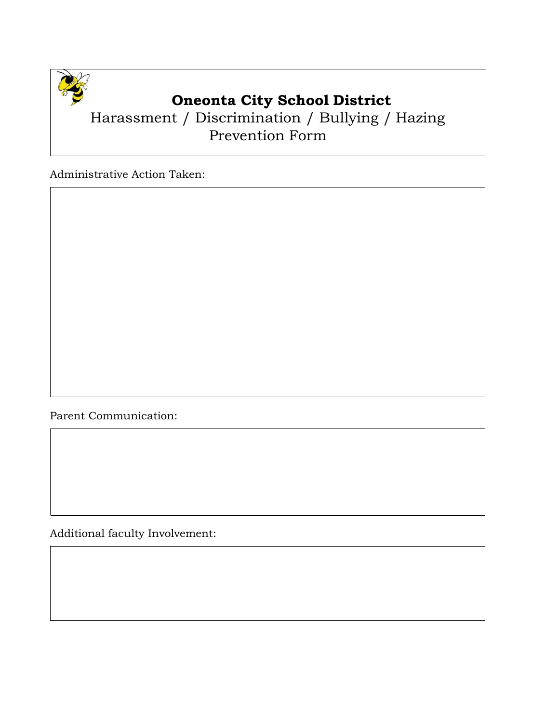

### **Oneonta City School District**

### Harassment / Discrimination / Bullying / Hazing Prevention Form

Administrative Action Taken:

Parent Communication:

Additional faculty Involvement: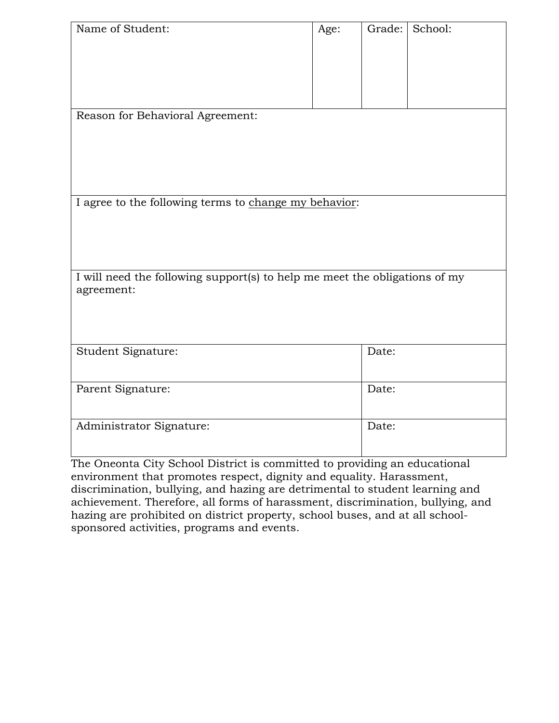| Name of Student:                                                                         | Age: | Grade: | School: |  |
|------------------------------------------------------------------------------------------|------|--------|---------|--|
| Reason for Behavioral Agreement:                                                         |      |        |         |  |
| I agree to the following terms to change my behavior:                                    |      |        |         |  |
| I will need the following support(s) to help me meet the obligations of my<br>agreement: |      |        |         |  |
| Student Signature:                                                                       |      | Date:  |         |  |
| Parent Signature:                                                                        |      | Date:  |         |  |
| Administrator Signature:                                                                 |      | Date:  |         |  |

The Oneonta City School District is committed to providing an educational environment that promotes respect, dignity and equality. Harassment, discrimination, bullying, and hazing are detrimental to student learning and achievement. Therefore, all forms of harassment, discrimination, bullying, and hazing are prohibited on district property, school buses, and at all schoolsponsored activities, programs and events.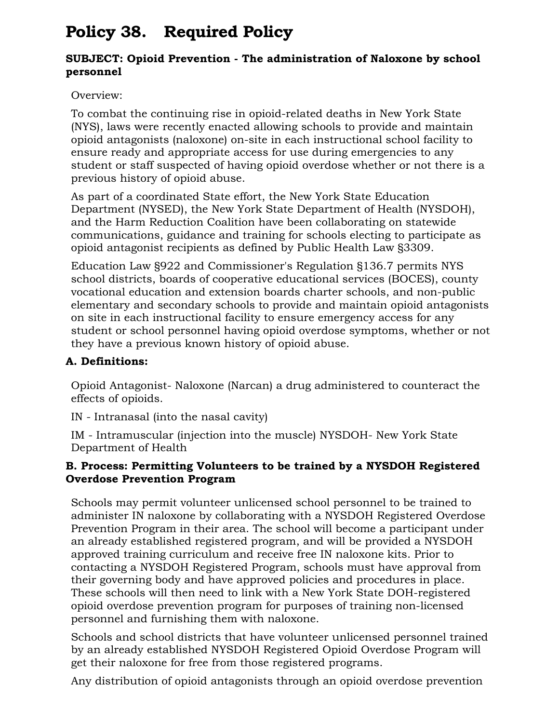# **Policy 38. Required Policy**

#### **SUBJECT: Opioid Prevention - The administration of Naloxone by school personnel**

Overview:

To combat the continuing rise in opioid-related deaths in New York State (NYS), laws were recently enacted allowing schools to provide and maintain opioid antagonists (naloxone) on-site in each instructional school facility to ensure ready and appropriate access for use during emergencies to any student or staff suspected of having opioid overdose whether or not there is a previous history of opioid abuse.

As part of a coordinated State effort, the New York State Education Department (NYSED), the New York State Department of Health (NYSDOH), and the Harm Reduction Coalition have been collaborating on statewide communications, guidance and training for schools electing to participate as opioid antagonist recipients as defined by Public Health Law §3309.

Education Law §922 and Commissioner's Regulation §136.7 permits NYS school districts, boards of cooperative educational services (BOCES), county vocational education and extension boards charter schools, and non-public elementary and secondary schools to provide and maintain opioid antagonists on site in each instructional facility to ensure emergency access for any student or school personnel having opioid overdose symptoms, whether or not they have a previous known history of opioid abuse.

#### **A. Definitions:**

Opioid Antagonist- Naloxone (Narcan) a drug administered to counteract the effects of opioids.

IN - Intranasal (into the nasal cavity)

IM - Intramuscular (injection into the muscle) NYSDOH- New York State Department of Health

#### **B. Process: Permitting Volunteers to be trained by a NYSDOH Registered Overdose Prevention Program**

Schools may permit volunteer unlicensed school personnel to be trained to administer IN naloxone by collaborating with a NYSDOH Registered Overdose Prevention Program in their area. The school will become a participant under an already established registered program, and will be provided a NYSDOH approved training curriculum and receive free IN naloxone kits. Prior to contacting a NYSDOH Registered Program, schools must have approval from their governing body and have approved policies and procedures in place. These schools will then need to link with a New York State DOH-registered opioid overdose prevention program for purposes of training non-licensed personnel and furnishing them with naloxone.

Schools and school districts that have volunteer unlicensed personnel trained by an already established NYSDOH Registered Opioid Overdose Program will get their naloxone for free from those registered programs.

Any distribution of opioid antagonists through an opioid overdose prevention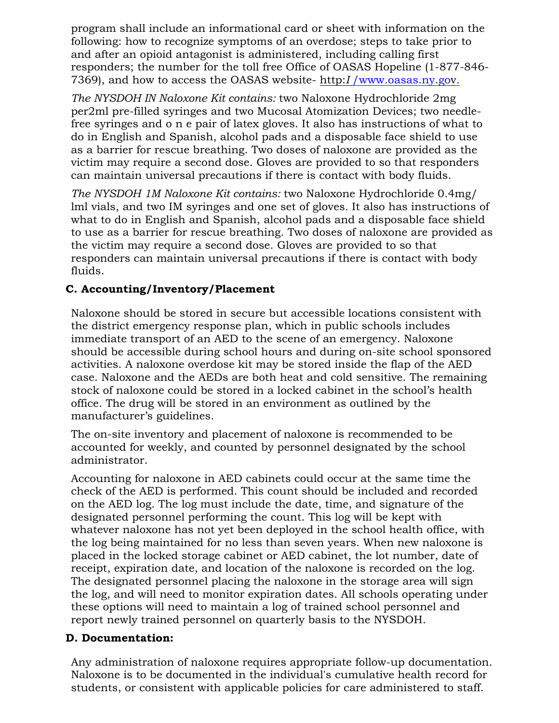program shall include an informational card or sheet with information on the following: how to recognize symptoms of an overdose; steps to take prior to and after an opioid antagonist is administered, including calling first responders; the number for the toll free Office of OASAS Hopeline (1-877-846- 7369), and how to access the OASAS website- http:*I* [/www.oasas.ny.gov.](http://www.oasas.ny.gov/)

*The NYSDOH IN Naloxone Kit contains:* two Naloxone Hydrochloride 2mg per2ml pre-filled syringes and two Mucosal Atomization Devices; two needlefree syringes and o n e pair of latex gloves. It also has instructions of what to do in English and Spanish, alcohol pads and a disposable face shield to use as a barrier for rescue breathing. Two doses of naloxone are provided as the victim may require a second dose. Gloves are provided to so that responders can maintain universal precautions if there is contact with body fluids.

*The NYSDOH 1M Naloxone Kit contains:* two Naloxone Hydrochloride 0.4mg/ lml vials, and two IM syringes and one set of gloves. It also has instructions of what to do in English and Spanish, alcohol pads and a disposable face shield to use as a barrier for rescue breathing. Two doses of naloxone are provided as the victim may require a second dose. Gloves are provided to so that responders can maintain universal precautions if there is contact with body fluids.

#### **C. Accounting/Inventory/Placement**

Naloxone should be stored in secure but accessible locations consistent with the district emergency response plan, which in public schools includes immediate transport of an AED to the scene of an emergency. Naloxone should be accessible during school hours and during on-site school sponsored activities. A naloxone overdose kit may be stored inside the flap of the AED case. Naloxone and the AEDs are both heat and cold sensitive. The remaining stock of naloxone could be stored in a locked cabinet in the school's health office. The drug will be stored in an environment as outlined by the manufacturer's guidelines.

The on-site inventory and placement of naloxone is recommended to be accounted for weekly, and counted by personnel designated by the school administrator.

Accounting for naloxone in AED cabinets could occur at the same time the check of the AED is performed. This count should be included and recorded on the AED log. The log must include the date, time, and signature of the designated personnel performing the count. This log will be kept with whatever naloxone has not yet been deployed in the school health office, with the log being maintained for no less than seven years. When new naloxone is placed in the locked storage cabinet or AED cabinet, the lot number, date of receipt, expiration date, and location of the naloxone is recorded on the log. The designated personnel placing the naloxone in the storage area will sign the log, and will need to monitor expiration dates. All schools operating under these options will need to maintain a log of trained school personnel and report newly trained personnel on quarterly basis to the NYSDOH.

#### **D. Documentation:**

Any administration of naloxone requires appropriate follow-up documentation. Naloxone is to be documented in the individual's cumulative health record for students, or consistent with applicable policies for care administered to staff.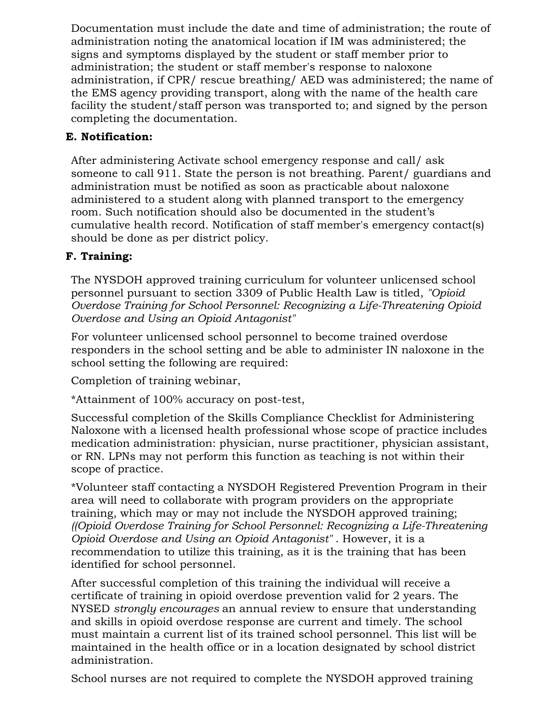Documentation must include the date and time of administration; the route of administration noting the anatomical location if IM was administered; the signs and symptoms displayed by the student or staff member prior to administration; the student or staff member's response to naloxone administration, if CPR/ rescue breathing/ AED was administered; the name of the EMS agency providing transport, along with the name of the health care facility the student/staff person was transported to; and signed by the person completing the documentation.

#### **E. Notification:**

After administering Activate school emergency response and call/ ask someone to call 911. State the person is not breathing. Parent/ guardians and administration must be notified as soon as practicable about naloxone administered to a student along with planned transport to the emergency room. Such notification should also be documented in the student's cumulative health record. Notification of staff member's emergency contact(s) should be done as per district policy.

#### **F. Training:**

The NYSDOH approved training curriculum for volunteer unlicensed school personnel pursuant to section 3309 of Public Health Law is titled, *"Opioid Overdose Training for School Personnel: Recognizing a Life-Threatening Opioid Overdose and Using an Opioid Antagonist"*

For volunteer unlicensed school personnel to become trained overdose responders in the school setting and be able to administer IN naloxone in the school setting the following are required:

Completion of training webinar,

\*Attainment of 100% accuracy on post-test,

Successful completion of the Skills Compliance Checklist for Administering Naloxone with a licensed health professional whose scope of practice includes medication administration: physician, nurse practitioner, physician assistant, or RN. LPNs may not perform this function as teaching is not within their scope of practice.

\*Volunteer staff contacting a NYSDOH Registered Prevention Program in their area will need to collaborate with program providers on the appropriate training, which may or may not include the NYSDOH approved training; *((Opioid Overdose Training for School Personnel: Recognizing a Life-Threatening Opioid Overdose and Using an Opioid Antagonist"* . However, it is a recommendation to utilize this training, as it is the training that has been identified for school personnel.

After successful completion of this training the individual will receive a certificate of training in opioid overdose prevention valid for 2 years. The NYSED *strongly encourages* an annual review to ensure that understanding and skills in opioid overdose response are current and timely. The school must maintain a current list of its trained school personnel. This list will be maintained in the health office or in a location designated by school district administration.

School nurses are not required to complete the NYSDOH approved training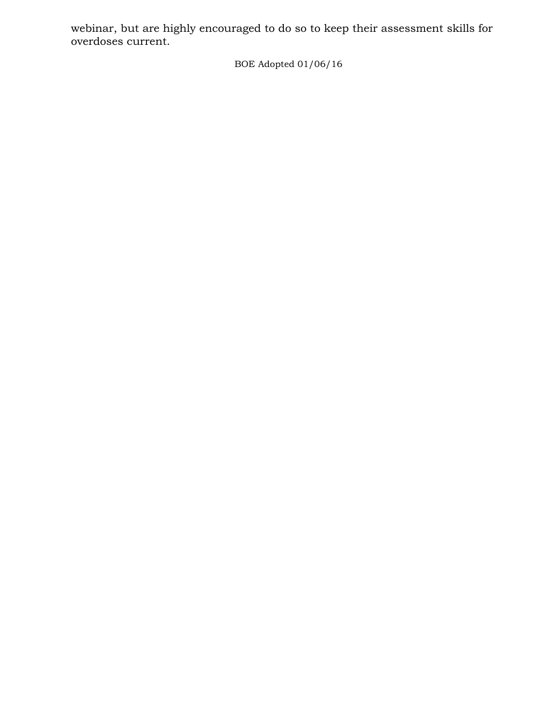webinar, but are highly encouraged to do so to keep their assessment skills for overdoses current.

BOE Adopted 01/06/16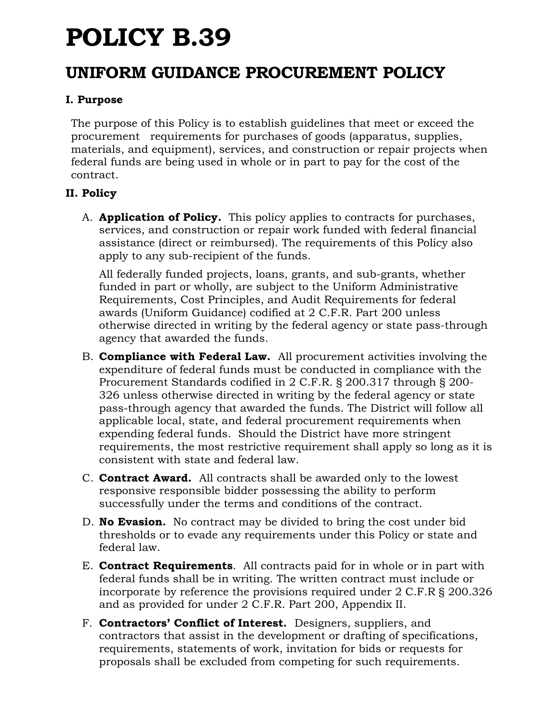# **POLICY B.39**

### **UNIFORM GUIDANCE PROCUREMENT POLICY**

#### **I. Purpose**

The purpose of this Policy is to establish guidelines that meet or exceed the procurement requirements for purchases of goods (apparatus, supplies, materials, and equipment), services, and construction or repair projects when federal funds are being used in whole or in part to pay for the cost of the contract.

#### **II. Policy**

A. **Application of Policy.** This policy applies to contracts for purchases, services, and construction or repair work funded with federal financial assistance (direct or reimbursed). The requirements of this Policy also apply to any sub-recipient of the funds.

All federally funded projects, loans, grants, and sub-grants, whether funded in part or wholly, are subject to the Uniform Administrative Requirements, Cost Principles, and Audit Requirements for federal awards (Uniform Guidance) codified at 2 C.F.R. Part 200 unless otherwise directed in writing by the federal agency or state pass-through agency that awarded the funds.

- B. **Compliance with Federal Law.** All procurement activities involving the expenditure of federal funds must be conducted in compliance with the Procurement Standards codified in 2 C.F.R. § 200.317 through § 200- 326 unless otherwise directed in writing by the federal agency or state pass-through agency that awarded the funds. The District will follow all applicable local, state, and federal procurement requirements when expending federal funds. Should the District have more stringent requirements, the most restrictive requirement shall apply so long as it is consistent with state and federal law.
- C. **Contract Award.** All contracts shall be awarded only to the lowest responsive responsible bidder possessing the ability to perform successfully under the terms and conditions of the contract.
- D. **No Evasion.** No contract may be divided to bring the cost under bid thresholds or to evade any requirements under this Policy or state and federal law.
- E. **Contract Requirements**. All contracts paid for in whole or in part with federal funds shall be in writing. The written contract must include or incorporate by reference the provisions required under 2 C.F.R § 200.326 and as provided for under 2 C.F.R. Part 200, Appendix II.
- F. **Contractors' Conflict of Interest.** Designers, suppliers, and contractors that assist in the development or drafting of specifications, requirements, statements of work, invitation for bids or requests for proposals shall be excluded from competing for such requirements.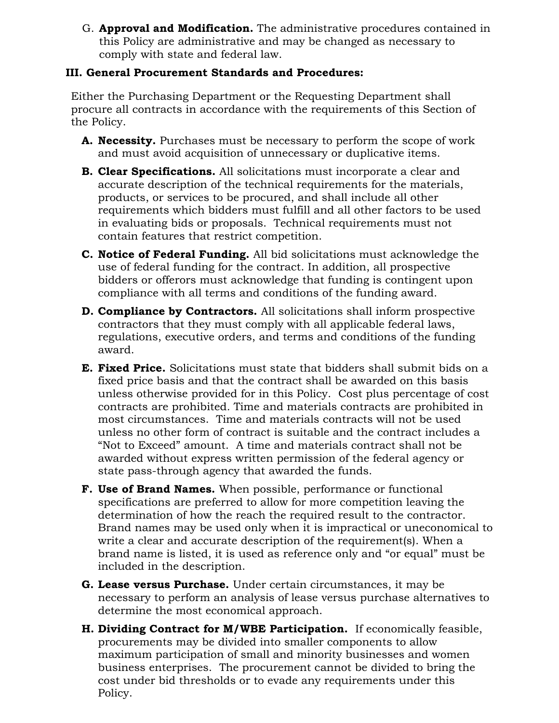G. **Approval and Modification.** The administrative procedures contained in this Policy are administrative and may be changed as necessary to comply with state and federal law.

#### **III. General Procurement Standards and Procedures:**

Either the Purchasing Department or the Requesting Department shall procure all contracts in accordance with the requirements of this Section of the Policy.

- **A. Necessity.** Purchases must be necessary to perform the scope of work and must avoid acquisition of unnecessary or duplicative items.
- **B. Clear Specifications.** All solicitations must incorporate a clear and accurate description of the technical requirements for the materials, products, or services to be procured, and shall include all other requirements which bidders must fulfill and all other factors to be used in evaluating bids or proposals. Technical requirements must not contain features that restrict competition.
- **C. Notice of Federal Funding.** All bid solicitations must acknowledge the use of federal funding for the contract. In addition, all prospective bidders or offerors must acknowledge that funding is contingent upon compliance with all terms and conditions of the funding award.
- **D. Compliance by Contractors.** All solicitations shall inform prospective contractors that they must comply with all applicable federal laws, regulations, executive orders, and terms and conditions of the funding award.
- **E. Fixed Price.** Solicitations must state that bidders shall submit bids on a fixed price basis and that the contract shall be awarded on this basis unless otherwise provided for in this Policy. Cost plus percentage of cost contracts are prohibited*.* Time and materials contracts are prohibited in most circumstances. Time and materials contracts will not be used unless no other form of contract is suitable and the contract includes a "Not to Exceed" amount. A time and materials contract shall not be awarded without express written permission of the federal agency or state pass-through agency that awarded the funds.
- **F. Use of Brand Names.** When possible, performance or functional specifications are preferred to allow for more competition leaving the determination of how the reach the required result to the contractor. Brand names may be used only when it is impractical or uneconomical to write a clear and accurate description of the requirement(s). When a brand name is listed, it is used as reference only and "or equal" must be included in the description.
- **G. Lease versus Purchase.** Under certain circumstances, it may be necessary to perform an analysis of lease versus purchase alternatives to determine the most economical approach.
- **H. Dividing Contract for M/WBE Participation.** If economically feasible, procurements may be divided into smaller components to allow maximum participation of small and minority businesses and women business enterprises. The procurement cannot be divided to bring the cost under bid thresholds or to evade any requirements under this Policy.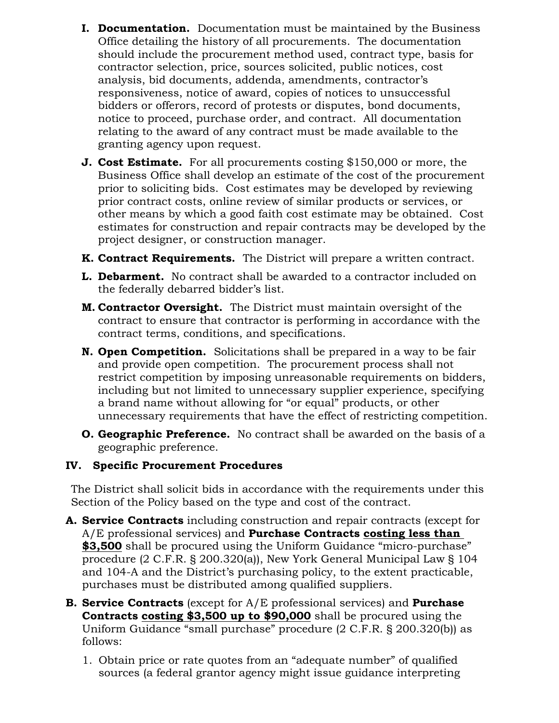- **I. Documentation.** Documentation must be maintained by the Business Office detailing the history of all procurements. The documentation should include the procurement method used, contract type, basis for contractor selection, price, sources solicited, public notices, cost analysis, bid documents, addenda, amendments, contractor's responsiveness, notice of award, copies of notices to unsuccessful bidders or offerors, record of protests or disputes, bond documents, notice to proceed, purchase order, and contract. All documentation relating to the award of any contract must be made available to the granting agency upon request.
- **J. Cost Estimate.** For all procurements costing \$150,000 or more, the Business Office shall develop an estimate of the cost of the procurement prior to soliciting bids. Cost estimates may be developed by reviewing prior contract costs, online review of similar products or services, or other means by which a good faith cost estimate may be obtained. Cost estimates for construction and repair contracts may be developed by the project designer, or construction manager.
- **K. Contract Requirements.** The District will prepare a written contract.
- **L. Debarment.** No contract shall be awarded to a contractor included on the federally debarred bidder's list.
- **M. Contractor Oversight.** The District must maintain oversight of the contract to ensure that contractor is performing in accordance with the contract terms, conditions, and specifications.
- **N. Open Competition.** Solicitations shall be prepared in a way to be fair and provide open competition. The procurement process shall not restrict competition by imposing unreasonable requirements on bidders, including but not limited to unnecessary supplier experience, specifying a brand name without allowing for "or equal" products, or other unnecessary requirements that have the effect of restricting competition.
- **O. Geographic Preference.** No contract shall be awarded on the basis of a geographic preference.

#### **IV. Specific Procurement Procedures**

The District shall solicit bids in accordance with the requirements under this Section of the Policy based on the type and cost of the contract.

- **A. Service Contracts** including construction and repair contracts (except for A/E professional services) and **Purchase Contracts costing less than \$3,500** shall be procured using the Uniform Guidance "micro-purchase" procedure (2 C.F.R. § 200.320(a)), New York General Municipal Law § 104 and 104-A and the District's purchasing policy, to the extent practicable, purchases must be distributed among qualified suppliers.
- **B. Service Contracts** (except for A/E professional services) and **Purchase Contracts costing \$3,500 up to \$90,000** shall be procured using the Uniform Guidance "small purchase" procedure (2 C.F.R. § 200.320(b)) as follows:
	- 1. Obtain price or rate quotes from an "adequate number" of qualified sources (a federal grantor agency might issue guidance interpreting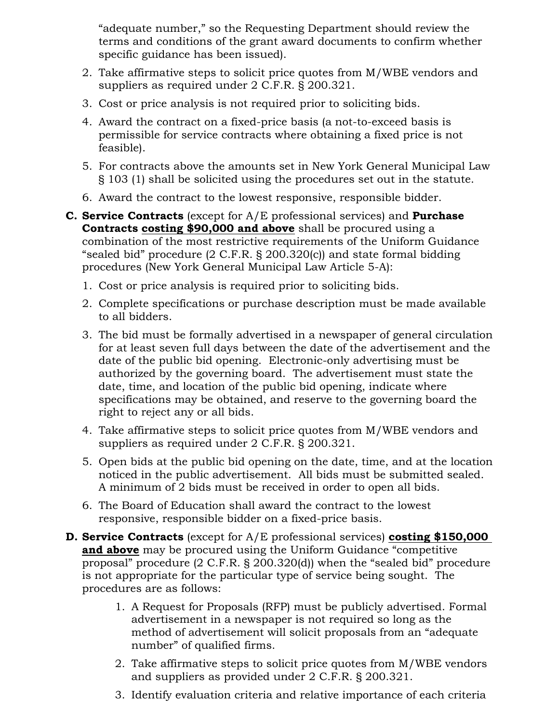"adequate number," so the Requesting Department should review the terms and conditions of the grant award documents to confirm whether specific guidance has been issued).

- 2. Take affirmative steps to solicit price quotes from M/WBE vendors and suppliers as required under 2 C.F.R. § 200.321.
- 3. Cost or price analysis is not required prior to soliciting bids.
- 4. Award the contract on a fixed-price basis (a not-to-exceed basis is permissible for service contracts where obtaining a fixed price is not feasible).
- 5. For contracts above the amounts set in New York General Municipal Law § 103 (1) shall be solicited using the procedures set out in the statute.
- 6. Award the contract to the lowest responsive, responsible bidder.
- **C. Service Contracts** (except for A/E professional services) and **Purchase Contracts costing \$90,000 and above** shall be procured using a combination of the most restrictive requirements of the Uniform Guidance "sealed bid" procedure (2 C.F.R. § 200.320(c)) and state formal bidding procedures (New York General Municipal Law Article 5-A):
	- 1. Cost or price analysis is required prior to soliciting bids.
	- 2. Complete specifications or purchase description must be made available to all bidders.
	- 3. The bid must be formally advertised in a newspaper of general circulation for at least seven full days between the date of the advertisement and the date of the public bid opening. Electronic-only advertising must be authorized by the governing board. The advertisement must state the date, time, and location of the public bid opening, indicate where specifications may be obtained, and reserve to the governing board the right to reject any or all bids.
	- 4. Take affirmative steps to solicit price quotes from M/WBE vendors and suppliers as required under 2 C.F.R. § 200.321.
	- 5. Open bids at the public bid opening on the date, time, and at the location noticed in the public advertisement. All bids must be submitted sealed. A minimum of 2 bids must be received in order to open all bids.
	- 6. The Board of Education shall award the contract to the lowest responsive, responsible bidder on a fixed-price basis.
- **D. Service Contracts** (except for A/E professional services) **costing \$150,000 and above** may be procured using the Uniform Guidance "competitive proposal" procedure (2 C.F.R. § 200.320(d)) when the "sealed bid" procedure is not appropriate for the particular type of service being sought. The procedures are as follows:
	- 1. A Request for Proposals (RFP) must be publicly advertised. Formal advertisement in a newspaper is not required so long as the method of advertisement will solicit proposals from an "adequate number" of qualified firms.
	- 2. Take affirmative steps to solicit price quotes from M/WBE vendors and suppliers as provided under 2 C.F.R. § 200.321.
	- 3. Identify evaluation criteria and relative importance of each criteria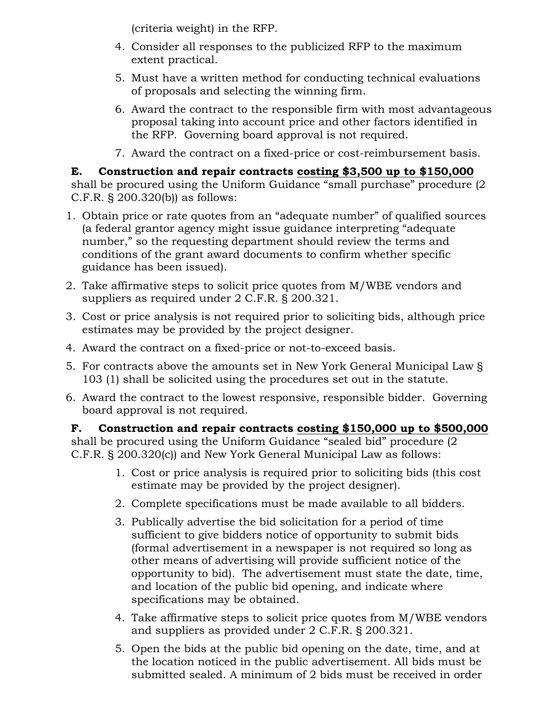(criteria weight) in the RFP.

- 4. Consider all responses to the publicized RFP to the maximum extent practical.
- 5. Must have a written method for conducting technical evaluations of proposals and selecting the winning firm.
- 6. Award the contract to the responsible firm with most advantageous proposal taking into account price and other factors identified in the RFP. Governing board approval is not required.
- 7. Award the contract on a fixed-price or cost-reimbursement basis.

## **E. Construction and repair contracts costing \$3,500 up to \$150,000**

shall be procured using the Uniform Guidance "small purchase" procedure (2 C.F.R. § 200.320(b)) as follows:

- 1. Obtain price or rate quotes from an "adequate number" of qualified sources (a federal grantor agency might issue guidance interpreting "adequate number," so the requesting department should review the terms and conditions of the grant award documents to confirm whether specific guidance has been issued).
- 2. Take affirmative steps to solicit price quotes from M/WBE vendors and suppliers as required under 2 C.F.R. § 200.321.
- 3. Cost or price analysis is not required prior to soliciting bids, although price estimates may be provided by the project designer.
- 4. Award the contract on a fixed-price or not-to-exceed basis.
- 5. For contracts above the amounts set in New York General Municipal Law § 103 (1) shall be solicited using the procedures set out in the statute.
- 6. Award the contract to the lowest responsive, responsible bidder. Governing board approval is not required.

**F. Construction and repair contracts costing \$150,000 up to \$500,000** shall be procured using the Uniform Guidance "sealed bid" procedure (2 C.F.R. § 200.320(c)) and New York General Municipal Law as follows:

- 1. Cost or price analysis is required prior to soliciting bids (this cost estimate may be provided by the project designer).
- 2. Complete specifications must be made available to all bidders.
- 3. Publically advertise the bid solicitation for a period of time sufficient to give bidders notice of opportunity to submit bids (formal advertisement in a newspaper is not required so long as other means of advertising will provide sufficient notice of the opportunity to bid). The advertisement must state the date, time, and location of the public bid opening, and indicate where specifications may be obtained.
- 4. Take affirmative steps to solicit price quotes from M/WBE vendors and suppliers as provided under 2 C.F.R. § 200.321.
- 5. Open the bids at the public bid opening on the date, time, and at the location noticed in the public advertisement. All bids must be submitted sealed. A minimum of 2 bids must be received in order